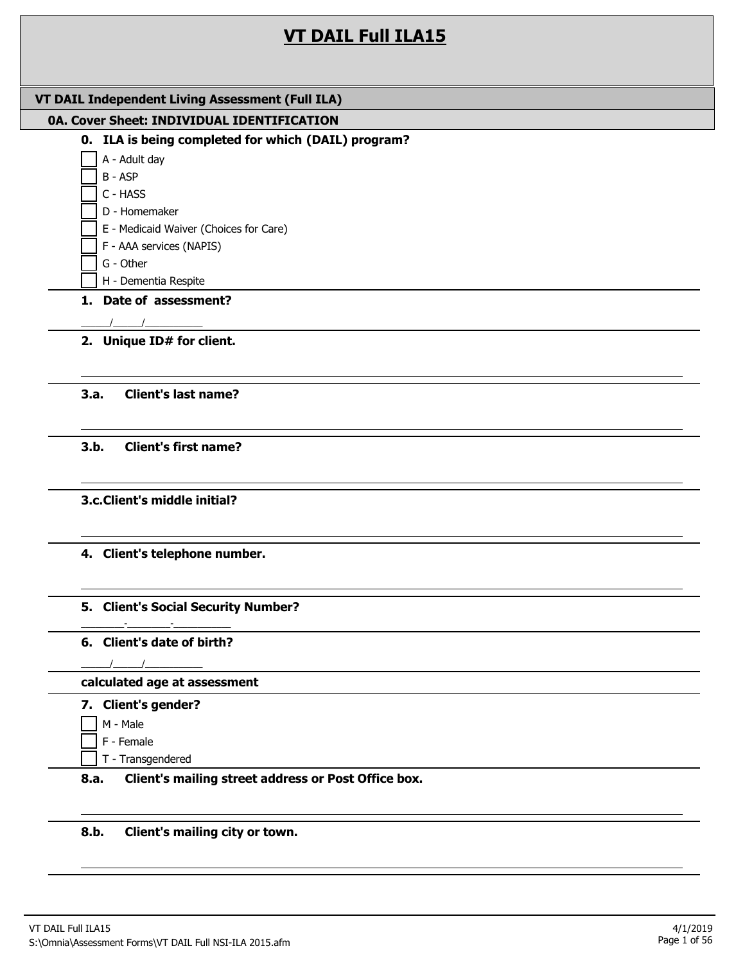# **VT DAIL Full ILA15**

| VT DAIL Independent Living Assessment (Full ILA)                                                                                                                                                                                                                                              |
|-----------------------------------------------------------------------------------------------------------------------------------------------------------------------------------------------------------------------------------------------------------------------------------------------|
| 0A. Cover Sheet: INDIVIDUAL IDENTIFICATION                                                                                                                                                                                                                                                    |
| 0. ILA is being completed for which (DAIL) program?                                                                                                                                                                                                                                           |
| A - Adult day                                                                                                                                                                                                                                                                                 |
| B - ASP                                                                                                                                                                                                                                                                                       |
| C - HASS<br>D - Homemaker                                                                                                                                                                                                                                                                     |
| E - Medicaid Waiver (Choices for Care)                                                                                                                                                                                                                                                        |
| F - AAA services (NAPIS)                                                                                                                                                                                                                                                                      |
| G - Other                                                                                                                                                                                                                                                                                     |
| H - Dementia Respite                                                                                                                                                                                                                                                                          |
| 1. Date of assessment?                                                                                                                                                                                                                                                                        |
|                                                                                                                                                                                                                                                                                               |
| 2. Unique ID# for client.                                                                                                                                                                                                                                                                     |
|                                                                                                                                                                                                                                                                                               |
| 3.a.<br><b>Client's last name?</b>                                                                                                                                                                                                                                                            |
|                                                                                                                                                                                                                                                                                               |
| 3.b.<br><b>Client's first name?</b>                                                                                                                                                                                                                                                           |
|                                                                                                                                                                                                                                                                                               |
|                                                                                                                                                                                                                                                                                               |
| 3.c. Client's middle initial?                                                                                                                                                                                                                                                                 |
|                                                                                                                                                                                                                                                                                               |
| 4. Client's telephone number.                                                                                                                                                                                                                                                                 |
|                                                                                                                                                                                                                                                                                               |
|                                                                                                                                                                                                                                                                                               |
| 5. Client's Social Security Number?                                                                                                                                                                                                                                                           |
| 6. Client's date of birth?                                                                                                                                                                                                                                                                    |
| $\frac{1}{2}$ and $\frac{1}{2}$ and $\frac{1}{2}$ and $\frac{1}{2}$ and $\frac{1}{2}$ and $\frac{1}{2}$ and $\frac{1}{2}$ and $\frac{1}{2}$ and $\frac{1}{2}$ and $\frac{1}{2}$ and $\frac{1}{2}$ and $\frac{1}{2}$ and $\frac{1}{2}$ and $\frac{1}{2}$ and $\frac{1}{2}$ and $\frac{1}{2}$ a |
| calculated age at assessment                                                                                                                                                                                                                                                                  |
| 7. Client's gender?                                                                                                                                                                                                                                                                           |
| M - Male                                                                                                                                                                                                                                                                                      |
| F - Female                                                                                                                                                                                                                                                                                    |
| T - Transgendered                                                                                                                                                                                                                                                                             |
| Client's mailing street address or Post Office box.<br>8.a.                                                                                                                                                                                                                                   |
|                                                                                                                                                                                                                                                                                               |
|                                                                                                                                                                                                                                                                                               |

**8.b. Client's mailing city or town.**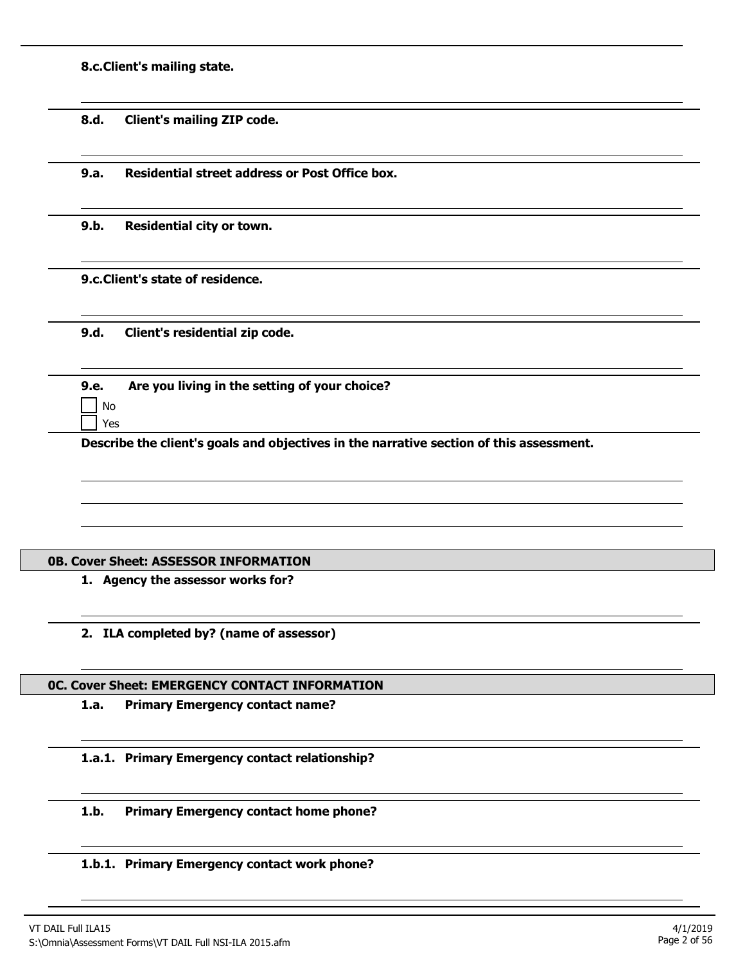**8.c.Client's mailing state.**

**8.d. Client's mailing ZIP code.**

**9.a. Residential street address or Post Office box.**

**9.b. Residential city or town.**

**9.c.Client's state of residence.**

**9.d. Client's residential zip code.**

| 9.e.                        | Are you living in the setting of your choice? |
|-----------------------------|-----------------------------------------------|
| $\overline{\phantom{a}}$ No |                                               |
| Yes                         |                                               |

**Describe the client's goals and objectives in the narrative section of this assessment.**

## **0B. Cover Sheet: ASSESSOR INFORMATION**

- **1. Agency the assessor works for?**
- **2. ILA completed by? (name of assessor)**

#### **0C. Cover Sheet: EMERGENCY CONTACT INFORMATION**

**1.a. Primary Emergency contact name?**

**1.a.1. Primary Emergency contact relationship?**

**1.b. Primary Emergency contact home phone?**

## **1.b.1. Primary Emergency contact work phone?**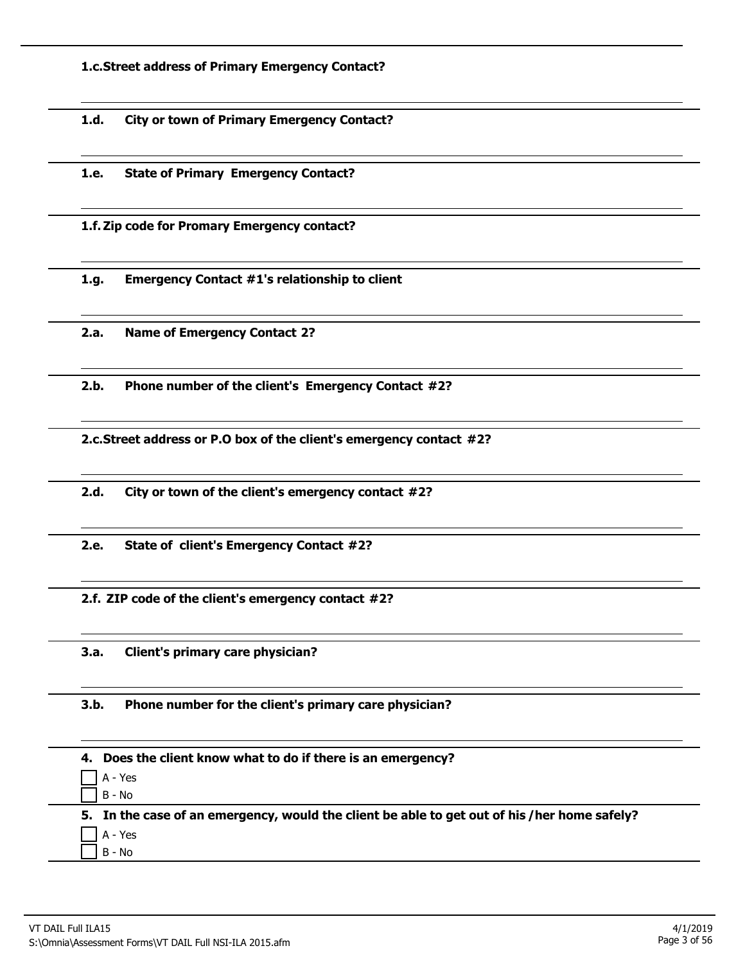**1.c.Street address of Primary Emergency Contact?**

**1.d. City or town of Primary Emergency Contact?**

**1.e. State of Primary Emergency Contact?**

**1.f. Zip code for Promary Emergency contact?**

**1.g. Emergency Contact #1's relationship to client**

**2.a. Name of Emergency Contact 2?**

**2.b. Phone number of the client's Emergency Contact #2?**

**2.c.Street address or P.O box of the client's emergency contact #2?**

**2.d. City or town of the client's emergency contact #2?**

**2.e. State of client's Emergency Contact #2?**

**2.f. ZIP code of the client's emergency contact #2?**

**3.a. Client's primary care physician?**

**3.b. Phone number for the client's primary care physician?**

| 4. Does the client know what to do if there is an emergency?                                 |
|----------------------------------------------------------------------------------------------|
| $A - Yes$                                                                                    |
| —<br>1 в - No                                                                                |
| 5. In the case of an emergency, would the client be able to get out of his /her home safely? |
| $\frac{1}{2}$ A - Yes                                                                        |
|                                                                                              |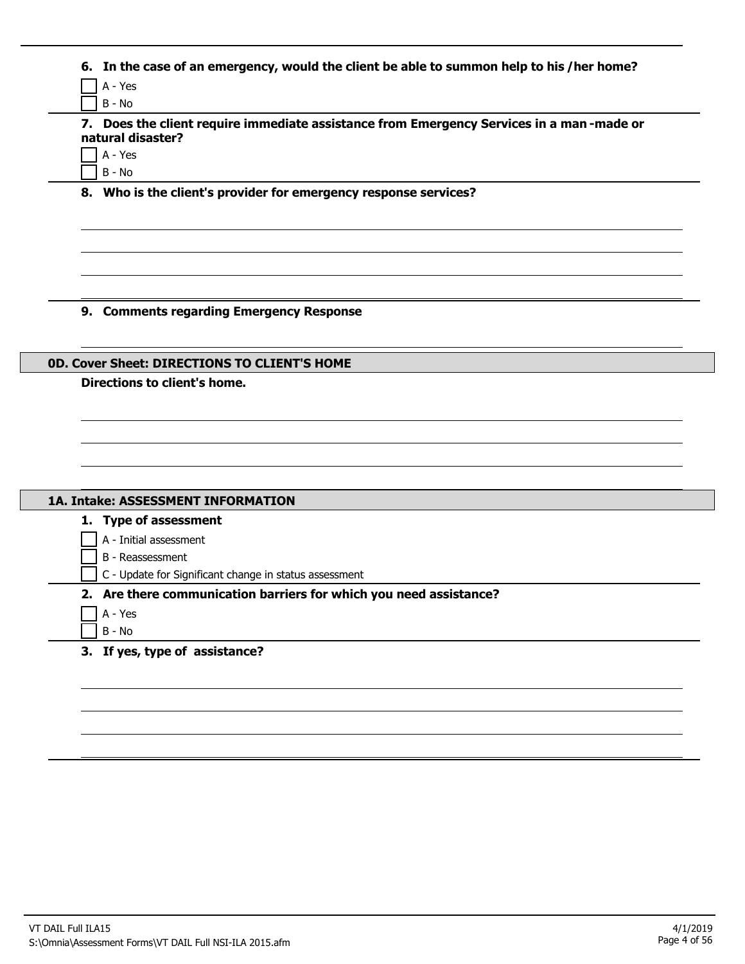| 7. Does the client require immediate assistance from Emergency Services in a man-made or<br>natural disaster? |
|---------------------------------------------------------------------------------------------------------------|
|                                                                                                               |
| A - Yes                                                                                                       |
| B - No                                                                                                        |
| 8. Who is the client's provider for emergency response services?                                              |
|                                                                                                               |
|                                                                                                               |
| 9. Comments regarding Emergency Response                                                                      |
| <b>0D. Cover Sheet: DIRECTIONS TO CLIENT'S HOME</b>                                                           |
| Directions to client's home.                                                                                  |
|                                                                                                               |
|                                                                                                               |
|                                                                                                               |
|                                                                                                               |
|                                                                                                               |
| 1A. Intake: ASSESSMENT INFORMATION                                                                            |
| 1. Type of assessment                                                                                         |
| A - Initial assessment                                                                                        |
| B - Reassessment                                                                                              |
| C - Update for Significant change in status assessment                                                        |
| 2. Are there communication barriers for which you need assistance?                                            |
| A - Yes                                                                                                       |
| $B - No$                                                                                                      |
| 3. If yes, type of assistance?                                                                                |
|                                                                                                               |
|                                                                                                               |
|                                                                                                               |
|                                                                                                               |
|                                                                                                               |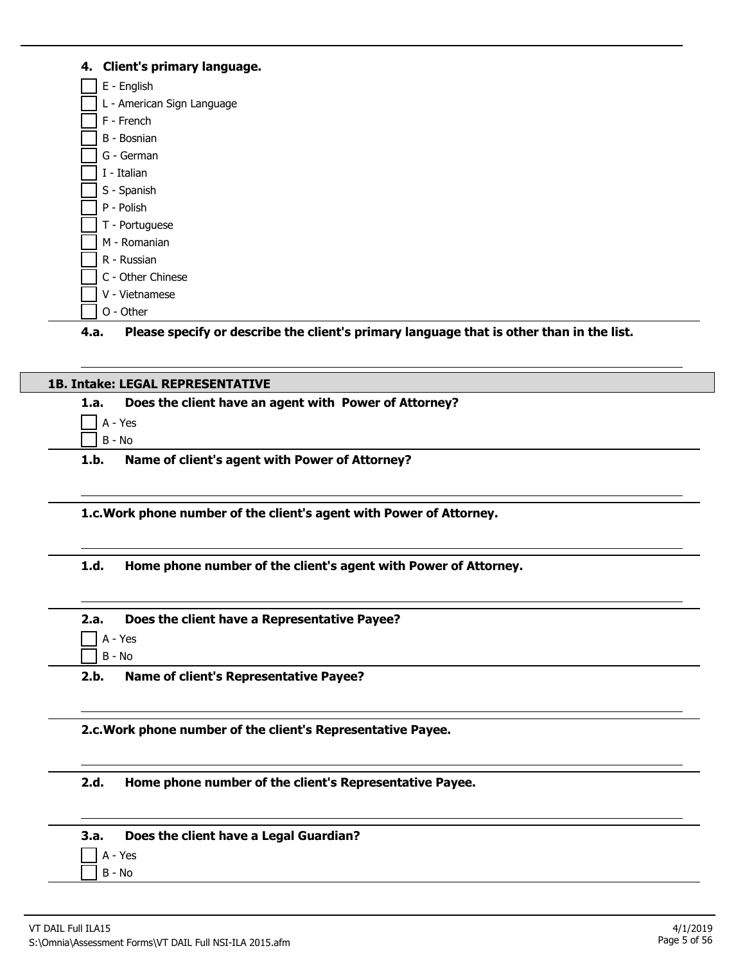# **4. Client's primary language.**

| E - English                |  |
|----------------------------|--|
| L - American Sign Language |  |
| F - French                 |  |
| B - Bosnian                |  |
| G - German                 |  |
| I - Italian                |  |
| S - Spanish                |  |
| P - Polish                 |  |
| T - Portuguese             |  |
| M - Romanian               |  |
| R - Russian                |  |
| C - Other Chinese          |  |
| V - Vietnamese             |  |
| O - Other                  |  |

**4.a. Please specify or describe the client's primary language that is other than in the list.**

# **1B. Intake: LEGAL REPRESENTATIVE 1.a. Does the client have an agent with Power of Attorney?** A - Yes B - No **1.b. Name of client's agent with Power of Attorney?**

**1.c.Work phone number of the client's agent with Power of Attorney.**

**1.d. Home phone number of the client's agent with Power of Attorney.**

| 2.a.      | Does the client have a Representative Payee? |
|-----------|----------------------------------------------|
| $A - Yes$ |                                              |
|           |                                              |

 $\Box$  B - No

**2.b. Name of client's Representative Payee?**

**2.c.Work phone number of the client's Representative Payee.**

**2.d. Home phone number of the client's Representative Payee.**

|                              |  | 3.a. Does the client have a Legal Guardian? |
|------------------------------|--|---------------------------------------------|
| $\Box$ $\Lambda$ - $\vee$ oc |  |                                             |

A - Yes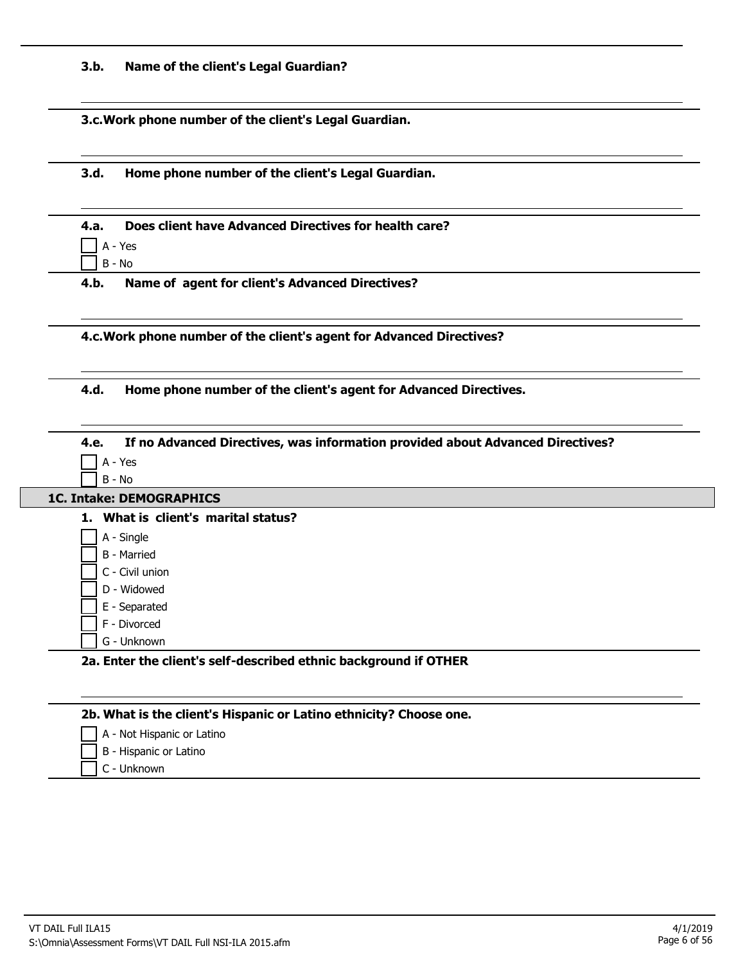| 3.b. |  |  |  |  | Name of the client's Legal Guardian? |
|------|--|--|--|--|--------------------------------------|
|------|--|--|--|--|--------------------------------------|

**3.c.Work phone number of the client's Legal Guardian.**

**3.d. Home phone number of the client's Legal Guardian.**

| 4.a. Does client have Advanced Directives for health care? |
|------------------------------------------------------------|
| $\Box$ A - Yes                                             |
| $\Box$ B - No                                              |

**4.b. Name of agent for client's Advanced Directives?**

**4.c.Work phone number of the client's agent for Advanced Directives?**

**4.d. Home phone number of the client's agent for Advanced Directives.**

| <b>1C. Intake: DEMOGRAPHICS</b>     |                                                                  |  |
|-------------------------------------|------------------------------------------------------------------|--|
| 1. What is client's marital status? |                                                                  |  |
| A - Single                          |                                                                  |  |
| <b>B</b> - Married                  |                                                                  |  |
| C - Civil union                     |                                                                  |  |
| D - Widowed                         |                                                                  |  |
| E - Separated                       |                                                                  |  |
| F - Divorced                        |                                                                  |  |
| G - Unknown                         |                                                                  |  |
|                                     | 2a. Enter the client's self-described ethnic background if OTHER |  |

| A - Not Hispanic or Latino |
|----------------------------|
| B - Hispanic or Latino     |
| C - Unknown                |
|                            |
|                            |
|                            |

L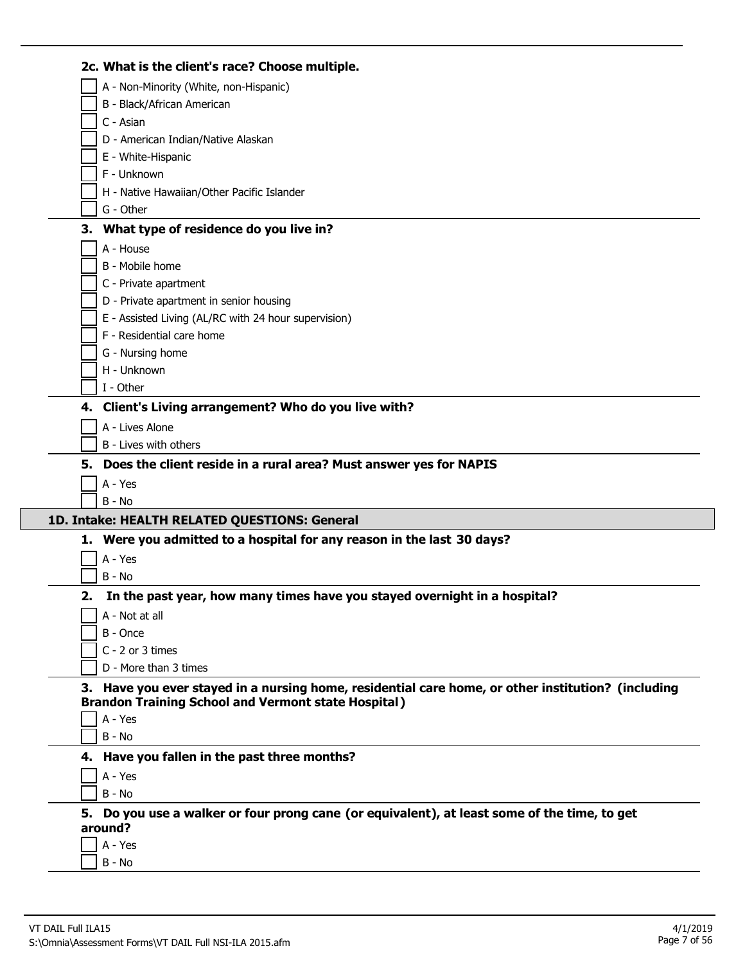|    | 2c. What is the client's race? Choose multiple.                                                    |
|----|----------------------------------------------------------------------------------------------------|
|    | A - Non-Minority (White, non-Hispanic)                                                             |
|    | B - Black/African American                                                                         |
|    | C - Asian                                                                                          |
|    | D - American Indian/Native Alaskan                                                                 |
|    | E - White-Hispanic                                                                                 |
|    | F - Unknown                                                                                        |
|    | H - Native Hawaiian/Other Pacific Islander                                                         |
|    | G - Other                                                                                          |
|    | 3. What type of residence do you live in?                                                          |
|    | A - House                                                                                          |
|    | B - Mobile home                                                                                    |
|    | C - Private apartment                                                                              |
|    | D - Private apartment in senior housing                                                            |
|    | E - Assisted Living (AL/RC with 24 hour supervision)                                               |
|    | F - Residential care home                                                                          |
|    | G - Nursing home                                                                                   |
|    | H - Unknown                                                                                        |
|    | I - Other                                                                                          |
|    | 4. Client's Living arrangement? Who do you live with?                                              |
|    | A - Lives Alone                                                                                    |
|    | B - Lives with others                                                                              |
|    | 5. Does the client reside in a rural area? Must answer yes for NAPIS                               |
|    |                                                                                                    |
|    | A - Yes                                                                                            |
|    | $B - No$                                                                                           |
|    | 1D. Intake: HEALTH RELATED QUESTIONS: General                                                      |
|    | 1. Were you admitted to a hospital for any reason in the last 30 days?                             |
|    | A - Yes                                                                                            |
|    | $B - No$                                                                                           |
| 2. | In the past year, how many times have you stayed overnight in a hospital?                          |
|    | A - Not at all                                                                                     |
|    | B - Once                                                                                           |
|    | C - 2 or 3 times                                                                                   |
|    | D - More than 3 times                                                                              |
|    | 3. Have you ever stayed in a nursing home, residential care home, or other institution? (including |
|    | <b>Brandon Training School and Vermont state Hospital)</b>                                         |
|    | A - Yes                                                                                            |
|    | $B - No$                                                                                           |
|    | 4. Have you fallen in the past three months?                                                       |
|    | A - Yes                                                                                            |
|    | B - No                                                                                             |
|    | 5. Do you use a walker or four prong cane (or equivalent), at least some of the time, to get       |
|    | around?                                                                                            |
|    | A - Yes<br>B - No                                                                                  |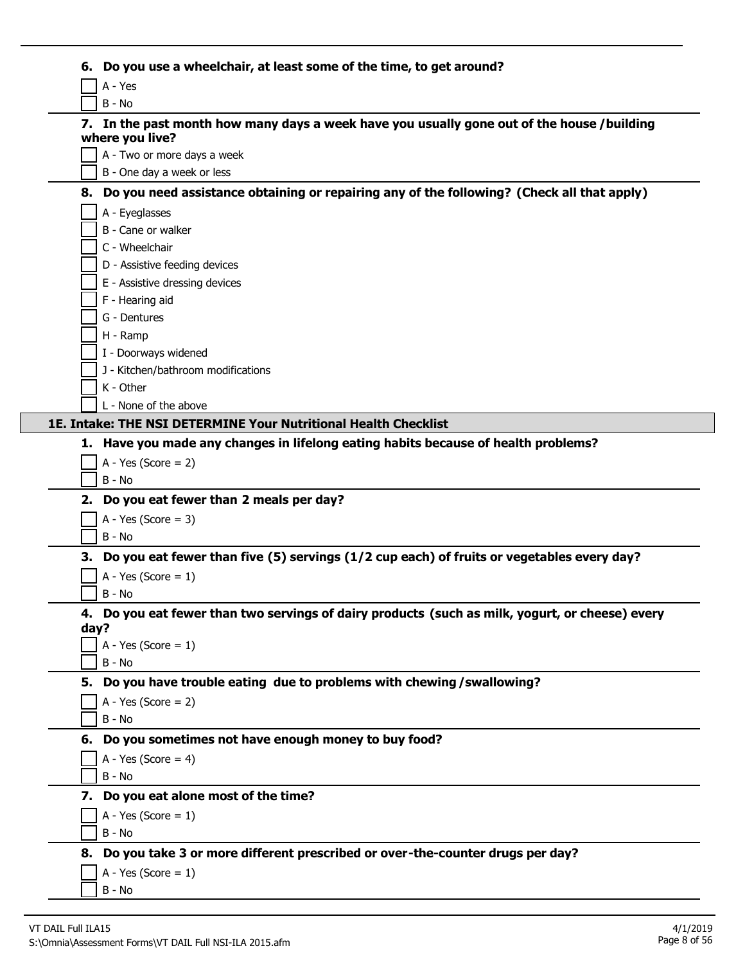|      | 6. Do you use a wheelchair, at least some of the time, to get around?                                         |
|------|---------------------------------------------------------------------------------------------------------------|
|      | A - Yes                                                                                                       |
|      | $B - No$                                                                                                      |
|      | 7. In the past month how many days a week have you usually gone out of the house /building<br>where you live? |
|      | A - Two or more days a week                                                                                   |
|      | B - One day a week or less                                                                                    |
|      | 8. Do you need assistance obtaining or repairing any of the following? (Check all that apply)                 |
|      | A - Eyeglasses                                                                                                |
|      | B - Cane or walker                                                                                            |
|      | C - Wheelchair                                                                                                |
|      | D - Assistive feeding devices                                                                                 |
|      | E - Assistive dressing devices                                                                                |
|      | F - Hearing aid                                                                                               |
|      | G - Dentures                                                                                                  |
|      | H - Ramp                                                                                                      |
|      | I - Doorways widened<br>J - Kitchen/bathroom modifications                                                    |
|      | K - Other                                                                                                     |
|      | L - None of the above                                                                                         |
|      | 1E. Intake: THE NSI DETERMINE Your Nutritional Health Checklist                                               |
|      | 1. Have you made any changes in lifelong eating habits because of health problems?                            |
|      | $A - Yes (Score = 2)$                                                                                         |
|      | $B - No$                                                                                                      |
|      | 2. Do you eat fewer than 2 meals per day?                                                                     |
|      | A - Yes (Score = $3$ )                                                                                        |
|      | $B - No$                                                                                                      |
| 3.   | Do you eat fewer than five (5) servings (1/2 cup each) of fruits or vegetables every day?                     |
|      | A - Yes (Score = $1$ )                                                                                        |
|      | B - No                                                                                                        |
|      | 4. Do you eat fewer than two servings of dairy products (such as milk, yogurt, or cheese) every               |
| day? |                                                                                                               |
|      | A - Yes (Score = $1$ )                                                                                        |
|      | B - No                                                                                                        |
|      | 5. Do you have trouble eating due to problems with chewing / swallowing?                                      |
|      | A - Yes (Score = $2$ )                                                                                        |
|      | B - No                                                                                                        |
|      | 6. Do you sometimes not have enough money to buy food?                                                        |
|      | A - Yes (Score = $4$ )                                                                                        |
|      | $B - No$                                                                                                      |
|      | 7. Do you eat alone most of the time?                                                                         |
|      | A - Yes (Score = $1$ )                                                                                        |
|      | $B - No$                                                                                                      |
|      | 8. Do you take 3 or more different prescribed or over-the-counter drugs per day?                              |
|      | A - Yes (Score = $1$ )                                                                                        |
|      | B - No                                                                                                        |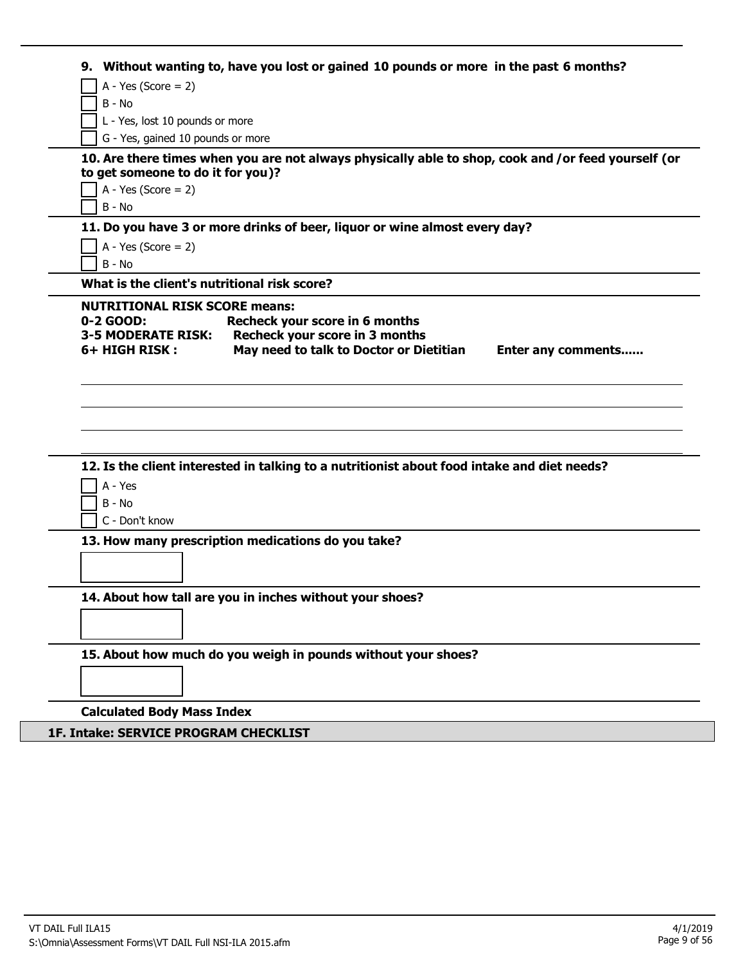| 9.                                   | Without wanting to, have you lost or gained 10 pounds or more in the past 6 months?                 |
|--------------------------------------|-----------------------------------------------------------------------------------------------------|
| A - Yes (Score = $2$ )               |                                                                                                     |
| B - No                               |                                                                                                     |
| L - Yes, lost 10 pounds or more      |                                                                                                     |
| G - Yes, gained 10 pounds or more    |                                                                                                     |
|                                      | 10. Are there times when you are not always physically able to shop, cook and /or feed yourself (or |
| to get someone to do it for you)?    |                                                                                                     |
| $A - Yes (Score = 2)$                |                                                                                                     |
| B - No                               |                                                                                                     |
|                                      | 11. Do you have 3 or more drinks of beer, liquor or wine almost every day?                          |
| A - Yes (Score = $2$ )               |                                                                                                     |
| B - No                               |                                                                                                     |
|                                      | What is the client's nutritional risk score?                                                        |
| <b>NUTRITIONAL RISK SCORE means:</b> |                                                                                                     |
| 0-2 GOOD:                            | Recheck your score in 6 months                                                                      |
| <b>3-5 MODERATE RISK:</b>            | Recheck your score in 3 months                                                                      |
| 6+ HIGH RISK:                        | May need to talk to Doctor or Dietitian<br>Enter any comments                                       |
|                                      |                                                                                                     |
|                                      |                                                                                                     |
| A - Yes                              | 12. Is the client interested in talking to a nutritionist about food intake and diet needs?         |
| B - No                               |                                                                                                     |
| C - Don't know                       | 13. How many prescription medications do you take?                                                  |
|                                      |                                                                                                     |
|                                      |                                                                                                     |
|                                      |                                                                                                     |
|                                      | 14. About how tall are you in inches without your shoes?                                            |
|                                      |                                                                                                     |
|                                      |                                                                                                     |
|                                      | 15. About how much do you weigh in pounds without your shoes?                                       |
|                                      |                                                                                                     |
|                                      |                                                                                                     |

# **1F. Intake: SERVICE PROGRAM CHECKLIST**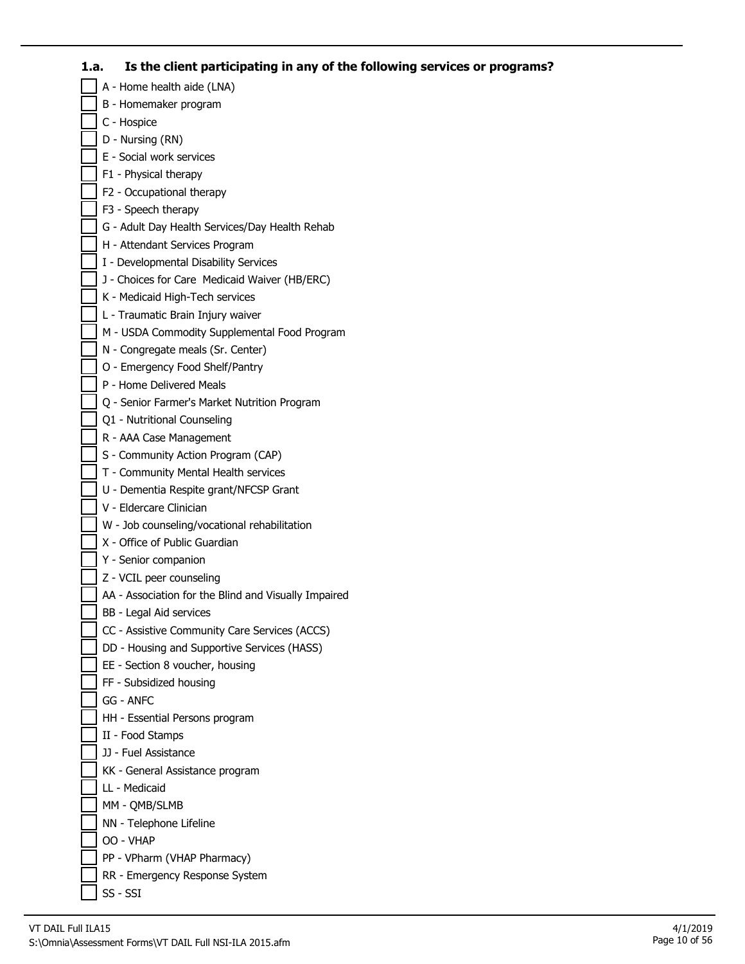# **1.a. Is the client participating in any of the following services or programs?**

A - Home health aide (LNA) B - Homemaker program C - Hospice D - Nursing (RN) E - Social work services F1 - Physical therapy F2 - Occupational therapy F3 - Speech therapy G - Adult Day Health Services/Day Health Rehab H - Attendant Services Program I - Developmental Disability Services J - Choices for Care Medicaid Waiver (HB/ERC) K - Medicaid High-Tech services L - Traumatic Brain Injury waiver M - USDA Commodity Supplemental Food Program N - Congregate meals (Sr. Center) O - Emergency Food Shelf/Pantry P - Home Delivered Meals Q - Senior Farmer's Market Nutrition Program Q1 - Nutritional Counseling R - AAA Case Management S - Community Action Program (CAP) T - Community Mental Health services U - Dementia Respite grant/NFCSP Grant V - Eldercare Clinician W - Job counseling/vocational rehabilitation X - Office of Public Guardian Y - Senior companion Z - VCIL peer counseling AA - Association for the Blind and Visually Impaired BB - Legal Aid services CC - Assistive Community Care Services (ACCS) DD - Housing and Supportive Services (HASS) EE - Section 8 voucher, housing FF - Subsidized housing GG - ANFC HH - Essential Persons program II - Food Stamps JJ - Fuel Assistance KK - General Assistance program LL - Medicaid MM - QMB/SLMB NN - Telephone Lifeline OO - VHAP PP - VPharm (VHAP Pharmacy) RR - Emergency Response System SS - SSI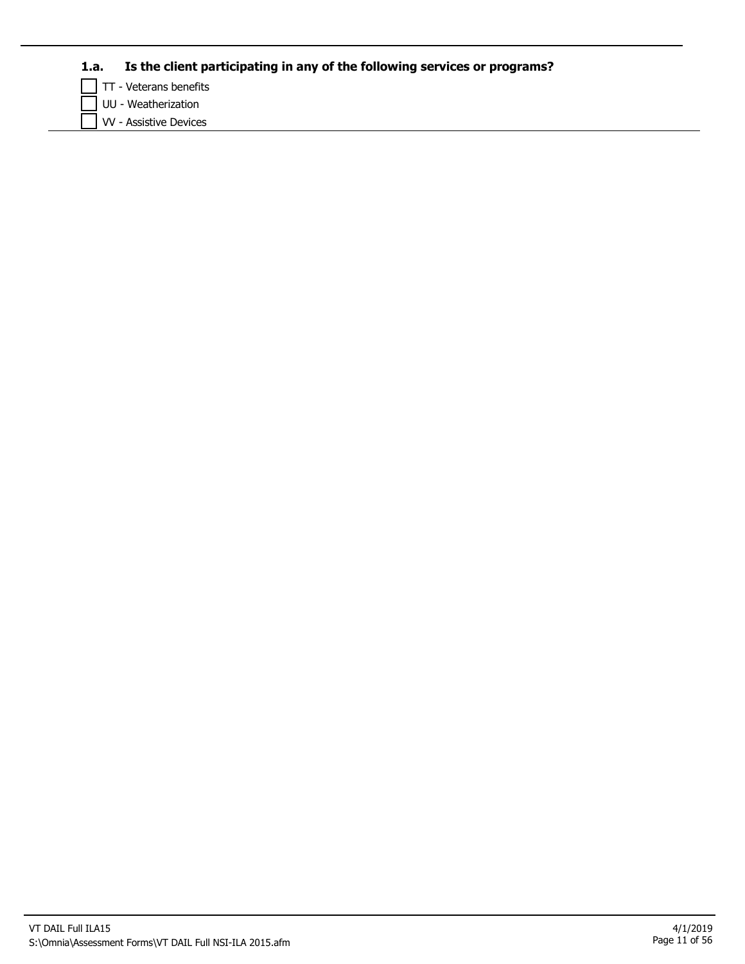# **1.a. Is the client participating in any of the following services or programs?**

TT - Veterans benefits

UU - Weatherization

VV - Assistive Devices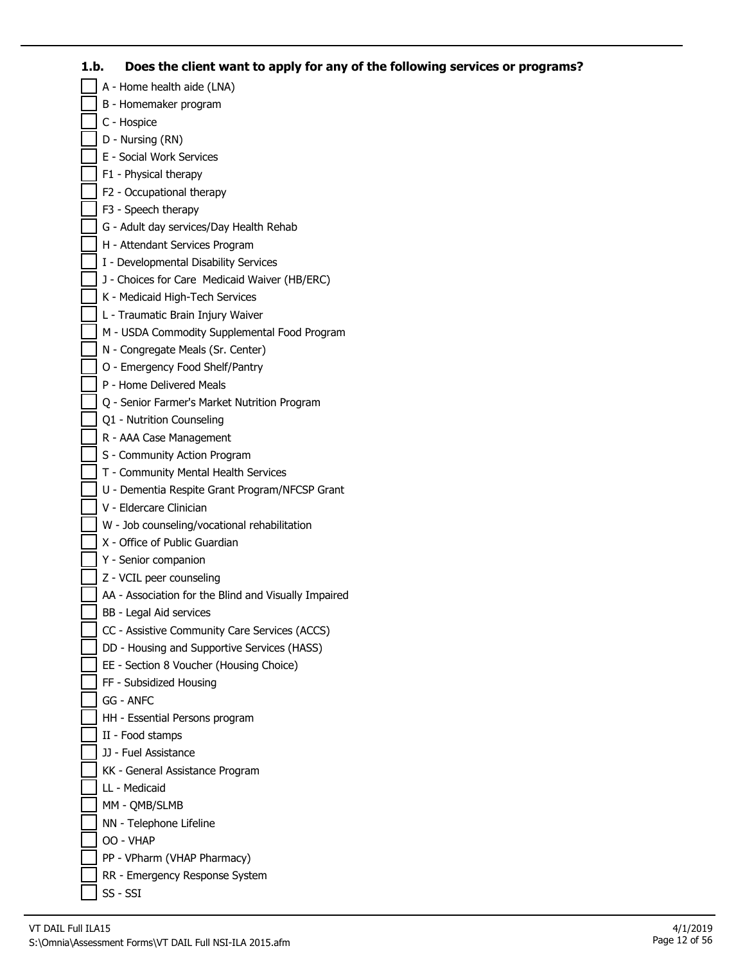## **1.b. Does the client want to apply for any of the following services or programs?**

A - Home health aide (LNA) B - Homemaker program C - Hospice D - Nursing (RN) E - Social Work Services F1 - Physical therapy F2 - Occupational therapy F3 - Speech therapy G - Adult day services/Day Health Rehab H - Attendant Services Program I - Developmental Disability Services J - Choices for Care Medicaid Waiver (HB/ERC) K - Medicaid High-Tech Services L - Traumatic Brain Injury Waiver M - USDA Commodity Supplemental Food Program N - Congregate Meals (Sr. Center) O - Emergency Food Shelf/Pantry P - Home Delivered Meals Q - Senior Farmer's Market Nutrition Program Q1 - Nutrition Counseling R - AAA Case Management S - Community Action Program T - Community Mental Health Services U - Dementia Respite Grant Program/NFCSP Grant V - Eldercare Clinician W - Job counseling/vocational rehabilitation X - Office of Public Guardian Y - Senior companion Z - VCIL peer counseling AA - Association for the Blind and Visually Impaired BB - Legal Aid services CC - Assistive Community Care Services (ACCS) DD - Housing and Supportive Services (HASS) EE - Section 8 Voucher (Housing Choice) FF - Subsidized Housing GG - ANFC HH - Essential Persons program II - Food stamps JJ - Fuel Assistance KK - General Assistance Program LL - Medicaid MM - QMB/SLMB NN - Telephone Lifeline OO - VHAP PP - VPharm (VHAP Pharmacy) RR - Emergency Response System SS - SSI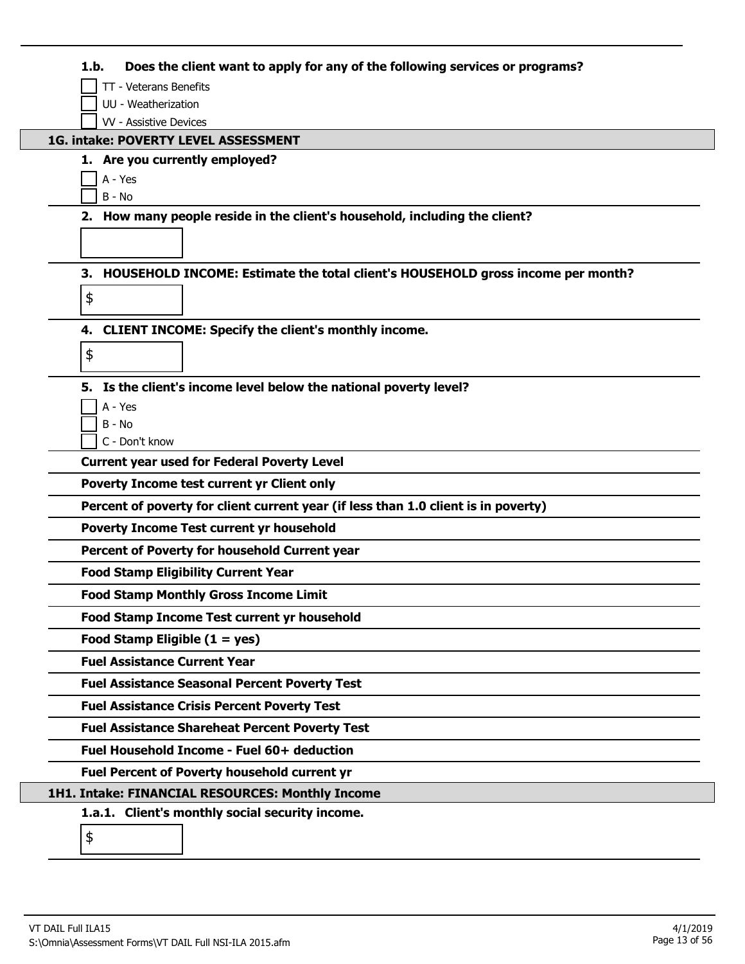| Does the client want to apply for any of the following services or programs?<br>1.b.  |
|---------------------------------------------------------------------------------------|
| TT - Veterans Benefits                                                                |
| UU - Weatherization                                                                   |
| <b>W</b> - Assistive Devices                                                          |
| 1G. intake: POVERTY LEVEL ASSESSMENT                                                  |
| 1. Are you currently employed?<br>A - Yes                                             |
| $B - No$                                                                              |
| 2. How many people reside in the client's household, including the client?            |
|                                                                                       |
|                                                                                       |
| HOUSEHOLD INCOME: Estimate the total client's HOUSEHOLD gross income per month?<br>З. |
| \$                                                                                    |
| 4. CLIENT INCOME: Specify the client's monthly income.                                |
|                                                                                       |
| \$                                                                                    |
| Is the client's income level below the national poverty level?<br>5.                  |
| A - Yes                                                                               |
| $B - No$                                                                              |
| C - Don't know                                                                        |
| <b>Current year used for Federal Poverty Level</b>                                    |
| <b>Poverty Income test current yr Client only</b>                                     |
| Percent of poverty for client current year (if less than 1.0 client is in poverty)    |
| <b>Poverty Income Test current yr household</b>                                       |
| Percent of Poverty for household Current year                                         |
| <b>Food Stamp Eligibility Current Year</b>                                            |
| <b>Food Stamp Monthly Gross Income Limit</b>                                          |
| Food Stamp Income Test current yr household                                           |
| Food Stamp Eligible $(1 = yes)$                                                       |
| <b>Fuel Assistance Current Year</b>                                                   |
| <b>Fuel Assistance Seasonal Percent Poverty Test</b>                                  |
| <b>Fuel Assistance Crisis Percent Poverty Test</b>                                    |
| <b>Fuel Assistance Shareheat Percent Poverty Test</b>                                 |
| Fuel Household Income - Fuel 60+ deduction                                            |
| <b>Fuel Percent of Poverty household current yr</b>                                   |
| 1H1. Intake: FINANCIAL RESOURCES: Monthly Income                                      |
| 1.a.1. Client's monthly social security income.                                       |
| \$                                                                                    |
|                                                                                       |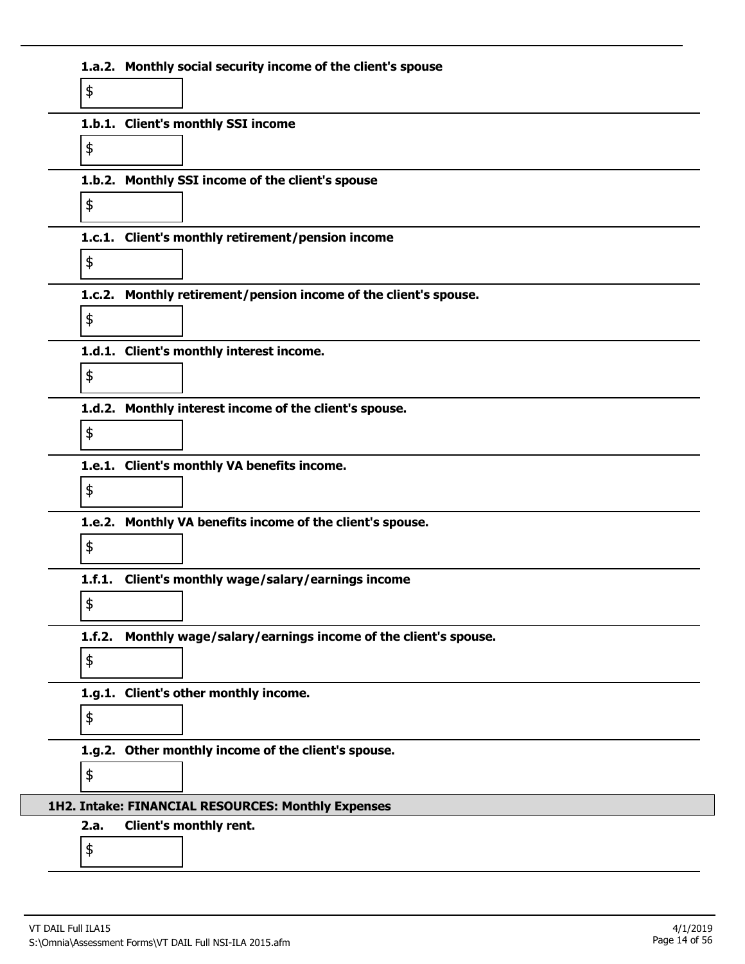|            | 1.a.2. Monthly social security income of the client's spouse     |
|------------|------------------------------------------------------------------|
| \$         |                                                                  |
|            | 1.b.1. Client's monthly SSI income                               |
| \$         |                                                                  |
|            | 1.b.2. Monthly SSI income of the client's spouse                 |
| \$         |                                                                  |
|            | 1.c.1. Client's monthly retirement/pension income                |
| \$         |                                                                  |
|            | 1.c.2. Monthly retirement/pension income of the client's spouse. |
| \$         |                                                                  |
|            | 1.d.1. Client's monthly interest income.                         |
| \$         |                                                                  |
|            | 1.d.2. Monthly interest income of the client's spouse.           |
| \$         |                                                                  |
|            | 1.e.1. Client's monthly VA benefits income.                      |
| \$         |                                                                  |
|            | 1.e.2. Monthly VA benefits income of the client's spouse.        |
| \$         |                                                                  |
|            | 1.f.1. Client's monthly wage/salary/earnings income              |
| \$         |                                                                  |
| 1.f.2.     | Monthly wage/salary/earnings income of the client's spouse.      |
| \$         |                                                                  |
|            | 1.g.1. Client's other monthly income.                            |
| \$         |                                                                  |
|            | 1.g.2. Other monthly income of the client's spouse.              |
| \$         |                                                                  |
|            | 1H2. Intake: FINANCIAL RESOURCES: Monthly Expenses               |
| 2.a.<br>\$ | Client's monthly rent.                                           |
|            |                                                                  |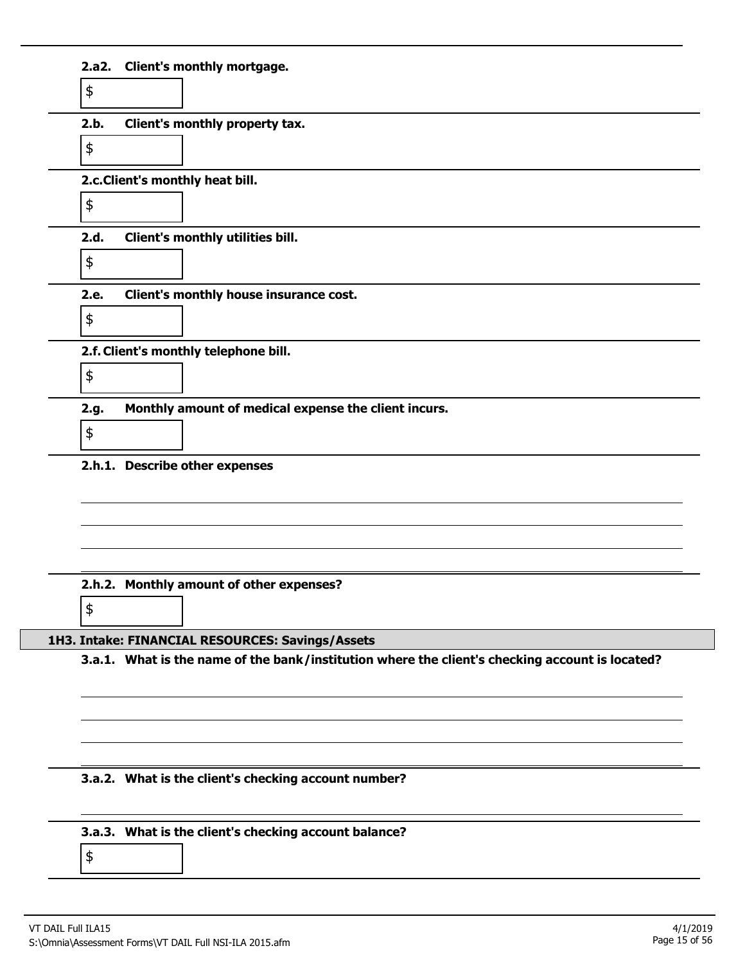| \$            |                                                                                                 |
|---------------|-------------------------------------------------------------------------------------------------|
| 2.b.          | Client's monthly property tax.                                                                  |
| \$            |                                                                                                 |
|               | 2.c. Client's monthly heat bill.                                                                |
| \$            |                                                                                                 |
| 2.d.          | Client's monthly utilities bill.                                                                |
| $\frac{1}{2}$ |                                                                                                 |
| 2.e.          | Client's monthly house insurance cost.                                                          |
| \$            |                                                                                                 |
|               | 2.f. Client's monthly telephone bill.                                                           |
| \$            |                                                                                                 |
| 2.g.          | Monthly amount of medical expense the client incurs.                                            |
| \$            |                                                                                                 |
|               |                                                                                                 |
|               | 2.h.1. Describe other expenses                                                                  |
|               |                                                                                                 |
|               |                                                                                                 |
|               |                                                                                                 |
|               | 2.h.2. Monthly amount of other expenses?                                                        |
| \$            |                                                                                                 |
|               | 1H3. Intake: FINANCIAL RESOURCES: Savings/Assets                                                |
|               | 3.a.1. What is the name of the bank/institution where the client's checking account is located? |
|               |                                                                                                 |
|               |                                                                                                 |
|               |                                                                                                 |
|               | 3.a.2. What is the client's checking account number?                                            |
|               |                                                                                                 |
|               | 3.a.3. What is the client's checking account balance?                                           |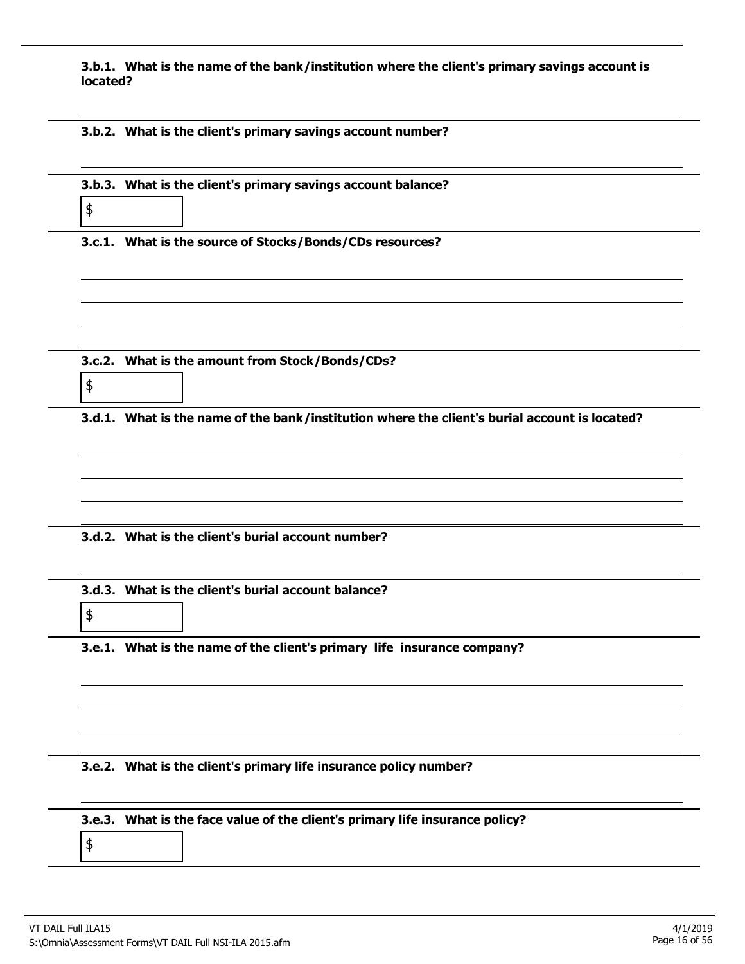**3.b.1. What is the name of the bank/institution where the client's primary savings account is located?**

|  |  | 3.b.2. What is the client's primary savings account number? |
|--|--|-------------------------------------------------------------|
|  |  |                                                             |

| \$ | 3.b.3. What is the client's primary savings account balance?                                  |
|----|-----------------------------------------------------------------------------------------------|
|    | 3.c.1. What is the source of Stocks/Bonds/CDs resources?                                      |
|    |                                                                                               |
| \$ | 3.c.2. What is the amount from Stock/Bonds/CDs?                                               |
|    | 3.d.1. What is the name of the bank/institution where the client's burial account is located? |
|    |                                                                                               |
|    |                                                                                               |
|    | 3.d.2. What is the client's burial account number?                                            |
|    |                                                                                               |
| \$ | 3.d.3. What is the client's burial account balance?                                           |
|    | 3.e.1. What is the name of the client's primary life insurance company?                       |
|    |                                                                                               |
|    |                                                                                               |
|    | 3.e.2. What is the client's primary life insurance policy number?                             |
| \$ | 3.e.3. What is the face value of the client's primary life insurance policy?                  |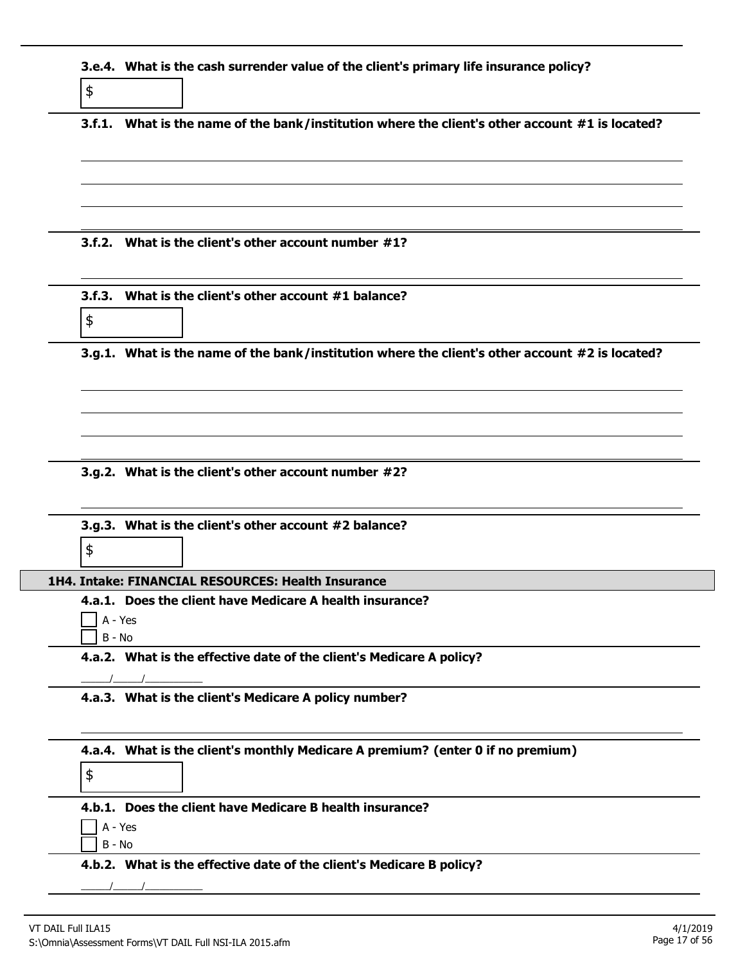| \$            | 3.e.4. What is the cash surrender value of the client's primary life insurance policy?          |
|---------------|-------------------------------------------------------------------------------------------------|
|               | 3.f.1. What is the name of the bank/institution where the client's other account #1 is located? |
|               | 3.f.2. What is the client's other account number #1?                                            |
|               |                                                                                                 |
| $\frac{1}{2}$ | 3.f.3. What is the client's other account #1 balance?                                           |
|               | 3.g.1. What is the name of the bank/institution where the client's other account #2 is located? |
|               |                                                                                                 |
|               | 3.g.2. What is the client's other account number #2?                                            |
|               |                                                                                                 |
| \$            | 3.g.3. What is the client's other account #2 balance?                                           |
|               | 1H4. Intake: FINANCIAL RESOURCES: Health Insurance                                              |
|               | 4.a.1. Does the client have Medicare A health insurance?<br>A - Yes<br>$B - No$                 |
|               | 4.a.2. What is the effective date of the client's Medicare A policy?                            |
|               | 4.a.3. What is the client's Medicare A policy number?                                           |
|               | 4.a.4. What is the client's monthly Medicare A premium? (enter 0 if no premium)                 |
| \$            |                                                                                                 |
|               | 4.b.1. Does the client have Medicare B health insurance?<br>A - Yes                             |
|               | B - No<br>4.b.2. What is the effective date of the client's Medicare B policy?                  |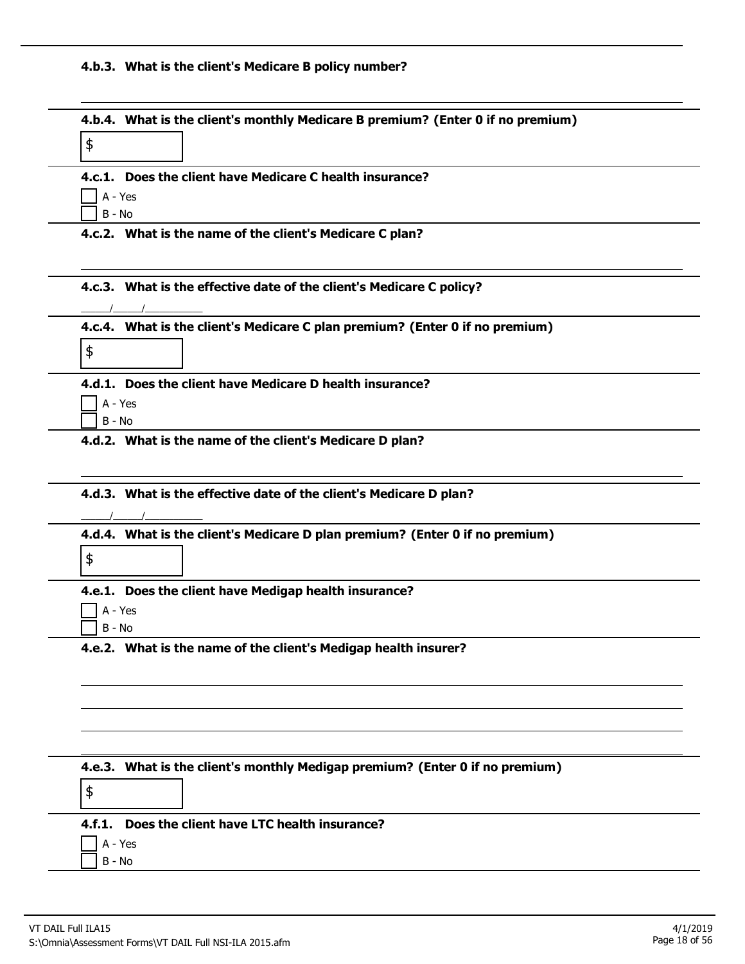# **4.b.3. What is the client's Medicare B policy number?**

|                     | 4.b.4. What is the client's monthly Medicare B premium? (Enter 0 if no premium) |  |
|---------------------|---------------------------------------------------------------------------------|--|
| \$                  |                                                                                 |  |
|                     |                                                                                 |  |
|                     | 4.c.1. Does the client have Medicare C health insurance?                        |  |
| A - Yes<br>$B - No$ |                                                                                 |  |
|                     | 4.c.2. What is the name of the client's Medicare C plan?                        |  |
|                     |                                                                                 |  |
|                     |                                                                                 |  |
|                     | 4.c.3. What is the effective date of the client's Medicare C policy?            |  |
|                     |                                                                                 |  |
|                     | 4.c.4. What is the client's Medicare C plan premium? (Enter 0 if no premium)    |  |
| \$                  |                                                                                 |  |
|                     |                                                                                 |  |
|                     | 4.d.1. Does the client have Medicare D health insurance?                        |  |
| A - Yes<br>$B - No$ |                                                                                 |  |
|                     |                                                                                 |  |
|                     | 4.d.2. What is the name of the client's Medicare D plan?                        |  |
|                     |                                                                                 |  |
|                     |                                                                                 |  |
|                     |                                                                                 |  |
|                     | 4.d.3. What is the effective date of the client's Medicare D plan?              |  |
|                     |                                                                                 |  |
|                     | 4.d.4. What is the client's Medicare D plan premium? (Enter 0 if no premium)    |  |
| \$                  |                                                                                 |  |
|                     |                                                                                 |  |
| A - Yes             | 4.e.1. Does the client have Medigap health insurance?                           |  |
| B - No              |                                                                                 |  |
|                     | 4.e.2. What is the name of the client's Medigap health insurer?                 |  |
|                     |                                                                                 |  |
|                     |                                                                                 |  |
|                     |                                                                                 |  |
|                     |                                                                                 |  |
|                     |                                                                                 |  |
|                     |                                                                                 |  |
|                     | 4.e.3. What is the client's monthly Medigap premium? (Enter 0 if no premium)    |  |
| \$                  |                                                                                 |  |
|                     | 4.f.1. Does the client have LTC health insurance?                               |  |
| A - Yes             |                                                                                 |  |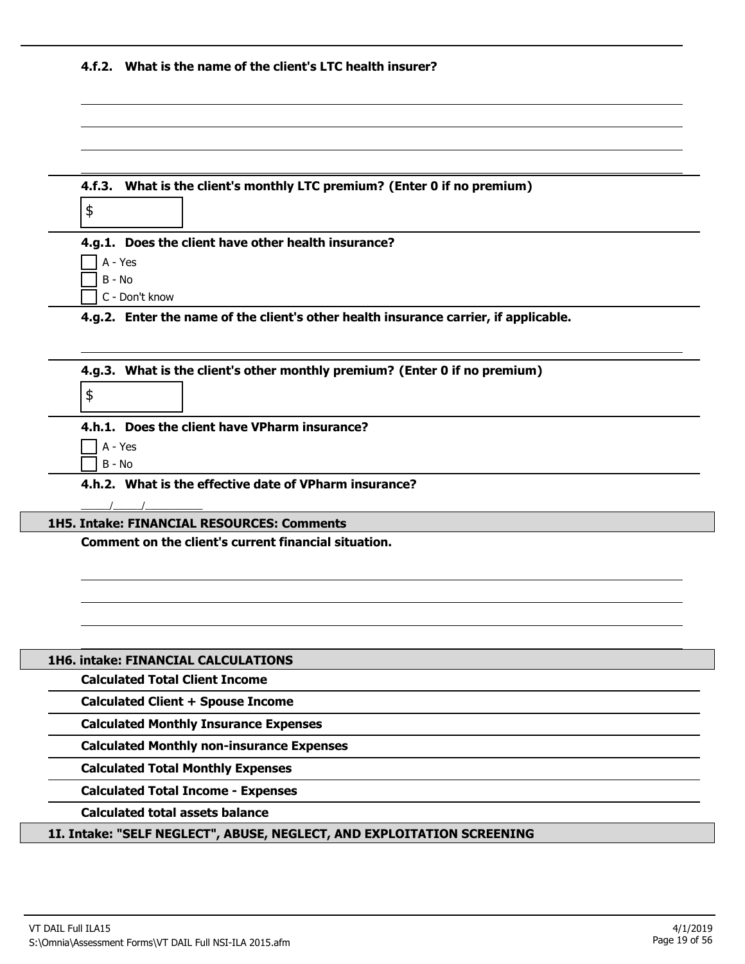|  |  | 4.f.2. What is the name of the client's LTC health insurer? |
|--|--|-------------------------------------------------------------|
|--|--|-------------------------------------------------------------|

| 4.f.3. What is the client's monthly LTC premium? (Enter 0 if no premium)                                  |
|-----------------------------------------------------------------------------------------------------------|
| \$                                                                                                        |
| 4.g.1. Does the client have other health insurance?                                                       |
| A - Yes                                                                                                   |
| B - No                                                                                                    |
| C - Don't know                                                                                            |
| 4.g.2. Enter the name of the client's other health insurance carrier, if applicable.                      |
| 4.g.3. What is the client's other monthly premium? (Enter 0 if no premium)                                |
| \$                                                                                                        |
| 4.h.1. Does the client have VPharm insurance?                                                             |
| A - Yes                                                                                                   |
| $B - No$                                                                                                  |
| 4.h.2. What is the effective date of VPharm insurance?                                                    |
|                                                                                                           |
| <b>1H5. Intake: FINANCIAL RESOURCES: Comments</b><br>Comment on the client's current financial situation. |
|                                                                                                           |
|                                                                                                           |
|                                                                                                           |
|                                                                                                           |
|                                                                                                           |
| <b>1H6. intake: FINANCIAL CALCULATIONS</b>                                                                |
| <b>Calculated Total Client Income</b>                                                                     |
| <b>Calculated Client + Spouse Income</b>                                                                  |
| <b>Calculated Monthly Insurance Expenses</b>                                                              |
| <b>Calculated Monthly non-insurance Expenses</b>                                                          |
| <b>Calculated Total Monthly Expenses</b>                                                                  |
| <b>Calculated Total Income - Expenses</b>                                                                 |
| <b>Calculated total assets balance</b>                                                                    |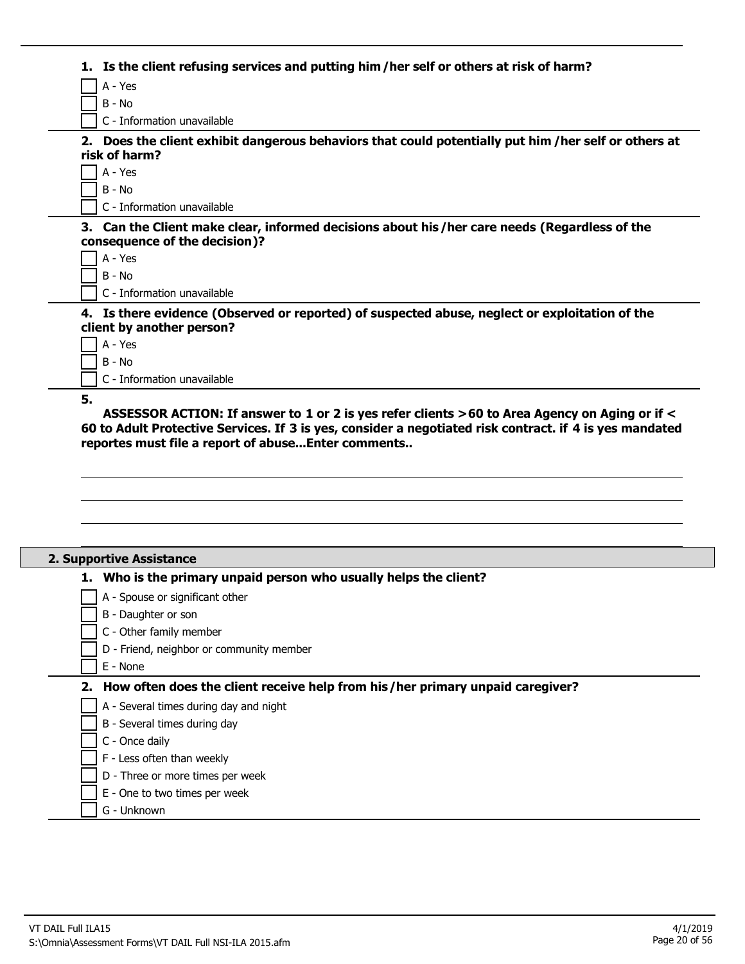| Is the client refusing services and putting him/her self or others at risk of harm?                                           |
|-------------------------------------------------------------------------------------------------------------------------------|
| A - Yes                                                                                                                       |
| $B - No$                                                                                                                      |
| C - Information unavailable                                                                                                   |
| Does the client exhibit dangerous behaviors that could potentially put him / her self or others at<br>2.<br>risk of harm?     |
| A - Yes                                                                                                                       |
| B - No                                                                                                                        |
| C - Information unavailable                                                                                                   |
| 3. Can the Client make clear, informed decisions about his/her care needs (Regardless of the<br>consequence of the decision)? |
| A - Yes                                                                                                                       |
| $B - No$                                                                                                                      |
| C - Information unavailable                                                                                                   |
| 4. Is there evidence (Observed or reported) of suspected abuse, neglect or exploitation of the<br>client by another person?   |
| A - Yes                                                                                                                       |
| $B - No$                                                                                                                      |
| C - Information unavailable                                                                                                   |
| 5.                                                                                                                            |

**ASSESSOR ACTION: If answer to 1 or 2 is yes refer clients >60 to Area Agency on Aging or if < 60 to Adult Protective Services. If 3 is yes, consider a negotiated risk contract. if 4 is yes mandated reportes must file a report of abuse...Enter comments..**

| 2. Supportive Assistance                                                         |
|----------------------------------------------------------------------------------|
| Who is the primary unpaid person who usually helps the client?                   |
| A - Spouse or significant other                                                  |
| B - Daughter or son                                                              |
| C - Other family member                                                          |
| D - Friend, neighbor or community member                                         |
| E - None                                                                         |
| 2. How often does the client receive help from his/her primary unpaid caregiver? |
| A - Several times during day and night                                           |
| B - Several times during day                                                     |
| C - Once daily                                                                   |
| F - Less often than weekly                                                       |
| D - Three or more times per week                                                 |
| E - One to two times per week                                                    |
| G - Unknown                                                                      |
|                                                                                  |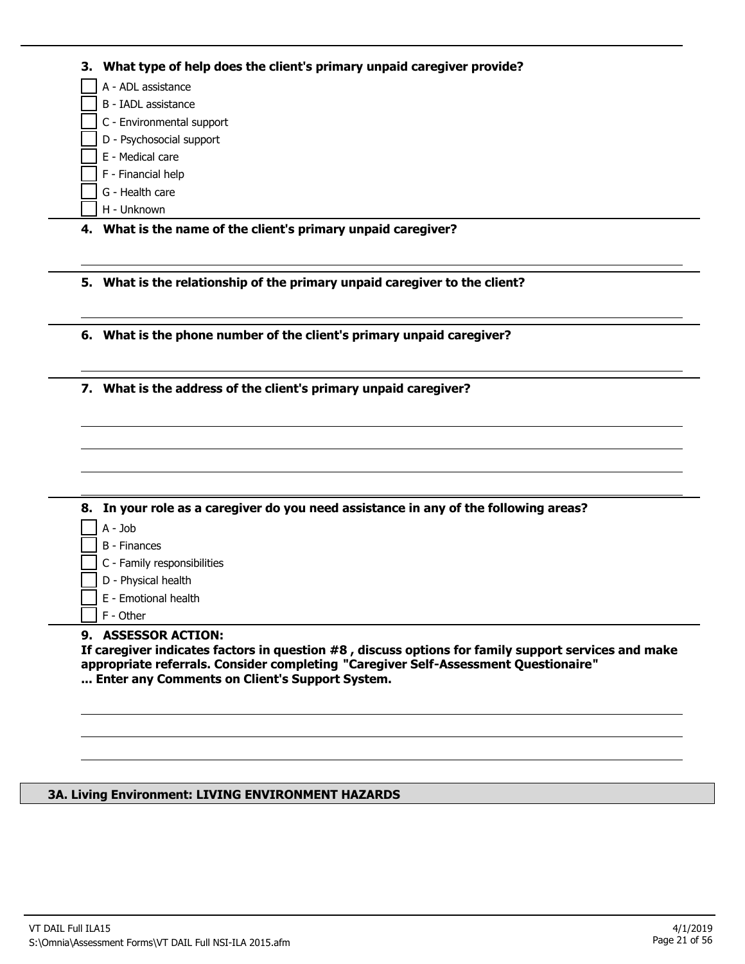|    | A - ADL assistance                                                                                                                        |
|----|-------------------------------------------------------------------------------------------------------------------------------------------|
|    | B - IADL assistance                                                                                                                       |
|    | C - Environmental support                                                                                                                 |
|    | D - Psychosocial support                                                                                                                  |
|    | E - Medical care                                                                                                                          |
|    | F - Financial help                                                                                                                        |
|    | G - Health care                                                                                                                           |
|    | H - Unknown                                                                                                                               |
|    | 4. What is the name of the client's primary unpaid caregiver?                                                                             |
| 5. | What is the relationship of the primary unpaid caregiver to the client?                                                                   |
|    |                                                                                                                                           |
|    | 6. What is the phone number of the client's primary unpaid caregiver?<br>7. What is the address of the client's primary unpaid caregiver? |
|    |                                                                                                                                           |
|    |                                                                                                                                           |
|    | 8. In your role as a caregiver do you need assistance in any of the following areas?                                                      |
|    | A - Job                                                                                                                                   |
|    | <b>B</b> - Finances                                                                                                                       |
|    | C - Family responsibilities                                                                                                               |
|    | D - Physical health                                                                                                                       |
|    | E - Emotional health<br>F - Other                                                                                                         |
|    | 9. ASSESSOR ACTION:                                                                                                                       |

# **3A. Living Environment: LIVING ENVIRONMENT HAZARDS**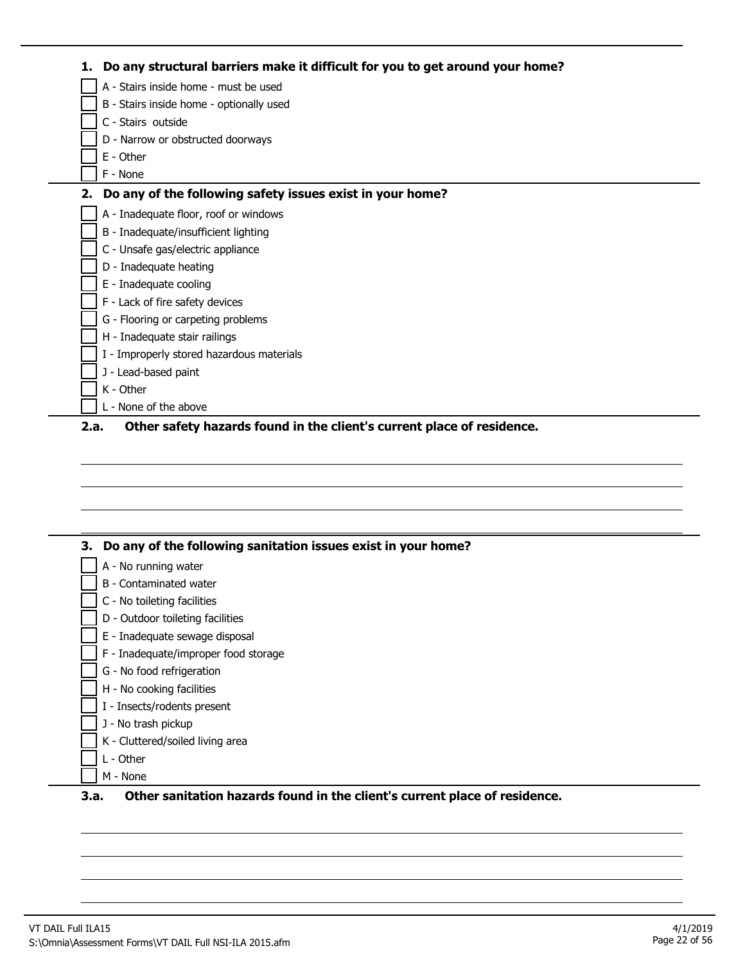| 1. | Do any structural barriers make it difficult for you to get around your home?  |
|----|--------------------------------------------------------------------------------|
|    | A - Stairs inside home - must be used                                          |
|    | B - Stairs inside home - optionally used                                       |
|    | C - Stairs outside                                                             |
|    | D - Narrow or obstructed doorways                                              |
|    | E - Other                                                                      |
|    | F - None                                                                       |
| 2. | Do any of the following safety issues exist in your home?                      |
|    | A - Inadequate floor, roof or windows                                          |
|    | B - Inadequate/insufficient lighting                                           |
|    | C - Unsafe gas/electric appliance                                              |
|    | D - Inadequate heating                                                         |
|    | E - Inadequate cooling                                                         |
|    | F - Lack of fire safety devices                                                |
|    | G - Flooring or carpeting problems                                             |
|    | H - Inadequate stair railings                                                  |
|    | I - Improperly stored hazardous materials                                      |
|    | J - Lead-based paint                                                           |
|    | K - Other                                                                      |
|    | L - None of the above                                                          |
|    | Other safety hazards found in the client's current place of residence.<br>2.a. |

| Do any of the following sanitation issues exist in your home?<br>З. |
|---------------------------------------------------------------------|
| A - No running water                                                |
| B - Contaminated water                                              |
| C - No toileting facilities                                         |
| D - Outdoor toileting facilities                                    |
| E - Inadequate sewage disposal                                      |
| F - Inadequate/improper food storage                                |
| G - No food refrigeration                                           |
| H - No cooking facilities                                           |
| I - Insects/rodents present                                         |
| J - No trash pickup                                                 |
| K - Cluttered/soiled living area                                    |
| L - Other                                                           |
| M - None                                                            |

# **3.a. Other sanitation hazards found in the client's current place of residence.**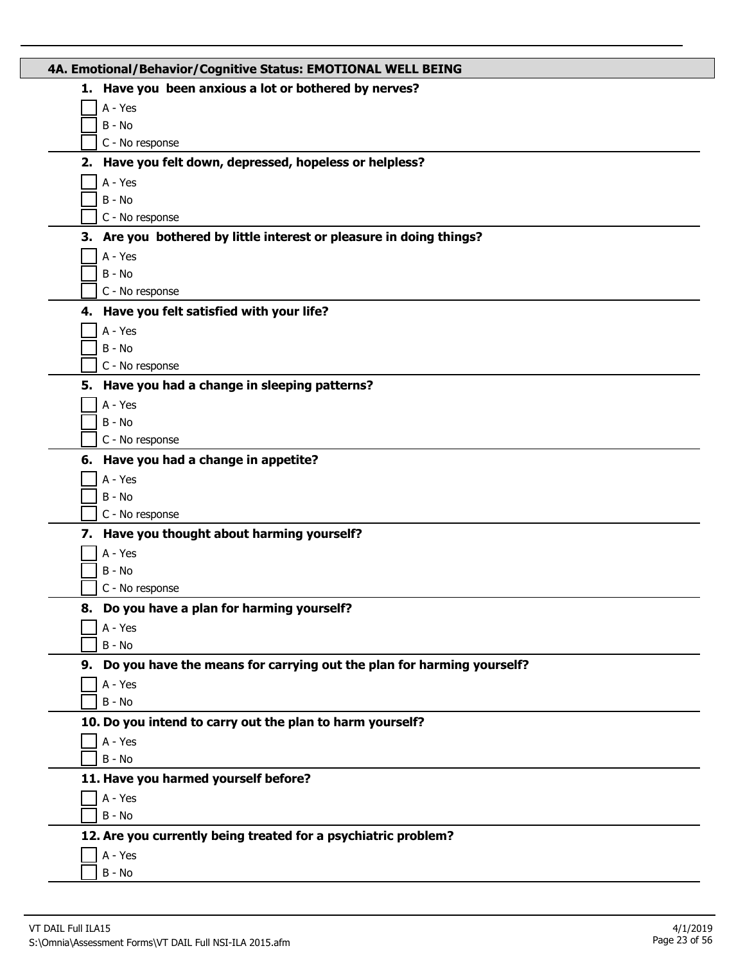| 4A. Emotional/Behavior/Cognitive Status: EMOTIONAL WELL BEING            |
|--------------------------------------------------------------------------|
| 1. Have you been anxious a lot or bothered by nerves?                    |
| A - Yes                                                                  |
| B - No                                                                   |
| C - No response                                                          |
| 2. Have you felt down, depressed, hopeless or helpless?                  |
| A - Yes                                                                  |
| B - No                                                                   |
| C - No response                                                          |
| 3. Are you bothered by little interest or pleasure in doing things?      |
| A - Yes                                                                  |
| $B - No$                                                                 |
| C - No response                                                          |
| 4. Have you felt satisfied with your life?                               |
| A - Yes                                                                  |
| $B - No$                                                                 |
| C - No response                                                          |
| 5. Have you had a change in sleeping patterns?                           |
| A - Yes                                                                  |
| $B - No$                                                                 |
| C - No response                                                          |
| 6. Have you had a change in appetite?                                    |
| A - Yes                                                                  |
| B - No                                                                   |
| C - No response                                                          |
| 7. Have you thought about harming yourself?                              |
| A - Yes                                                                  |
| $B - No$                                                                 |
| C - No response                                                          |
| 8. Do you have a plan for harming yourself?                              |
| A - Yes                                                                  |
| $B - No$                                                                 |
| 9. Do you have the means for carrying out the plan for harming yourself? |
| A - Yes                                                                  |
| $B - No$                                                                 |
| 10. Do you intend to carry out the plan to harm yourself?                |
| A - Yes<br>$B - No$                                                      |
|                                                                          |
| 11. Have you harmed yourself before?                                     |
| A - Yes<br>$B - No$                                                      |
|                                                                          |
| 12. Are you currently being treated for a psychiatric problem?           |
| A - Yes<br>B - No                                                        |
|                                                                          |

L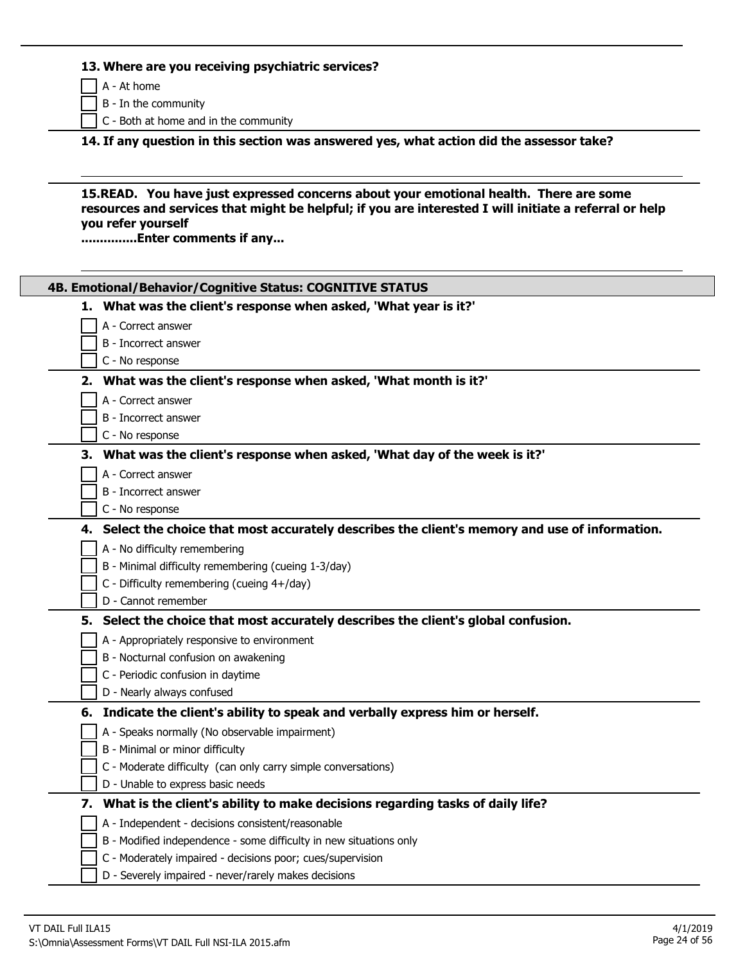#### **13. Where are you receiving psychiatric services?**

A - At home

B - In the community

C - Both at home and in the community

**14. If any question in this section was answered yes, what action did the assessor take?**

**15.READ. You have just expressed concerns about your emotional health. There are some resources and services that might be helpful; if you are interested I will initiate a referral or help you refer yourself**

**...............Enter comments if any...**

| 4B. Emotional/Behavior/Cognitive Status: COGNITIVE STATUS                                       |
|-------------------------------------------------------------------------------------------------|
| 1. What was the client's response when asked, 'What year is it?'                                |
| A - Correct answer                                                                              |
| B - Incorrect answer                                                                            |
| C - No response                                                                                 |
| 2. What was the client's response when asked, 'What month is it?'                               |
| A - Correct answer                                                                              |
| B - Incorrect answer                                                                            |
| C - No response                                                                                 |
| 3. What was the client's response when asked, 'What day of the week is it?'                     |
| A - Correct answer                                                                              |
| B - Incorrect answer                                                                            |
| C - No response                                                                                 |
| 4. Select the choice that most accurately describes the client's memory and use of information. |
| A - No difficulty remembering                                                                   |
| B - Minimal difficulty remembering (cueing 1-3/day)                                             |
| C - Difficulty remembering (cueing 4+/day)                                                      |
| D - Cannot remember                                                                             |
| 5. Select the choice that most accurately describes the client's global confusion.              |
| A - Appropriately responsive to environment                                                     |
| B - Nocturnal confusion on awakening                                                            |
| C - Periodic confusion in daytime                                                               |
| D - Nearly always confused                                                                      |
| 6. Indicate the client's ability to speak and verbally express him or herself.                  |
| A - Speaks normally (No observable impairment)                                                  |
| B - Minimal or minor difficulty                                                                 |
| C - Moderate difficulty (can only carry simple conversations)                                   |
| D - Unable to express basic needs                                                               |
| 7. What is the client's ability to make decisions regarding tasks of daily life?                |
| A - Independent - decisions consistent/reasonable                                               |
| B - Modified independence - some difficulty in new situations only                              |
| C - Moderately impaired - decisions poor; cues/supervision                                      |
| D - Severely impaired - never/rarely makes decisions                                            |
|                                                                                                 |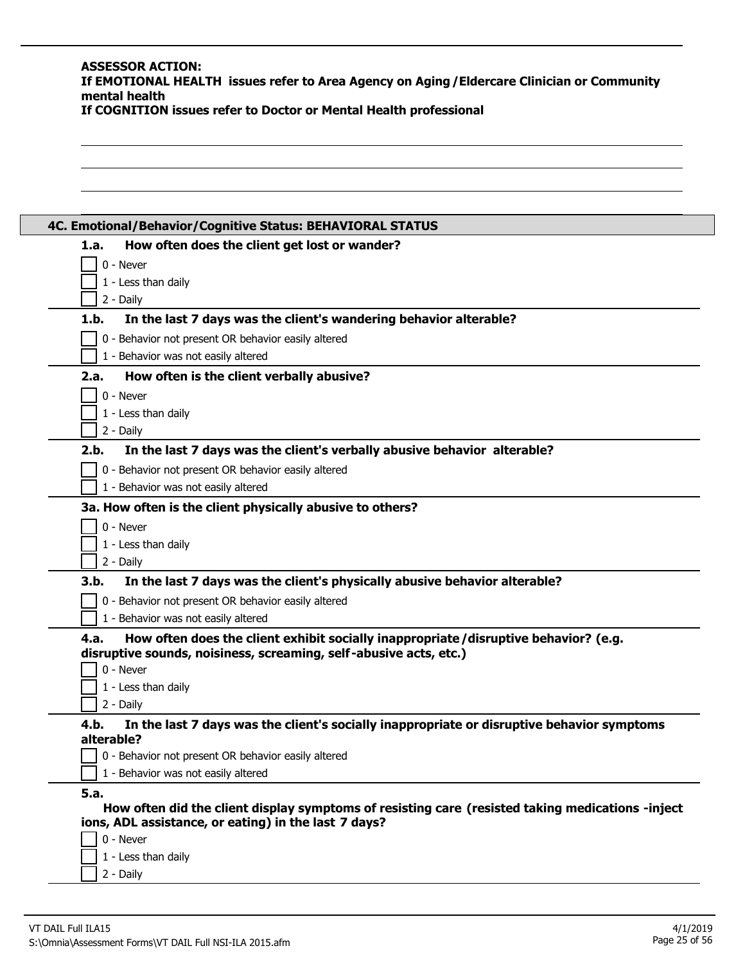#### **ASSESSOR ACTION: If EMOTIONAL HEALTH issues refer to Area Agency on Aging/Eldercare Clinician or Community mental health If COGNITION issues refer to Doctor or Mental Health professional**

| 1.a. | How often does the client get lost or wander?                                                                                                            |
|------|----------------------------------------------------------------------------------------------------------------------------------------------------------|
|      | 0 - Never                                                                                                                                                |
|      | 1 - Less than daily                                                                                                                                      |
|      | 2 - Daily                                                                                                                                                |
| 1.b. | In the last 7 days was the client's wandering behavior alterable?                                                                                        |
|      | 0 - Behavior not present OR behavior easily altered                                                                                                      |
|      | 1 - Behavior was not easily altered                                                                                                                      |
| 2.a. | How often is the client verbally abusive?                                                                                                                |
|      | 0 - Never                                                                                                                                                |
|      | 1 - Less than daily                                                                                                                                      |
|      | 2 - Daily                                                                                                                                                |
| 2.b. | In the last 7 days was the client's verbally abusive behavior alterable?                                                                                 |
|      | 0 - Behavior not present OR behavior easily altered                                                                                                      |
|      | 1 - Behavior was not easily altered                                                                                                                      |
|      | 3a. How often is the client physically abusive to others?                                                                                                |
|      | 0 - Never                                                                                                                                                |
|      | 1 - Less than daily                                                                                                                                      |
|      | 2 - Daily                                                                                                                                                |
| 3.b. | In the last 7 days was the client's physically abusive behavior alterable?                                                                               |
|      | 0 - Behavior not present OR behavior easily altered                                                                                                      |
|      | 1 - Behavior was not easily altered                                                                                                                      |
| 4.a. | How often does the client exhibit socially inappropriate/disruptive behavior? (e.g.<br>disruptive sounds, noisiness, screaming, self-abusive acts, etc.) |
|      | 0 - Never                                                                                                                                                |
|      | 1 - Less than daily                                                                                                                                      |
|      | 2 - Daily                                                                                                                                                |
| 4.b. | In the last 7 days was the client's socially inappropriate or disruptive behavior symptoms                                                               |
|      | alterable?                                                                                                                                               |
|      | 0 - Behavior not present OR behavior easily altered                                                                                                      |
|      | 1 - Behavior was not easily altered                                                                                                                      |
| 5.a. |                                                                                                                                                          |
|      | How often did the client display symptoms of resisting care (resisted taking medications -inject<br>ions, ADL assistance, or eating) in the last 7 days? |
|      | 0 - Never                                                                                                                                                |
|      | 1 - Less than daily                                                                                                                                      |
|      | 2 - Daily                                                                                                                                                |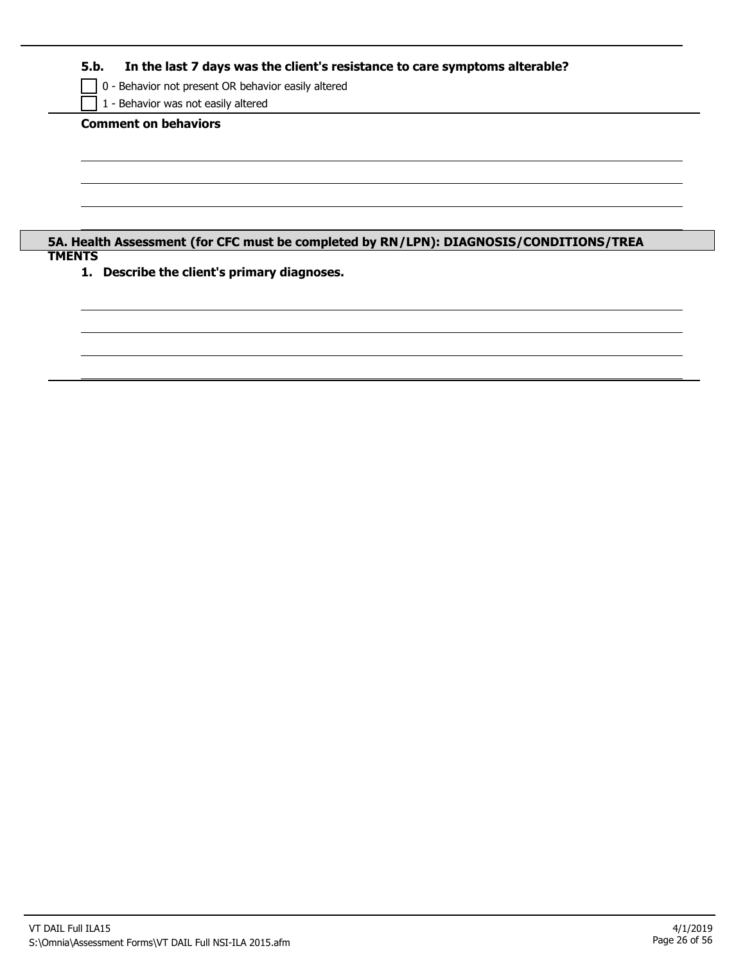**5.b. In the last 7 days was the client's resistance to care symptoms alterable?**

0 - Behavior not present OR behavior easily altered

1 - Behavior was not easily altered

**Comment on behaviors**

**5A. Health Assessment (for CFC must be completed by RN/LPN): DIAGNOSIS/CONDITIONS/TREA TMENTS**

**1. Describe the client's primary diagnoses.**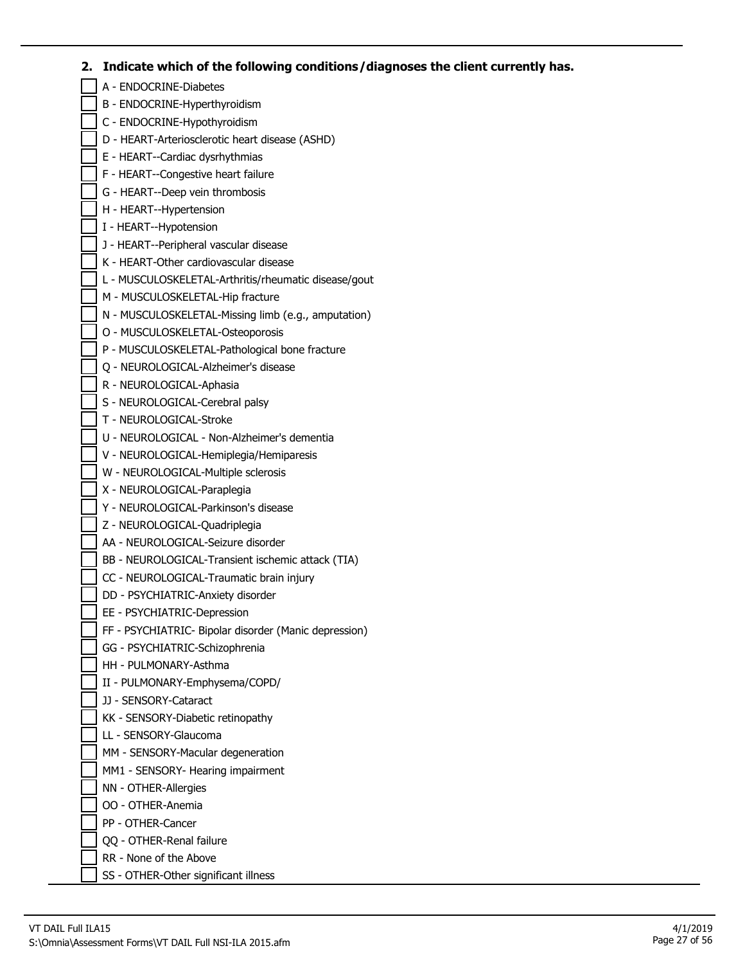# **2. Indicate which of the following conditions/diagnoses the client currently has.**

| A - ENDOCRINE-Diabetes                                              |
|---------------------------------------------------------------------|
| B - ENDOCRINE-Hyperthyroidism                                       |
| C - ENDOCRINE-Hypothyroidism                                        |
| D - HEART-Arteriosclerotic heart disease (ASHD)                     |
| E - HEART--Cardiac dysrhythmias                                     |
| F - HEART--Congestive heart failure                                 |
| G - HEART--Deep vein thrombosis                                     |
| H - HEART--Hypertension                                             |
| I - HEART--Hypotension                                              |
| J - HEART--Peripheral vascular disease                              |
| K - HEART-Other cardiovascular disease                              |
| L - MUSCULOSKELETAL-Arthritis/rheumatic disease/gout                |
| M - MUSCULOSKELETAL-Hip fracture                                    |
| N - MUSCULOSKELETAL-Missing limb (e.g., amputation)                 |
| O - MUSCULOSKELETAL-Osteoporosis                                    |
| P - MUSCULOSKELETAL-Pathological bone fracture                      |
| Q - NEUROLOGICAL-Alzheimer's disease                                |
| R - NEUROLOGICAL-Aphasia                                            |
| S - NEUROLOGICAL-Cerebral palsy                                     |
| T - NEUROLOGICAL-Stroke                                             |
| U - NEUROLOGICAL - Non-Alzheimer's dementia                         |
| V - NEUROLOGICAL-Hemiplegia/Hemiparesis                             |
| W - NEUROLOGICAL-Multiple sclerosis                                 |
|                                                                     |
| X - NEUROLOGICAL-Paraplegia<br>Y - NEUROLOGICAL-Parkinson's disease |
|                                                                     |
| Z - NEUROLOGICAL-Quadriplegia                                       |
| AA - NEUROLOGICAL-Seizure disorder                                  |
| BB - NEUROLOGICAL-Transient ischemic attack (TIA)                   |
| CC - NEUROLOGICAL-Traumatic brain injury                            |
| DD - PSYCHIATRIC-Anxiety disorder                                   |
| EE - PSYCHIATRIC-Depression                                         |
| FF - PSYCHIATRIC- Bipolar disorder (Manic depression)               |
| GG - PSYCHIATRIC-Schizophrenia                                      |
| HH - PULMONARY-Asthma                                               |
| II - PULMONARY-Emphysema/COPD/                                      |
| JJ - SENSORY-Cataract                                               |
| KK - SENSORY-Diabetic retinopathy                                   |
| LL - SENSORY-Glaucoma                                               |
| MM - SENSORY-Macular degeneration                                   |
| MM1 - SENSORY- Hearing impairment                                   |
| NN - OTHER-Allergies                                                |
| OO - OTHER-Anemia                                                   |
| PP - OTHER-Cancer                                                   |
| QQ - OTHER-Renal failure                                            |
| RR - None of the Above                                              |
| SS - OTHER-Other significant illness                                |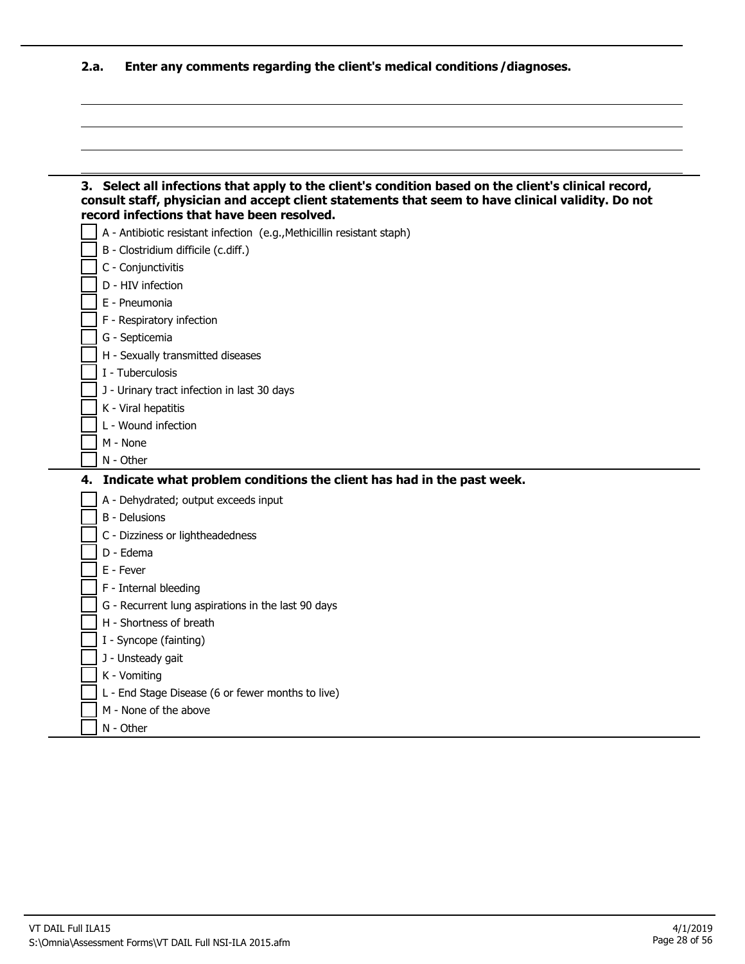**2.a. Enter any comments regarding the client's medical conditions/diagnoses.**

|    | 3. Select all infections that apply to the client's condition based on the client's clinical record,<br>consult staff, physician and accept client statements that seem to have clinical validity. Do not<br>record infections that have been resolved. |
|----|---------------------------------------------------------------------------------------------------------------------------------------------------------------------------------------------------------------------------------------------------------|
|    | A - Antibiotic resistant infection (e.g., Methicillin resistant staph)                                                                                                                                                                                  |
|    | B - Clostridium difficile (c.diff.)                                                                                                                                                                                                                     |
|    | C - Conjunctivitis                                                                                                                                                                                                                                      |
|    | D - HIV infection                                                                                                                                                                                                                                       |
|    | E - Pneumonia                                                                                                                                                                                                                                           |
|    | F - Respiratory infection                                                                                                                                                                                                                               |
|    | G - Septicemia                                                                                                                                                                                                                                          |
|    | H - Sexually transmitted diseases                                                                                                                                                                                                                       |
|    | I - Tuberculosis                                                                                                                                                                                                                                        |
|    | J - Urinary tract infection in last 30 days                                                                                                                                                                                                             |
|    | K - Viral hepatitis                                                                                                                                                                                                                                     |
|    | L - Wound infection                                                                                                                                                                                                                                     |
|    | M - None                                                                                                                                                                                                                                                |
|    | $N - Other$                                                                                                                                                                                                                                             |
|    |                                                                                                                                                                                                                                                         |
| 4. | Indicate what problem conditions the client has had in the past week.                                                                                                                                                                                   |
|    | A - Dehydrated; output exceeds input                                                                                                                                                                                                                    |
|    | <b>B</b> - Delusions                                                                                                                                                                                                                                    |
|    | C - Dizziness or lightheadedness                                                                                                                                                                                                                        |
|    | D - Edema                                                                                                                                                                                                                                               |
|    | E - Fever                                                                                                                                                                                                                                               |
|    | F - Internal bleeding                                                                                                                                                                                                                                   |
|    | G - Recurrent lung aspirations in the last 90 days                                                                                                                                                                                                      |
|    | H - Shortness of breath                                                                                                                                                                                                                                 |
|    | I - Syncope (fainting)                                                                                                                                                                                                                                  |
|    | J - Unsteady gait                                                                                                                                                                                                                                       |
|    | K - Vomiting                                                                                                                                                                                                                                            |
|    | L - End Stage Disease (6 or fewer months to live)                                                                                                                                                                                                       |
|    | M - None of the above                                                                                                                                                                                                                                   |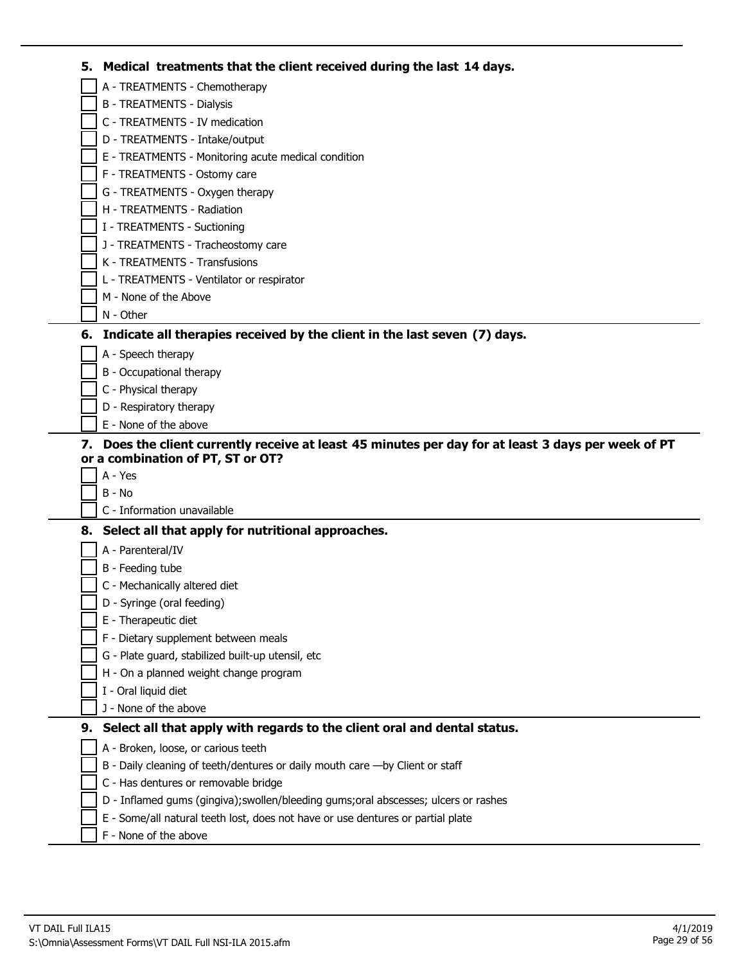| 5. | Medical treatments that the client received during the last 14 days.                             |
|----|--------------------------------------------------------------------------------------------------|
|    | A - TREATMENTS - Chemotherapy                                                                    |
|    | <b>B - TREATMENTS - Dialysis</b>                                                                 |
|    | C - TREATMENTS - IV medication                                                                   |
|    | D - TREATMENTS - Intake/output                                                                   |
|    | E - TREATMENTS - Monitoring acute medical condition                                              |
|    | F - TREATMENTS - Ostomy care                                                                     |
|    | G - TREATMENTS - Oxygen therapy                                                                  |
|    | H - TREATMENTS - Radiation                                                                       |
|    | I - TREATMENTS - Suctioning                                                                      |
|    | J - TREATMENTS - Tracheostomy care                                                               |
|    | K - TREATMENTS - Transfusions                                                                    |
|    | L - TREATMENTS - Ventilator or respirator                                                        |
|    | M - None of the Above                                                                            |
|    | N - Other                                                                                        |
|    | 6. Indicate all therapies received by the client in the last seven (7) days.                     |
|    | A - Speech therapy                                                                               |
|    | B - Occupational therapy                                                                         |
|    | C - Physical therapy                                                                             |
|    | D - Respiratory therapy                                                                          |
|    | E - None of the above                                                                            |
| 7. | Does the client currently receive at least 45 minutes per day for at least 3 days per week of PT |
|    | or a combination of PT, ST or OT?                                                                |
|    | A - Yes                                                                                          |
|    | B - No                                                                                           |
|    | C - Information unavailable                                                                      |
|    | 8. Select all that apply for nutritional approaches.                                             |
|    | A - Parenteral/IV                                                                                |
|    | B - Feeding tube                                                                                 |
|    | C - Mechanically altered diet                                                                    |
|    | D - Syringe (oral feeding)                                                                       |
|    | E - Therapeutic diet                                                                             |
|    | F - Dietary supplement between meals                                                             |
|    | G - Plate guard, stabilized built-up utensil, etc                                                |
|    | H - On a planned weight change program                                                           |
|    | I - Oral liquid diet<br>J - None of the above                                                    |
|    |                                                                                                  |
| 9. | Select all that apply with regards to the client oral and dental status.                         |
|    | A - Broken, loose, or carious teeth                                                              |
|    | B - Daily cleaning of teeth/dentures or daily mouth care - by Client or staff                    |
|    | C - Has dentures or removable bridge                                                             |
|    | D - Inflamed gums (gingiva); swollen/bleeding gums; oral abscesses; ulcers or rashes             |
|    | E - Some/all natural teeth lost, does not have or use dentures or partial plate                  |
|    | F - None of the above                                                                            |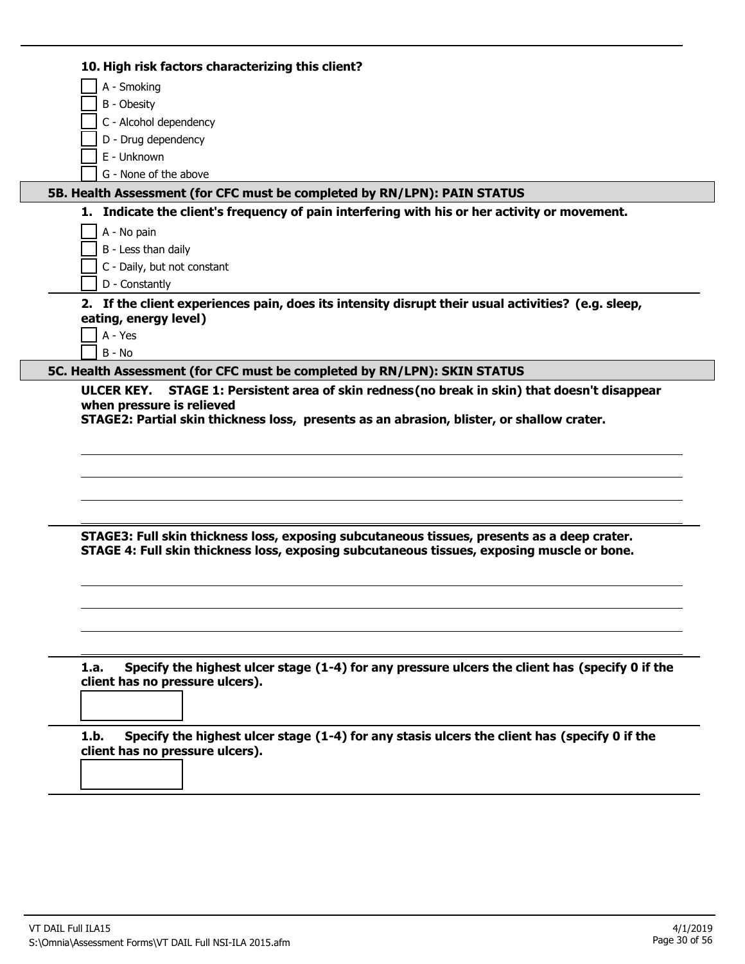| 10. High risk factors characterizing this client?<br>A - Smoking<br>B - Obesity<br>C - Alcohol dependency<br>D - Drug dependency<br>E - Unknown<br>G - None of the above<br>5B. Health Assessment (for CFC must be completed by RN/LPN): PAIN STATUS<br>1. Indicate the client's frequency of pain interfering with his or her activity or movement. |
|------------------------------------------------------------------------------------------------------------------------------------------------------------------------------------------------------------------------------------------------------------------------------------------------------------------------------------------------------|
|                                                                                                                                                                                                                                                                                                                                                      |
|                                                                                                                                                                                                                                                                                                                                                      |
|                                                                                                                                                                                                                                                                                                                                                      |
|                                                                                                                                                                                                                                                                                                                                                      |
|                                                                                                                                                                                                                                                                                                                                                      |
|                                                                                                                                                                                                                                                                                                                                                      |
|                                                                                                                                                                                                                                                                                                                                                      |
|                                                                                                                                                                                                                                                                                                                                                      |
| A - No pain                                                                                                                                                                                                                                                                                                                                          |
| B - Less than daily                                                                                                                                                                                                                                                                                                                                  |
| C - Daily, but not constant                                                                                                                                                                                                                                                                                                                          |
| D - Constantly                                                                                                                                                                                                                                                                                                                                       |
| 2. If the client experiences pain, does its intensity disrupt their usual activities? (e.g. sleep,                                                                                                                                                                                                                                                   |
| eating, energy level)                                                                                                                                                                                                                                                                                                                                |
| A - Yes                                                                                                                                                                                                                                                                                                                                              |
| $B - No$                                                                                                                                                                                                                                                                                                                                             |
| 5C. Health Assessment (for CFC must be completed by RN/LPN): SKIN STATUS                                                                                                                                                                                                                                                                             |
|                                                                                                                                                                                                                                                                                                                                                      |
|                                                                                                                                                                                                                                                                                                                                                      |
|                                                                                                                                                                                                                                                                                                                                                      |
|                                                                                                                                                                                                                                                                                                                                                      |
| STAGE3: Full skin thickness loss, exposing subcutaneous tissues, presents as a deep crater.<br>STAGE 4: Full skin thickness loss, exposing subcutaneous tissues, exposing muscle or bone.                                                                                                                                                            |
|                                                                                                                                                                                                                                                                                                                                                      |
|                                                                                                                                                                                                                                                                                                                                                      |
| Specify the highest ulcer stage (1-4) for any pressure ulcers the client has (specify 0 if the<br>1.a.<br>client has no pressure ulcers).                                                                                                                                                                                                            |
|                                                                                                                                                                                                                                                                                                                                                      |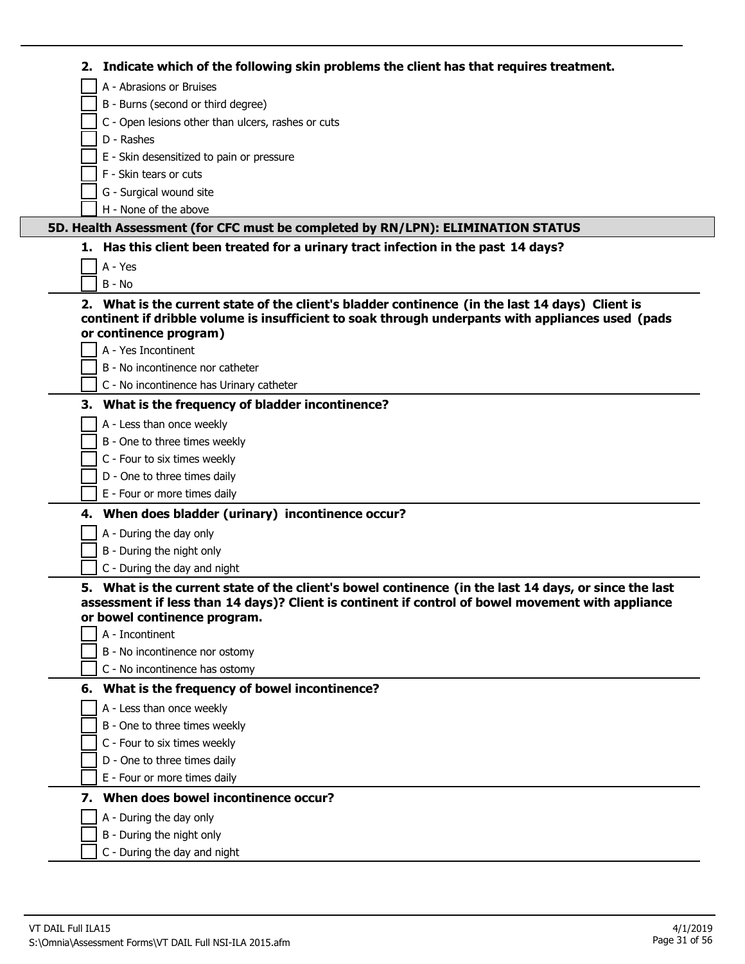| 2. Indicate which of the following skin problems the client has that requires treatment.                                                                                                                                                                      |
|---------------------------------------------------------------------------------------------------------------------------------------------------------------------------------------------------------------------------------------------------------------|
| A - Abrasions or Bruises                                                                                                                                                                                                                                      |
| B - Burns (second or third degree)                                                                                                                                                                                                                            |
| C - Open lesions other than ulcers, rashes or cuts                                                                                                                                                                                                            |
| D - Rashes                                                                                                                                                                                                                                                    |
| E - Skin desensitized to pain or pressure                                                                                                                                                                                                                     |
| F - Skin tears or cuts                                                                                                                                                                                                                                        |
| G - Surgical wound site                                                                                                                                                                                                                                       |
| H - None of the above                                                                                                                                                                                                                                         |
| 5D. Health Assessment (for CFC must be completed by RN/LPN): ELIMINATION STATUS                                                                                                                                                                               |
| 1. Has this client been treated for a urinary tract infection in the past 14 days?                                                                                                                                                                            |
| $A - Yes$                                                                                                                                                                                                                                                     |
| $B - No$                                                                                                                                                                                                                                                      |
| 2. What is the current state of the client's bladder continence (in the last 14 days) Client is<br>continent if dribble volume is insufficient to soak through underpants with appliances used (pads<br>or continence program)                                |
| A - Yes Incontinent                                                                                                                                                                                                                                           |
| B - No incontinence nor catheter                                                                                                                                                                                                                              |
| C - No incontinence has Urinary catheter                                                                                                                                                                                                                      |
| 3. What is the frequency of bladder incontinence?                                                                                                                                                                                                             |
| A - Less than once weekly                                                                                                                                                                                                                                     |
| B - One to three times weekly                                                                                                                                                                                                                                 |
| C - Four to six times weekly                                                                                                                                                                                                                                  |
| D - One to three times daily                                                                                                                                                                                                                                  |
| E - Four or more times daily                                                                                                                                                                                                                                  |
| 4. When does bladder (urinary) incontinence occur?                                                                                                                                                                                                            |
| A - During the day only                                                                                                                                                                                                                                       |
| B - During the night only                                                                                                                                                                                                                                     |
| C - During the day and night                                                                                                                                                                                                                                  |
| 5. What is the current state of the client's bowel continence (in the last 14 days, or since the last<br>assessment if less than 14 days)? Client is continent if control of bowel movement with appliance<br>or bowel continence program.<br>A - Incontinent |
| B - No incontinence nor ostomy                                                                                                                                                                                                                                |
| C - No incontinence has ostomy                                                                                                                                                                                                                                |
| 6. What is the frequency of bowel incontinence?                                                                                                                                                                                                               |
| A - Less than once weekly                                                                                                                                                                                                                                     |
| B - One to three times weekly                                                                                                                                                                                                                                 |
| C - Four to six times weekly                                                                                                                                                                                                                                  |
| D - One to three times daily                                                                                                                                                                                                                                  |
| E - Four or more times daily                                                                                                                                                                                                                                  |
| 7. When does bowel incontinence occur?                                                                                                                                                                                                                        |
|                                                                                                                                                                                                                                                               |
| A - During the day only                                                                                                                                                                                                                                       |
| B - During the night only                                                                                                                                                                                                                                     |
| C - During the day and night                                                                                                                                                                                                                                  |

- 1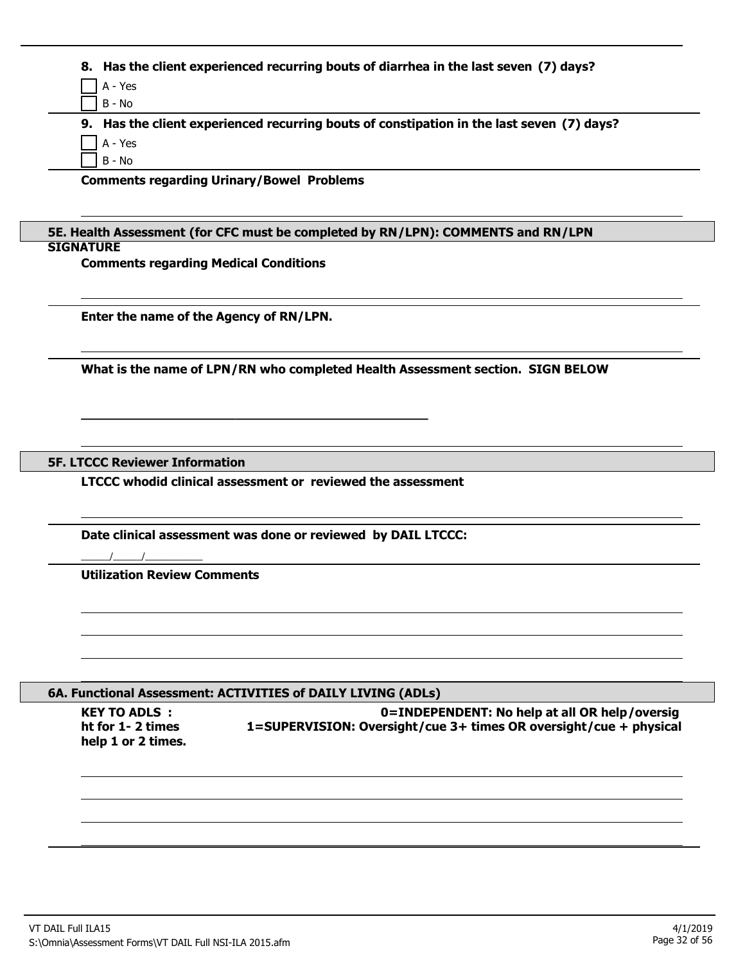| 8. Has the client experienced recurring bouts of diarrhea in the last seven (7) days?<br>A - Yes<br>$B - No$<br>9. Has the client experienced recurring bouts of constipation in the last seven (7) days?<br>A - Yes<br>B - No<br><b>Comments regarding Urinary/Bowel Problems</b> |
|------------------------------------------------------------------------------------------------------------------------------------------------------------------------------------------------------------------------------------------------------------------------------------|
|                                                                                                                                                                                                                                                                                    |
|                                                                                                                                                                                                                                                                                    |
|                                                                                                                                                                                                                                                                                    |
|                                                                                                                                                                                                                                                                                    |
|                                                                                                                                                                                                                                                                                    |
|                                                                                                                                                                                                                                                                                    |
|                                                                                                                                                                                                                                                                                    |
|                                                                                                                                                                                                                                                                                    |
| 5E. Health Assessment (for CFC must be completed by RN/LPN): COMMENTS and RN/LPN                                                                                                                                                                                                   |
| <b>SIGNATURE</b>                                                                                                                                                                                                                                                                   |
| <b>Comments regarding Medical Conditions</b>                                                                                                                                                                                                                                       |
|                                                                                                                                                                                                                                                                                    |
| Enter the name of the Agency of RN/LPN.                                                                                                                                                                                                                                            |
|                                                                                                                                                                                                                                                                                    |
| What is the name of LPN/RN who completed Health Assessment section. SIGN BELOW                                                                                                                                                                                                     |
|                                                                                                                                                                                                                                                                                    |
|                                                                                                                                                                                                                                                                                    |
|                                                                                                                                                                                                                                                                                    |
|                                                                                                                                                                                                                                                                                    |
| <b>5F. LTCCC Reviewer Information</b>                                                                                                                                                                                                                                              |
| LTCCC whodid clinical assessment or reviewed the assessment                                                                                                                                                                                                                        |
|                                                                                                                                                                                                                                                                                    |
|                                                                                                                                                                                                                                                                                    |
| Date clinical assessment was done or reviewed by DAIL LTCCC:                                                                                                                                                                                                                       |
|                                                                                                                                                                                                                                                                                    |
|                                                                                                                                                                                                                                                                                    |
| <b>Utilization Review Comments</b>                                                                                                                                                                                                                                                 |
|                                                                                                                                                                                                                                                                                    |
|                                                                                                                                                                                                                                                                                    |
|                                                                                                                                                                                                                                                                                    |
|                                                                                                                                                                                                                                                                                    |
|                                                                                                                                                                                                                                                                                    |
|                                                                                                                                                                                                                                                                                    |
| 6A. Functional Assessment: ACTIVITIES of DAILY LIVING (ADLs)                                                                                                                                                                                                                       |
| <b>KEY TO ADLS:</b><br>0=INDEPENDENT: No help at all OR help/oversig                                                                                                                                                                                                               |
| ht for 1-2 times<br>1=SUPERVISION: Oversight/cue 3+ times OR oversight/cue + physical                                                                                                                                                                                              |
| help 1 or 2 times.                                                                                                                                                                                                                                                                 |
|                                                                                                                                                                                                                                                                                    |
|                                                                                                                                                                                                                                                                                    |
|                                                                                                                                                                                                                                                                                    |
|                                                                                                                                                                                                                                                                                    |
|                                                                                                                                                                                                                                                                                    |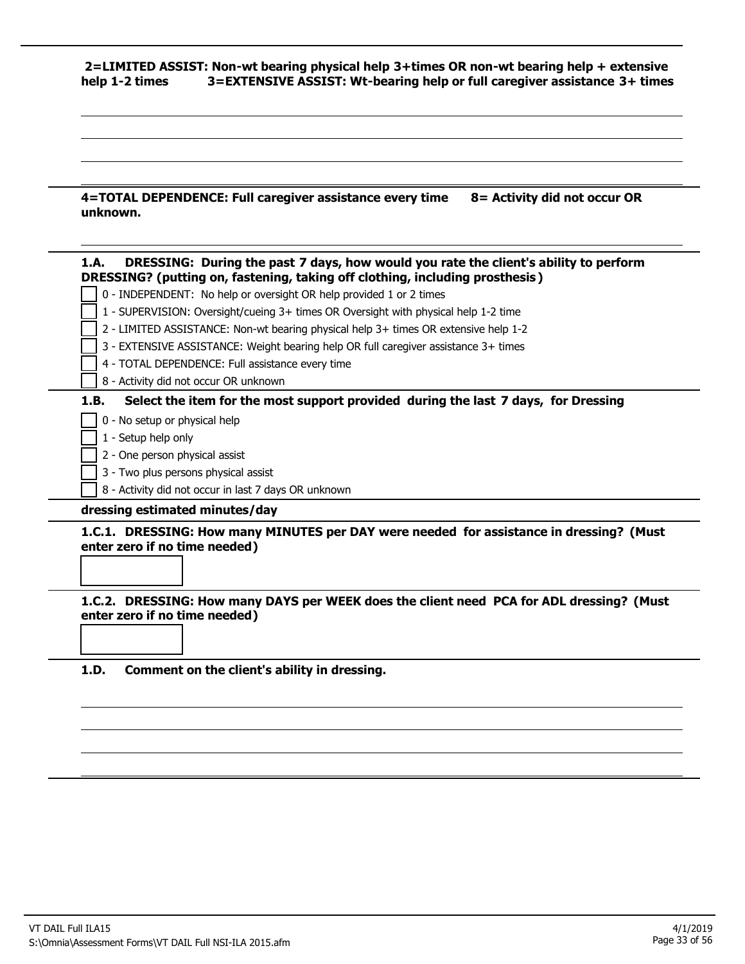# **2=LIMITED ASSIST: Non-wt bearing physical help 3+times OR non-wt bearing help + extensive help 1-2 times 3=EXTENSIVE ASSIST: Wt-bearing help or full caregiver assistance 3+ times**

| 4=TOTAL DEPENDENCE: Full caregiver assistance every time | 8= Activity did not occur OR |
|----------------------------------------------------------|------------------------------|
| unknown.                                                 |                              |

| DRESSING: During the past 7 days, how would you rate the client's ability to perform<br>1.A.<br>DRESSING? (putting on, fastening, taking off clothing, including prosthesis) |
|------------------------------------------------------------------------------------------------------------------------------------------------------------------------------|
| 0 - INDEPENDENT: No help or oversight OR help provided 1 or 2 times                                                                                                          |
| 1 - SUPERVISION: Oversight/cueing 3+ times OR Oversight with physical help 1-2 time                                                                                          |
| 2 - LIMITED ASSISTANCE: Non-wt bearing physical help 3+ times OR extensive help 1-2                                                                                          |
| 3 - EXTENSIVE ASSISTANCE: Weight bearing help OR full caregiver assistance 3+ times                                                                                          |
| 4 - TOTAL DEPENDENCE: Full assistance every time                                                                                                                             |
| 8 - Activity did not occur OR unknown                                                                                                                                        |
| Select the item for the most support provided during the last 7 days, for Dressing<br>1.B.                                                                                   |
| 0 - No setup or physical help                                                                                                                                                |
| 1 - Setup help only                                                                                                                                                          |
| 2 - One person physical assist                                                                                                                                               |
| 3 - Two plus persons physical assist                                                                                                                                         |
| 8 - Activity did not occur in last 7 days OR unknown                                                                                                                         |
| dressing estimated minutes/day                                                                                                                                               |
| 1.C.1. DRESSING: How many MINUTES per DAY were needed for assistance in dressing? (Must<br>enter zero if no time needed)                                                     |
|                                                                                                                                                                              |
| 1.C.2. DRESSING: How many DAYS per WEEK does the client need PCA for ADL dressing? (Must<br>enter zero if no time needed)                                                    |

**1.D. Comment on the client's ability in dressing.**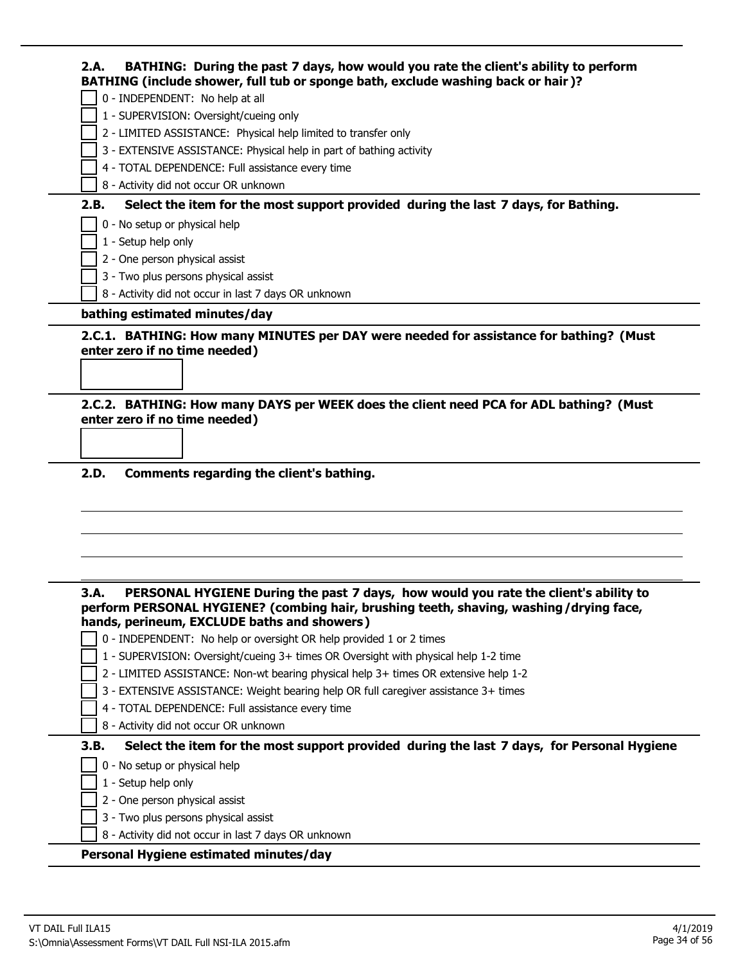|      | BATHING (include shower, full tub or sponge bath, exclude washing back or hair)?                                                                                                                                             |
|------|------------------------------------------------------------------------------------------------------------------------------------------------------------------------------------------------------------------------------|
|      | 0 - INDEPENDENT: No help at all                                                                                                                                                                                              |
|      | 1 - SUPERVISION: Oversight/cueing only                                                                                                                                                                                       |
|      | 2 - LIMITED ASSISTANCE: Physical help limited to transfer only                                                                                                                                                               |
|      | 3 - EXTENSIVE ASSISTANCE: Physical help in part of bathing activity                                                                                                                                                          |
|      | 4 - TOTAL DEPENDENCE: Full assistance every time                                                                                                                                                                             |
|      | 8 - Activity did not occur OR unknown                                                                                                                                                                                        |
| 2.B. | Select the item for the most support provided during the last 7 days, for Bathing.                                                                                                                                           |
|      | 0 - No setup or physical help                                                                                                                                                                                                |
|      | 1 - Setup help only                                                                                                                                                                                                          |
|      | 2 - One person physical assist                                                                                                                                                                                               |
|      | 3 - Two plus persons physical assist                                                                                                                                                                                         |
|      | 8 - Activity did not occur in last 7 days OR unknown                                                                                                                                                                         |
|      | bathing estimated minutes/day                                                                                                                                                                                                |
|      | 2.C.1. BATHING: How many MINUTES per DAY were needed for assistance for bathing? (Must<br>enter zero if no time needed)                                                                                                      |
|      | enter zero if no time needed)                                                                                                                                                                                                |
| 2.D. | Comments regarding the client's bathing.                                                                                                                                                                                     |
|      |                                                                                                                                                                                                                              |
|      | PERSONAL HYGIENE During the past 7 days, how would you rate the client's ability to<br>perform PERSONAL HYGIENE? (combing hair, brushing teeth, shaving, washing/drying face,<br>hands, perineum, EXCLUDE baths and showers) |
| 3.A. | 0 - INDEPENDENT: No help or oversight OR help provided 1 or 2 times                                                                                                                                                          |
|      | 1 - SUPERVISION: Oversight/cueing 3+ times OR Oversight with physical help 1-2 time                                                                                                                                          |
|      | 2 - LIMITED ASSISTANCE: Non-wt bearing physical help 3+ times OR extensive help 1-2                                                                                                                                          |
|      | 3 - EXTENSIVE ASSISTANCE: Weight bearing help OR full caregiver assistance 3+ times                                                                                                                                          |
|      | 4 - TOTAL DEPENDENCE: Full assistance every time                                                                                                                                                                             |
|      | 8 - Activity did not occur OR unknown                                                                                                                                                                                        |
|      | Select the item for the most support provided during the last 7 days, for Personal Hygiene                                                                                                                                   |
|      | 0 - No setup or physical help                                                                                                                                                                                                |
|      | 1 - Setup help only                                                                                                                                                                                                          |
| 3.B. | 2 - One person physical assist                                                                                                                                                                                               |
|      | 3 - Two plus persons physical assist<br>8 - Activity did not occur in last 7 days OR unknown                                                                                                                                 |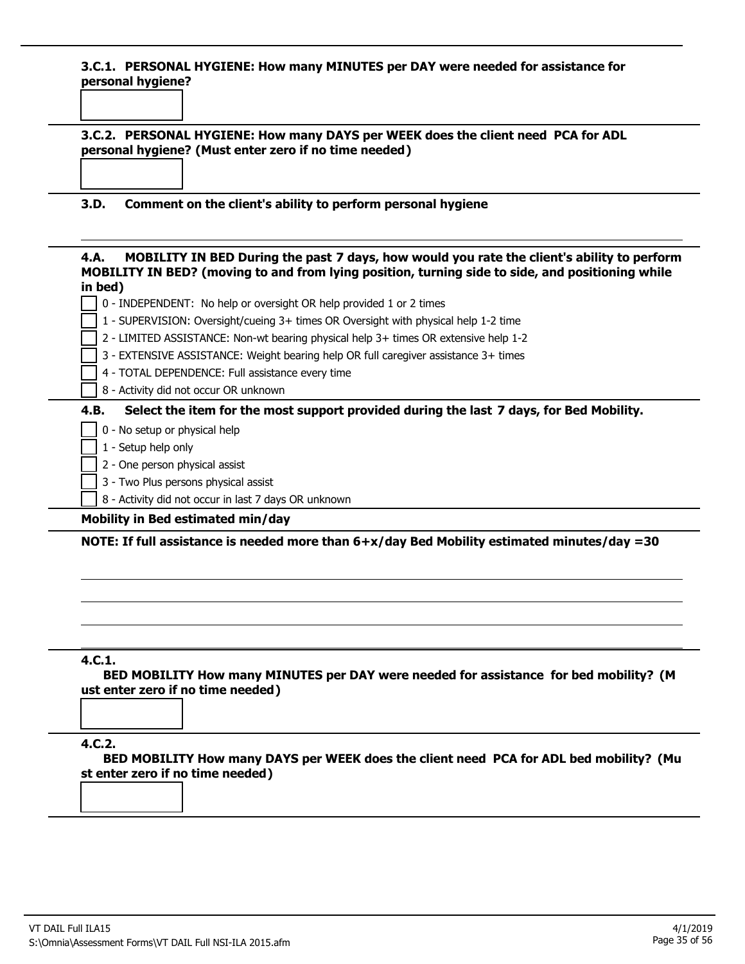#### **3.C.1. PERSONAL HYGIENE: How many MINUTES per DAY were needed for assistance for personal hygiene?**

|  | 3.C.2. PERSONAL HYGIENE: How many DAYS per WEEK does the client need PCA for ADL<br>personal hygiene? (Must enter zero if no time needed) |
|--|-------------------------------------------------------------------------------------------------------------------------------------------|
|  |                                                                                                                                           |
|  |                                                                                                                                           |

#### **3.D. Comment on the client's ability to perform personal hygiene**

#### **4.A. MOBILITY IN BED During the past 7 days, how would you rate the client's ability to perform MOBILITY IN BED? (moving to and from lying position, turning side to side, and positioning while in bed)**

- 0 INDEPENDENT: No help or oversight OR help provided 1 or 2 times
- 1 SUPERVISION: Oversight/cueing 3+ times OR Oversight with physical help 1-2 time
- 2 LIMITED ASSISTANCE: Non-wt bearing physical help 3+ times OR extensive help 1-2
- 3 EXTENSIVE ASSISTANCE: Weight bearing help OR full caregiver assistance 3+ times
	- 4 TOTAL DEPENDENCE: Full assistance every time
	- 8 Activity did not occur OR unknown

#### **4.B. Select the item for the most support provided during the last 7 days, for Bed Mobility.**

- 0 No setup or physical help
- 1 Setup help only
- 2 One person physical assist
- 3 Two Plus persons physical assist
- 8 Activity did not occur in last 7 days OR unknown

#### **Mobility in Bed estimated min/day**

**NOTE: If full assistance is needed more than 6+x/day Bed Mobility estimated minutes/day =30**

## **4.C.1.**

**BED MOBILITY How many MINUTES per DAY were needed for assistance for bed mobility? (M ust enter zero if no time needed)**

#### **4.C.2.**

**BED MOBILITY How many DAYS per WEEK does the client need PCA for ADL bed mobility? (Mu st enter zero if no time needed)**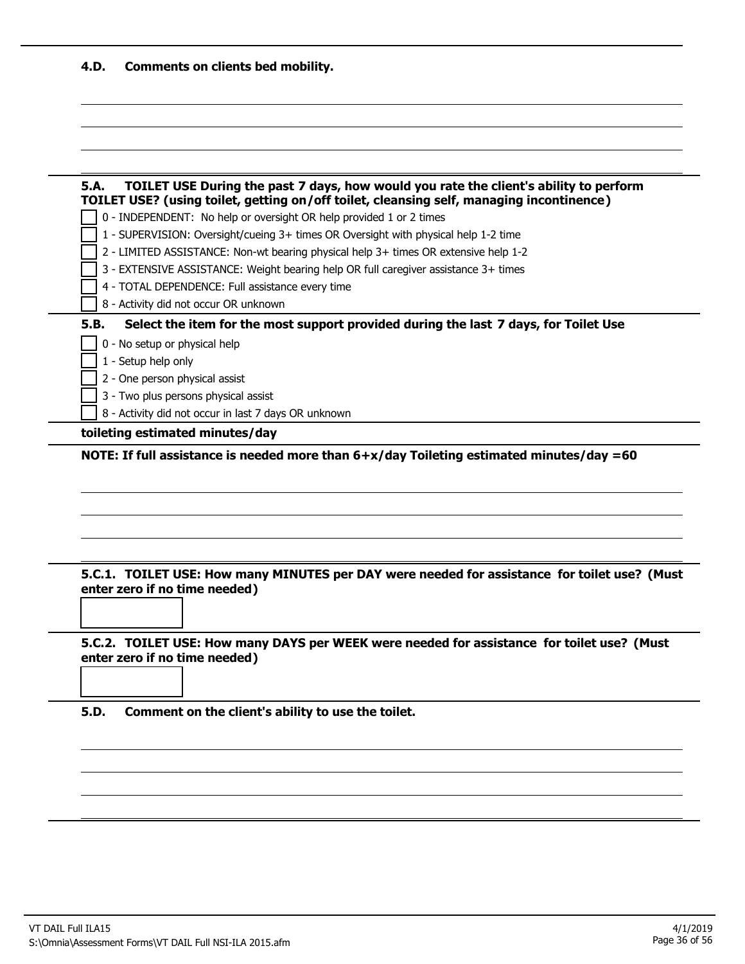| 4.D. | <b>Comments on clients bed mobility.</b> |  |  |  |  |
|------|------------------------------------------|--|--|--|--|
|------|------------------------------------------|--|--|--|--|

|      | TOILET USE? (using toilet, getting on/off toilet, cleansing self, managing incontinence)                                                                                   |
|------|----------------------------------------------------------------------------------------------------------------------------------------------------------------------------|
|      | 0 - INDEPENDENT: No help or oversight OR help provided 1 or 2 times                                                                                                        |
|      | 1 - SUPERVISION: Oversight/cueing 3+ times OR Oversight with physical help 1-2 time<br>2 - LIMITED ASSISTANCE: Non-wt bearing physical help 3+ times OR extensive help 1-2 |
|      | 3 - EXTENSIVE ASSISTANCE: Weight bearing help OR full caregiver assistance 3+ times                                                                                        |
|      | 4 - TOTAL DEPENDENCE: Full assistance every time                                                                                                                           |
|      | 8 - Activity did not occur OR unknown                                                                                                                                      |
| 5.B. | Select the item for the most support provided during the last 7 days, for Toilet Use                                                                                       |
|      | 0 - No setup or physical help                                                                                                                                              |
|      | 1 - Setup help only                                                                                                                                                        |
|      | 2 - One person physical assist                                                                                                                                             |
|      | 3 - Two plus persons physical assist                                                                                                                                       |
|      | 8 - Activity did not occur in last 7 days OR unknown                                                                                                                       |
|      | toileting estimated minutes/day                                                                                                                                            |

**5.C.1. TOILET USE: How many MINUTES per DAY were needed for assistance for toilet use? (Must enter zero if no time needed)**

**5.C.2. TOILET USE: How many DAYS per WEEK were needed for assistance for toilet use? (Must enter zero if no time needed)**

**5.D. Comment on the client's ability to use the toilet.**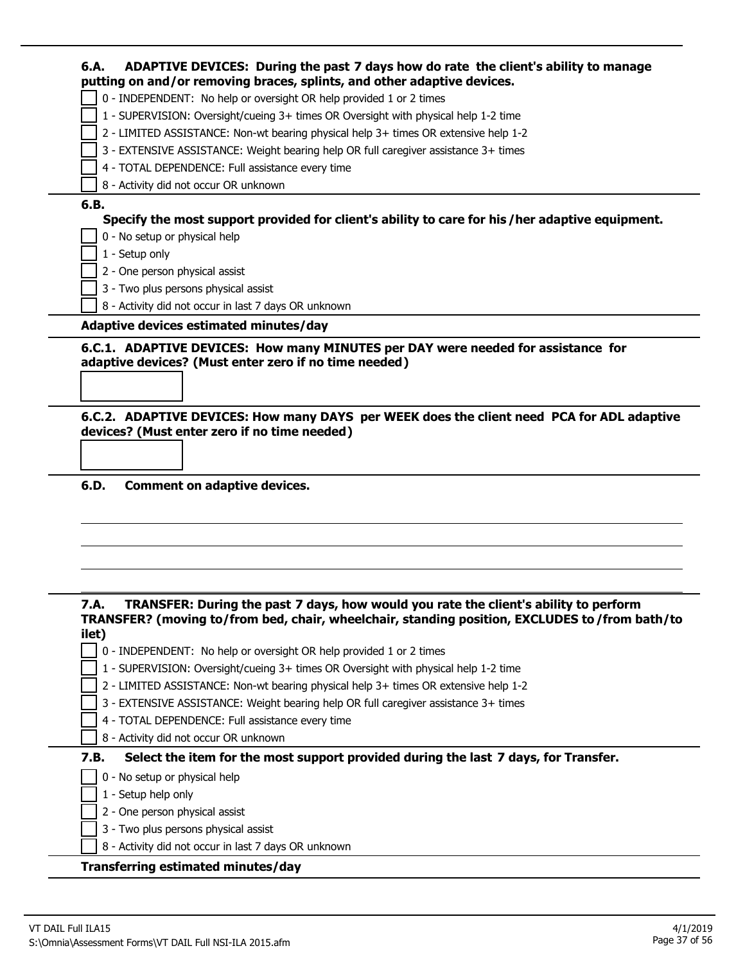|       | putting on and/or removing braces, splints, and other adaptive devices.                          |
|-------|--------------------------------------------------------------------------------------------------|
|       | 0 - INDEPENDENT: No help or oversight OR help provided 1 or 2 times                              |
|       | 1 - SUPERVISION: Oversight/cueing 3+ times OR Oversight with physical help 1-2 time              |
|       | 2 - LIMITED ASSISTANCE: Non-wt bearing physical help 3+ times OR extensive help 1-2              |
|       | 3 - EXTENSIVE ASSISTANCE: Weight bearing help OR full caregiver assistance 3+ times              |
|       | 4 - TOTAL DEPENDENCE: Full assistance every time                                                 |
|       | 8 - Activity did not occur OR unknown                                                            |
| 6.B.  |                                                                                                  |
|       | Specify the most support provided for client's ability to care for his / her adaptive equipment. |
|       | 0 - No setup or physical help                                                                    |
|       | 1 - Setup only                                                                                   |
|       | 2 - One person physical assist                                                                   |
|       | 3 - Two plus persons physical assist                                                             |
|       | 8 - Activity did not occur in last 7 days OR unknown                                             |
|       | Adaptive devices estimated minutes/day                                                           |
|       | 6.C.2. ADAPTIVE DEVICES: How many DAYS per WEEK does the client need PCA for ADL adaptive        |
|       |                                                                                                  |
|       |                                                                                                  |
| 6.D.  |                                                                                                  |
|       | <b>Comment on adaptive devices.</b>                                                              |
|       |                                                                                                  |
|       |                                                                                                  |
|       |                                                                                                  |
|       |                                                                                                  |
|       |                                                                                                  |
| 7.A.  | TRANSFER: During the past 7 days, how would you rate the client's ability to perform             |
|       | TRANSFER? (moving to/from bed, chair, wheelchair, standing position, EXCLUDES to/from bath/to    |
| ilet) |                                                                                                  |
|       | 0 - INDEPENDENT: No help or oversight OR help provided 1 or 2 times                              |
|       | 1 - SUPERVISION: Oversight/cueing 3+ times OR Oversight with physical help 1-2 time              |
|       | 2 - LIMITED ASSISTANCE: Non-wt bearing physical help 3+ times OR extensive help 1-2              |
|       | 3 - EXTENSIVE ASSISTANCE: Weight bearing help OR full caregiver assistance 3+ times              |
|       | 4 - TOTAL DEPENDENCE: Full assistance every time                                                 |
|       | 8 - Activity did not occur OR unknown                                                            |
| 7.B.  | Select the item for the most support provided during the last 7 days, for Transfer.              |
|       | 0 - No setup or physical help                                                                    |
|       |                                                                                                  |
|       | 1 - Setup help only                                                                              |
|       | 2 - One person physical assist                                                                   |
|       | 3 - Two plus persons physical assist<br>8 - Activity did not occur in last 7 days OR unknown     |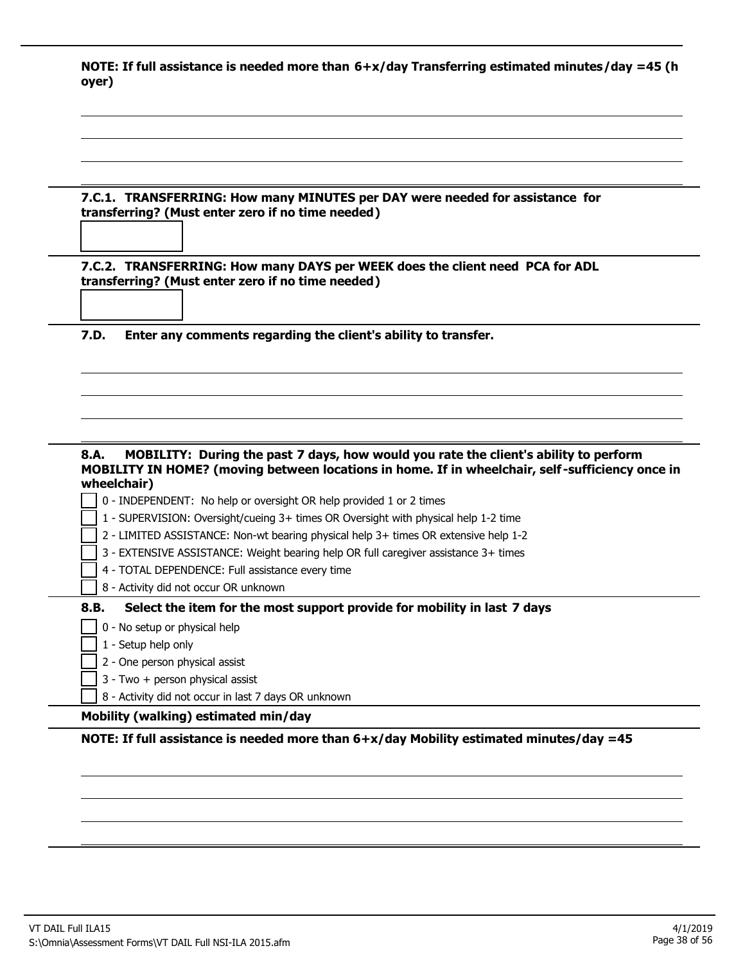|       | NOTE: If full assistance is needed more than $6+x/day$ Transferring estimated minutes/day =45 (h |  |  |
|-------|--------------------------------------------------------------------------------------------------|--|--|
| oyer) |                                                                                                  |  |  |

|      | 7.C.1. TRANSFERRING: How many MINUTES per DAY were needed for assistance for<br>transferring? (Must enter zero if no time needed)                                                       |
|------|-----------------------------------------------------------------------------------------------------------------------------------------------------------------------------------------|
|      |                                                                                                                                                                                         |
|      |                                                                                                                                                                                         |
|      | 7.C.2. TRANSFERRING: How many DAYS per WEEK does the client need PCA for ADL<br>transferring? (Must enter zero if no time needed)                                                       |
| 7.D. | Enter any comments regarding the client's ability to transfer.                                                                                                                          |
|      |                                                                                                                                                                                         |
|      |                                                                                                                                                                                         |
|      |                                                                                                                                                                                         |
|      |                                                                                                                                                                                         |
|      |                                                                                                                                                                                         |
|      | MOBILITY: During the past 7 days, how would you rate the client's ability to perform<br>MOBILITY IN HOME? (moving between locations in home. If in wheelchair, self-sufficiency once in |
|      | wheelchair)                                                                                                                                                                             |
|      | 0 - INDEPENDENT: No help or oversight OR help provided 1 or 2 times                                                                                                                     |
|      | 1 - SUPERVISION: Oversight/cueing 3+ times OR Oversight with physical help 1-2 time                                                                                                     |
|      | 2 - LIMITED ASSISTANCE: Non-wt bearing physical help 3+ times OR extensive help 1-2                                                                                                     |
|      | 3 - EXTENSIVE ASSISTANCE: Weight bearing help OR full caregiver assistance 3+ times                                                                                                     |
| 8.A. | 4 - TOTAL DEPENDENCE: Full assistance every time                                                                                                                                        |
|      | 8 - Activity did not occur OR unknown                                                                                                                                                   |
| 8.B. | Select the item for the most support provide for mobility in last 7 days                                                                                                                |
|      | 0 - No setup or physical help                                                                                                                                                           |
|      | 1 - Setup help only                                                                                                                                                                     |
|      | 2 - One person physical assist                                                                                                                                                          |
|      |                                                                                                                                                                                         |
|      | 3 - Two + person physical assist<br>8 - Activity did not occur in last 7 days OR unknown                                                                                                |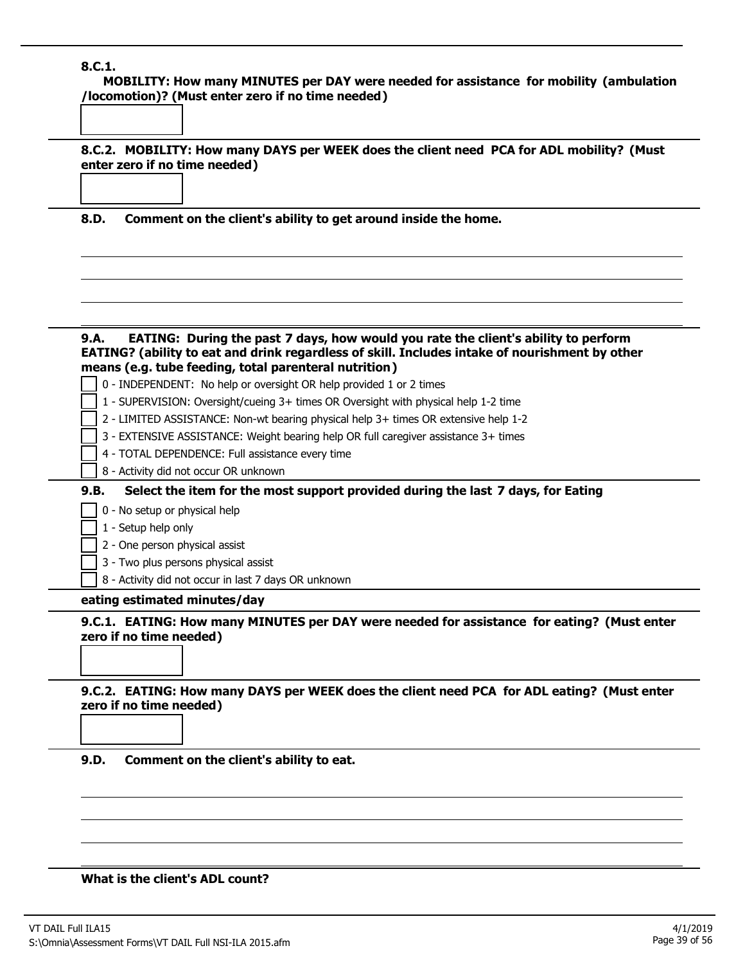# **8.C.1.**

**MOBILITY: How many MINUTES per DAY were needed for assistance for mobility (ambulation /locomotion)? (Must enter zero if no time needed)**

**8.C.2. MOBILITY: How many DAYS per WEEK does the client need PCA for ADL mobility? (Must enter zero if no time needed)**

**8.D. Comment on the client's ability to get around inside the home.**

| EATING: During the past 7 days, how would you rate the client's ability to perform<br>9.A.<br>EATING? (ability to eat and drink regardless of skill. Includes intake of nourishment by other |
|----------------------------------------------------------------------------------------------------------------------------------------------------------------------------------------------|
| means (e.g. tube feeding, total parenteral nutrition)<br>0 - INDEPENDENT: No help or oversight OR help provided 1 or 2 times                                                                 |
|                                                                                                                                                                                              |
| 1 - SUPERVISION: Oversight/cueing 3+ times OR Oversight with physical help 1-2 time                                                                                                          |
| 2 - LIMITED ASSISTANCE: Non-wt bearing physical help 3+ times OR extensive help 1-2                                                                                                          |
| 3 - EXTENSIVE ASSISTANCE: Weight bearing help OR full caregiver assistance 3+ times<br>4 - TOTAL DEPENDENCE: Full assistance every time                                                      |
| 8 - Activity did not occur OR unknown                                                                                                                                                        |
|                                                                                                                                                                                              |
| Select the item for the most support provided during the last 7 days, for Eating<br>9.B.                                                                                                     |
| 0 - No setup or physical help                                                                                                                                                                |
| 1 - Setup help only                                                                                                                                                                          |
| 2 - One person physical assist                                                                                                                                                               |
| 3 - Two plus persons physical assist                                                                                                                                                         |
| 8 - Activity did not occur in last 7 days OR unknown                                                                                                                                         |
| eating estimated minutes/day                                                                                                                                                                 |
| 9.C.1. EATING: How many MINUTES per DAY were needed for assistance for eating? (Must enter<br>zero if no time needed)                                                                        |
| 9.C.2. EATING: How many DAYS per WEEK does the client need PCA for ADL eating? (Must enter<br>zero if no time needed)                                                                        |
| 9.D.<br>Comment on the client's ability to eat.                                                                                                                                              |
| What is the client's ADL count?                                                                                                                                                              |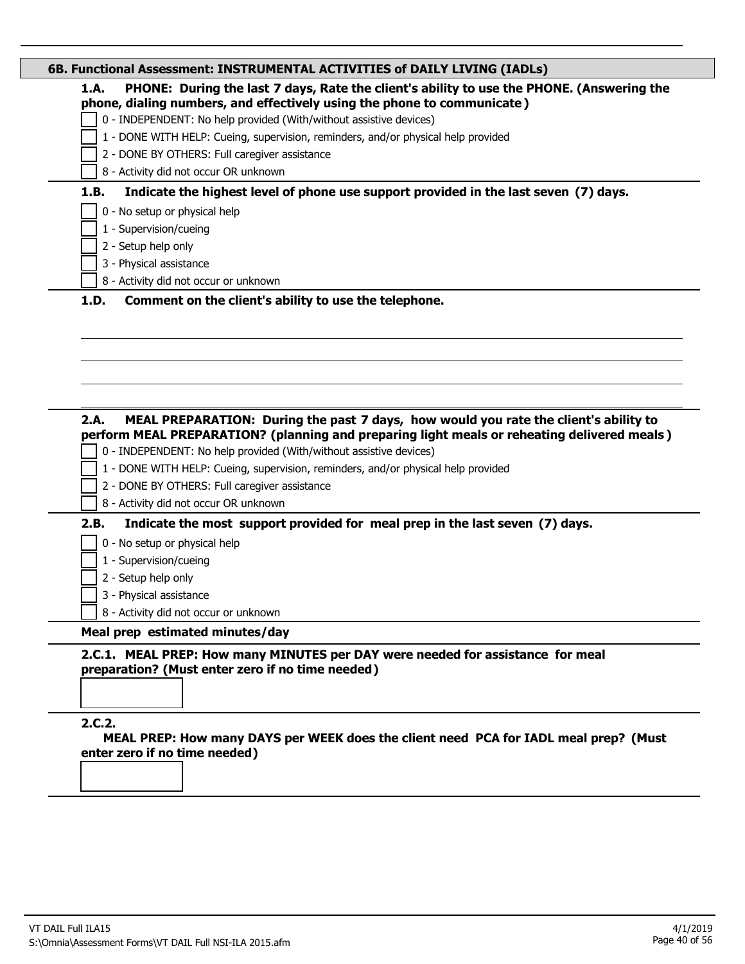|      | 0 - INDEPENDENT: No help provided (With/without assistive devices)                                                                 |
|------|------------------------------------------------------------------------------------------------------------------------------------|
|      | 1 - DONE WITH HELP: Cueing, supervision, reminders, and/or physical help provided                                                  |
|      | 2 - DONE BY OTHERS: Full caregiver assistance                                                                                      |
|      | 8 - Activity did not occur OR unknown                                                                                              |
| 1.B. | Indicate the highest level of phone use support provided in the last seven (7) days.                                               |
|      | 0 - No setup or physical help                                                                                                      |
|      | 1 - Supervision/cueing                                                                                                             |
|      | 2 - Setup help only                                                                                                                |
|      | 3 - Physical assistance                                                                                                            |
|      | 8 - Activity did not occur or unknown                                                                                              |
|      |                                                                                                                                    |
|      | MEAL PREPARATION: During the past 7 days, how would you rate the client's ability to                                               |
|      | perform MEAL PREPARATION? (planning and preparing light meals or reheating delivered meals)                                        |
| 2.A. | 0 - INDEPENDENT: No help provided (With/without assistive devices)                                                                 |
|      | 1 - DONE WITH HELP: Cueing, supervision, reminders, and/or physical help provided                                                  |
|      | 2 - DONE BY OTHERS: Full caregiver assistance<br>8 - Activity did not occur OR unknown                                             |
|      |                                                                                                                                    |
|      | Indicate the most support provided for meal prep in the last seven (7) days.                                                       |
| 2.B. | 0 - No setup or physical help                                                                                                      |
|      | 1 - Supervision/cueing                                                                                                             |
|      | 2 - Setup help only<br>3 - Physical assistance                                                                                     |
|      | 8 - Activity did not occur or unknown                                                                                              |
|      | Meal prep estimated minutes/day                                                                                                    |
|      | 2.C.1. MEAL PREP: How many MINUTES per DAY were needed for assistance for meal<br>preparation? (Must enter zero if no time needed) |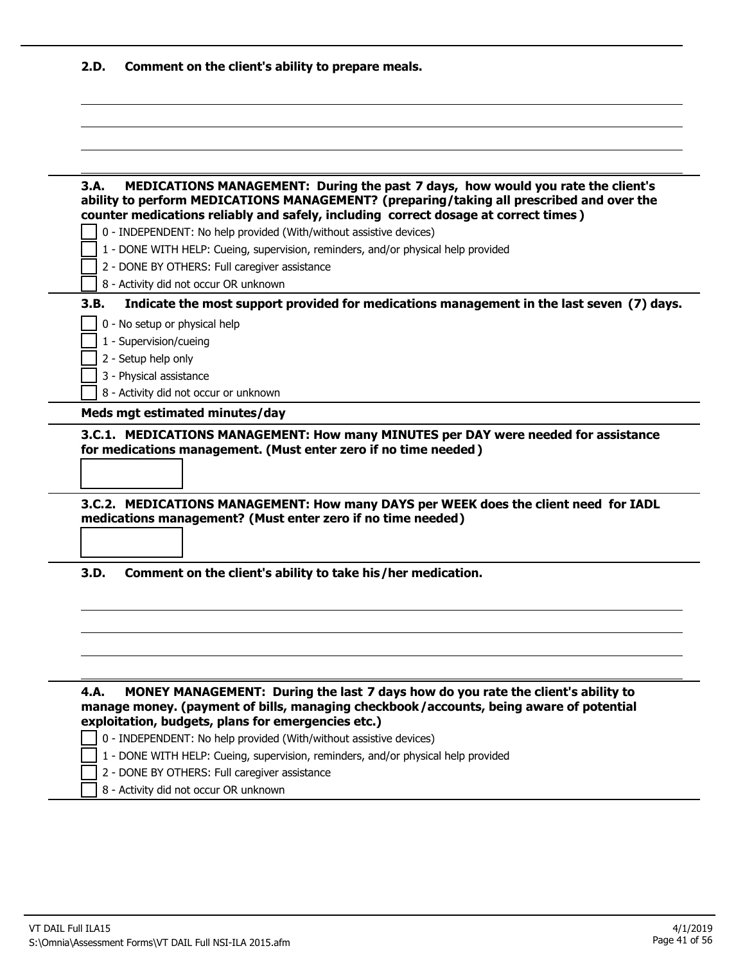| 2.D. | Comment on the client's ability to prepare meals. |  |  |
|------|---------------------------------------------------|--|--|
|------|---------------------------------------------------|--|--|

| 3.A.                          | MEDICATIONS MANAGEMENT: During the past 7 days, how would you rate the client's<br>ability to perform MEDICATIONS MANAGEMENT? (preparing/taking all prescribed and over the<br>counter medications reliably and safely, including correct dosage at correct times) |
|-------------------------------|--------------------------------------------------------------------------------------------------------------------------------------------------------------------------------------------------------------------------------------------------------------------|
|                               | 0 - INDEPENDENT: No help provided (With/without assistive devices)                                                                                                                                                                                                 |
|                               | 1 - DONE WITH HELP: Cueing, supervision, reminders, and/or physical help provided                                                                                                                                                                                  |
|                               | 2 - DONE BY OTHERS: Full caregiver assistance                                                                                                                                                                                                                      |
|                               | 8 - Activity did not occur OR unknown                                                                                                                                                                                                                              |
| 3.B.                          | Indicate the most support provided for medications management in the last seven (7) days.                                                                                                                                                                          |
| 0 - No setup or physical help |                                                                                                                                                                                                                                                                    |
| 1 - Supervision/cueing        |                                                                                                                                                                                                                                                                    |
| 2 - Setup help only           |                                                                                                                                                                                                                                                                    |
| 3 - Physical assistance       |                                                                                                                                                                                                                                                                    |
|                               | 8 - Activity did not occur or unknown                                                                                                                                                                                                                              |
|                               | 3.C.1. MEDICATIONS MANAGEMENT: How many MINUTES per DAY were needed for assistance<br>for medications management. (Must enter zero if no time needed)                                                                                                              |
|                               | 3.C.2. MEDICATIONS MANAGEMENT: How many DAYS per WEEK does the client need for IADL<br>medications management? (Must enter zero if no time needed)                                                                                                                 |
|                               | Comment on the client's ability to take his/her medication.                                                                                                                                                                                                        |
|                               | MONEY MANAGEMENT: During the last 7 days how do you rate the client's ability to<br>manage money. (payment of bills, managing checkbook/accounts, being aware of potential                                                                                         |
|                               | exploitation, budgets, plans for emergencies etc.)                                                                                                                                                                                                                 |
| 3.D.<br>4.A.                  | 0 - INDEPENDENT: No help provided (With/without assistive devices)<br>1 - DONE WITH HELP: Cueing, supervision, reminders, and/or physical help provided                                                                                                            |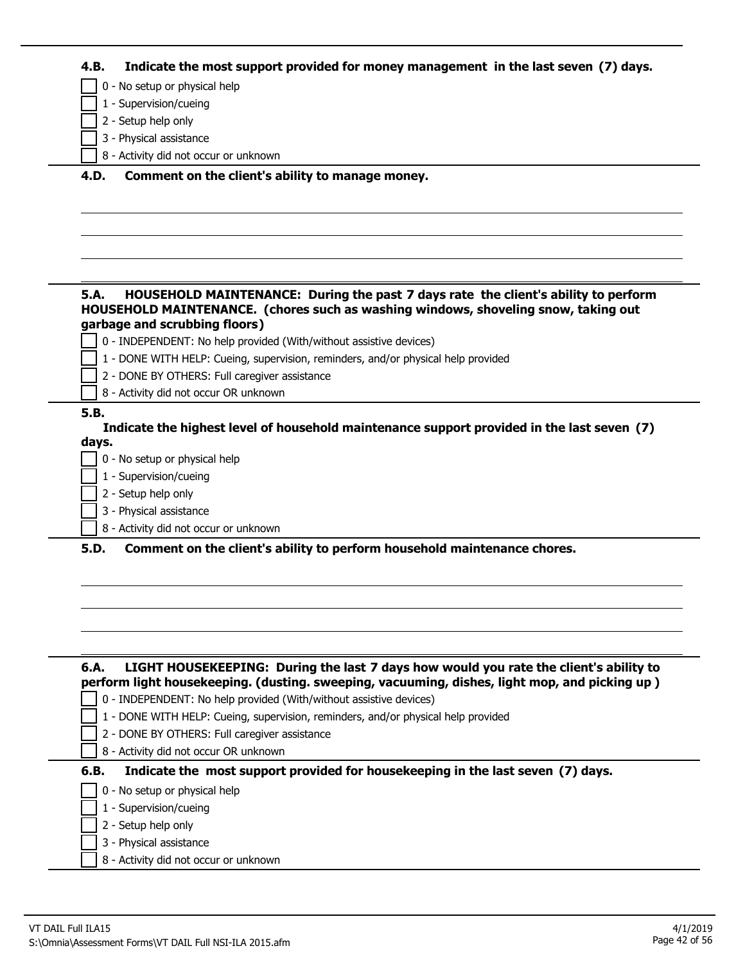| 4.B. | Indicate the most support provided for money management in the last seven (7) days. |  |  |
|------|-------------------------------------------------------------------------------------|--|--|
|------|-------------------------------------------------------------------------------------|--|--|

0 - No setup or physical help

- 1 Supervision/cueing
- 2 Setup help only
- 3 Physical assistance
- 8 Activity did not occur or unknown

#### **4.D. Comment on the client's ability to manage money.**

#### **5.A. HOUSEHOLD MAINTENANCE: During the past 7 days rate the client's ability to perform HOUSEHOLD MAINTENANCE. (chores such as washing windows, shoveling snow, taking out garbage and scrubbing floors)**

- 0 INDEPENDENT: No help provided (With/without assistive devices)
- 1 DONE WITH HELP: Cueing, supervision, reminders, and/or physical help provided
- 2 DONE BY OTHERS: Full caregiver assistance
- 8 Activity did not occur OR unknown

# **5.B.**

**Indicate the highest level of household maintenance support provided in the last seven (7) days.**

- 0 No setup or physical help
- 1 Supervision/cueing
- 2 Setup help only
- 3 Physical assistance
- 8 Activity did not occur or unknown

**5.D. Comment on the client's ability to perform household maintenance chores.**

| LIGHT HOUSEKEEPING: During the last 7 days how would you rate the client's ability to<br>6.A.<br>perform light housekeeping. (dusting. sweeping, vacuuming, dishes, light mop, and picking up) |
|------------------------------------------------------------------------------------------------------------------------------------------------------------------------------------------------|
| 0 - INDEPENDENT: No help provided (With/without assistive devices)                                                                                                                             |
| 1 - DONE WITH HELP: Cueing, supervision, reminders, and/or physical help provided                                                                                                              |
| 2 - DONE BY OTHERS: Full caregiver assistance                                                                                                                                                  |
| 8 - Activity did not occur OR unknown                                                                                                                                                          |
| Indicate the most support provided for housekeeping in the last seven (7) days.<br>6.B.                                                                                                        |
| 0 - No setup or physical help                                                                                                                                                                  |
| 1 - Supervision/cueing                                                                                                                                                                         |
| 2 - Setup help only                                                                                                                                                                            |
| 3 - Physical assistance                                                                                                                                                                        |

8 - Activity did not occur or unknown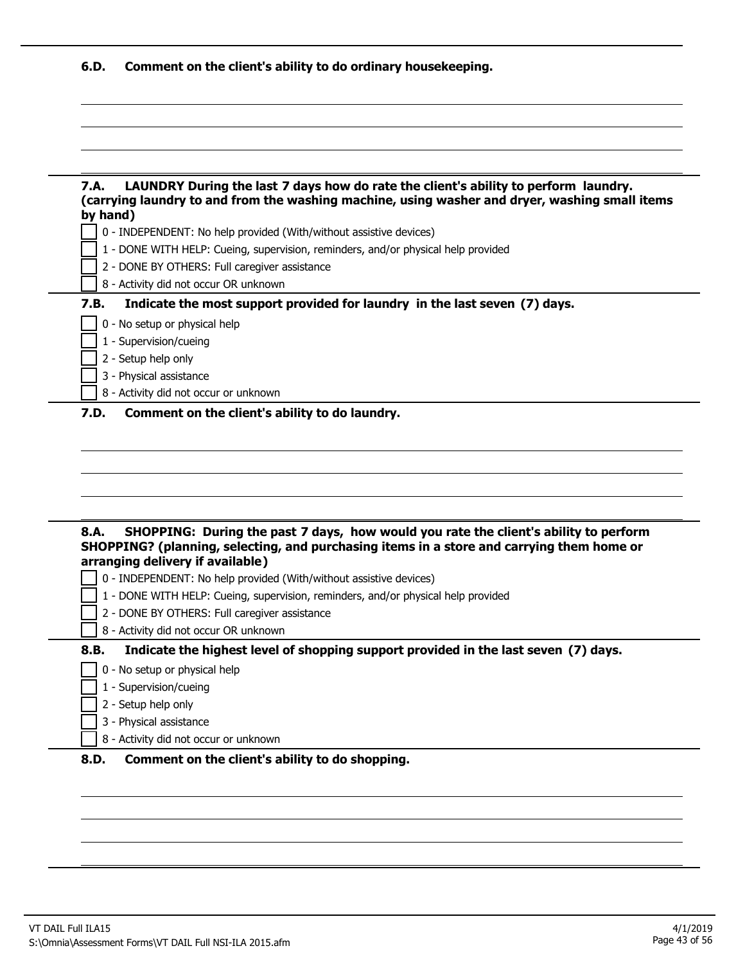| 6.D. | Comment on the client's ability to do ordinary housekeeping.                                                                                                                                      |
|------|---------------------------------------------------------------------------------------------------------------------------------------------------------------------------------------------------|
|      |                                                                                                                                                                                                   |
|      |                                                                                                                                                                                                   |
|      |                                                                                                                                                                                                   |
| 7.A. | LAUNDRY During the last 7 days how do rate the client's ability to perform laundry.<br>(carrying laundry to and from the washing machine, using washer and dryer, washing small items<br>by hand) |
|      | 0 - INDEPENDENT: No help provided (With/without assistive devices)                                                                                                                                |
|      | 1 - DONE WITH HELP: Cueing, supervision, reminders, and/or physical help provided                                                                                                                 |
|      | 2 - DONE BY OTHERS: Full caregiver assistance                                                                                                                                                     |
|      | 8 - Activity did not occur OR unknown                                                                                                                                                             |
| 7.B. | Indicate the most support provided for laundry in the last seven (7) days.                                                                                                                        |
|      | 0 - No setup or physical help                                                                                                                                                                     |
|      | 1 - Supervision/cueing                                                                                                                                                                            |
|      | 2 - Setup help only                                                                                                                                                                               |
|      | 3 - Physical assistance                                                                                                                                                                           |
|      | 8 - Activity did not occur or unknown                                                                                                                                                             |
| 7.D. | Comment on the client's ability to do laundry.                                                                                                                                                    |
|      |                                                                                                                                                                                                   |
|      |                                                                                                                                                                                                   |
|      |                                                                                                                                                                                                   |
|      |                                                                                                                                                                                                   |
|      |                                                                                                                                                                                                   |
|      |                                                                                                                                                                                                   |
| 8.A. | SHOPPING: During the past 7 days, how would you rate the client's ability to perform                                                                                                              |
|      | SHOPPING? (planning, selecting, and purchasing items in a store and carrying them home or<br>arranging delivery if available)                                                                     |
|      | 0 - INDEPENDENT: No help provided (With/without assistive devices)                                                                                                                                |
|      | 1 - DONE WITH HELP: Cueing, supervision, reminders, and/or physical help provided                                                                                                                 |
|      | 2 - DONE BY OTHERS: Full caregiver assistance                                                                                                                                                     |
|      |                                                                                                                                                                                                   |

#### **8.B. Indicate the highest level of shopping support provided in the last seven (7) days.**

- 0 No setup or physical help
- 1 Supervision/cueing  $\mathcal{L}$
- $\overline{\phantom{a}}$  2 Setup help only
- 3 Physical assistance
- 8 Activity did not occur or unknown

# **8.D. Comment on the client's ability to do shopping.**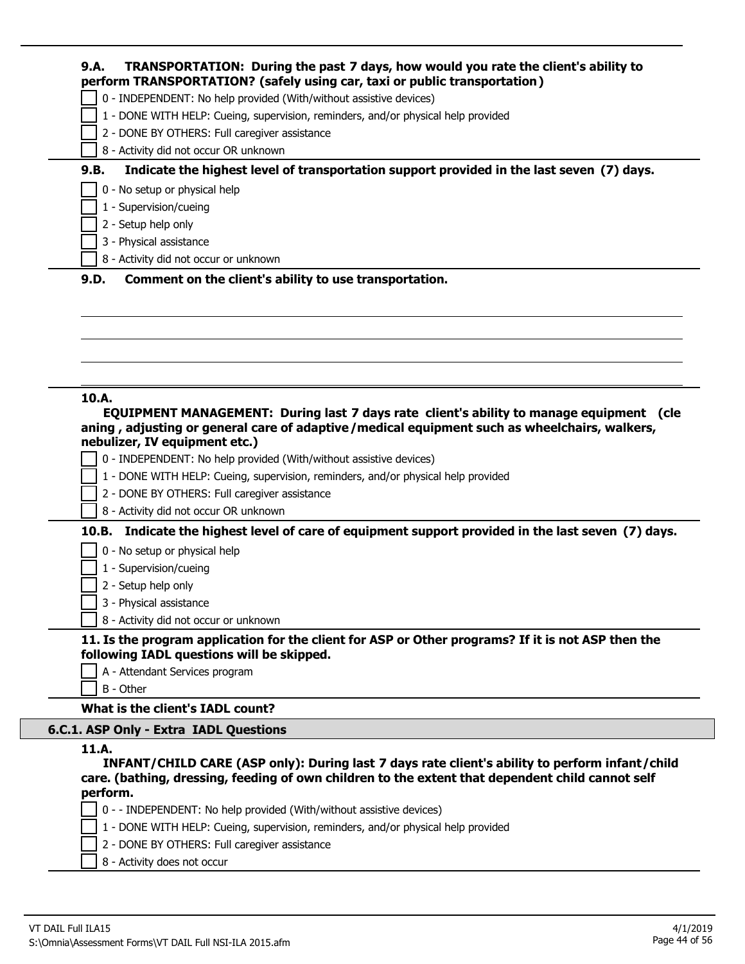|       | 0 - INDEPENDENT: No help provided (With/without assistive devices)                                                                                                                                                   |
|-------|----------------------------------------------------------------------------------------------------------------------------------------------------------------------------------------------------------------------|
|       | 1 - DONE WITH HELP: Cueing, supervision, reminders, and/or physical help provided                                                                                                                                    |
|       | 2 - DONE BY OTHERS: Full caregiver assistance                                                                                                                                                                        |
|       | 8 - Activity did not occur OR unknown                                                                                                                                                                                |
| 9.B.  | Indicate the highest level of transportation support provided in the last seven (7) days.                                                                                                                            |
|       | 0 - No setup or physical help                                                                                                                                                                                        |
|       | 1 - Supervision/cueing                                                                                                                                                                                               |
|       | 2 - Setup help only                                                                                                                                                                                                  |
|       | 3 - Physical assistance                                                                                                                                                                                              |
|       | 8 - Activity did not occur or unknown                                                                                                                                                                                |
|       |                                                                                                                                                                                                                      |
|       |                                                                                                                                                                                                                      |
|       | aning, adjusting or general care of adaptive/medical equipment such as wheelchairs, walkers,                                                                                                                         |
|       | nebulizer, IV equipment etc.)<br>0 - INDEPENDENT: No help provided (With/without assistive devices)                                                                                                                  |
|       | 1 - DONE WITH HELP: Cueing, supervision, reminders, and/or physical help provided                                                                                                                                    |
| 10.A. | 2 - DONE BY OTHERS: Full caregiver assistance                                                                                                                                                                        |
|       | 8 - Activity did not occur OR unknown                                                                                                                                                                                |
|       |                                                                                                                                                                                                                      |
|       | 0 - No setup or physical help                                                                                                                                                                                        |
|       | 1 - Supervision/cueing                                                                                                                                                                                               |
|       | EQUIPMENT MANAGEMENT: During last 7 days rate client's ability to manage equipment (cle<br>10.B. Indicate the highest level of care of equipment support provided in the last seven (7) days.<br>2 - Setup help only |
|       | 3 - Physical assistance                                                                                                                                                                                              |

**11. Is the program application for the client for ASP or Other programs? If it is not ASP then the following IADL questions will be skipped.**

- A Attendant Services program
- B Other

# **What is the client's IADL count?**

# **6.C.1. ASP Only - Extra IADL Questions**

## **11.A.**

**INFANT/CHILD CARE (ASP only): During last 7 days rate client's ability to perform infant/child care. (bathing, dressing, feeding of own children to the extent that dependent child cannot self perform.**

- 0 - INDEPENDENT: No help provided (With/without assistive devices)
- 1 DONE WITH HELP: Cueing, supervision, reminders, and/or physical help provided
- 2 DONE BY OTHERS: Full caregiver assistance
- 8 Activity does not occur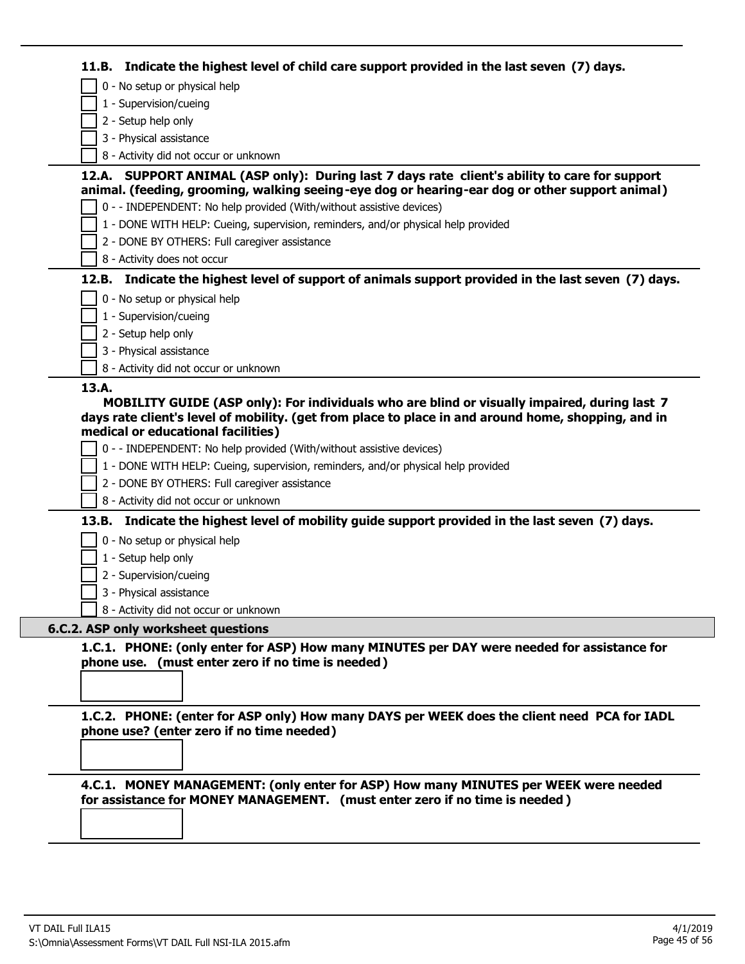| 11.B. Indicate the highest level of child care support provided in the last seven (7) days.                                                                                                                                                                                                                                                                                                                                                                         |
|---------------------------------------------------------------------------------------------------------------------------------------------------------------------------------------------------------------------------------------------------------------------------------------------------------------------------------------------------------------------------------------------------------------------------------------------------------------------|
| 0 - No setup or physical help                                                                                                                                                                                                                                                                                                                                                                                                                                       |
| 1 - Supervision/cueing                                                                                                                                                                                                                                                                                                                                                                                                                                              |
| 2 - Setup help only                                                                                                                                                                                                                                                                                                                                                                                                                                                 |
| 3 - Physical assistance                                                                                                                                                                                                                                                                                                                                                                                                                                             |
| 8 - Activity did not occur or unknown                                                                                                                                                                                                                                                                                                                                                                                                                               |
| 12.A. SUPPORT ANIMAL (ASP only): During last 7 days rate client's ability to care for support<br>animal. (feeding, grooming, walking seeing-eye dog or hearing-ear dog or other support animal)                                                                                                                                                                                                                                                                     |
| 0 - - INDEPENDENT: No help provided (With/without assistive devices)                                                                                                                                                                                                                                                                                                                                                                                                |
| 1 - DONE WITH HELP: Cueing, supervision, reminders, and/or physical help provided                                                                                                                                                                                                                                                                                                                                                                                   |
| 2 - DONE BY OTHERS: Full caregiver assistance                                                                                                                                                                                                                                                                                                                                                                                                                       |
| 8 - Activity does not occur                                                                                                                                                                                                                                                                                                                                                                                                                                         |
| 12.B. Indicate the highest level of support of animals support provided in the last seven (7) days.                                                                                                                                                                                                                                                                                                                                                                 |
| 0 - No setup or physical help                                                                                                                                                                                                                                                                                                                                                                                                                                       |
| 1 - Supervision/cueing                                                                                                                                                                                                                                                                                                                                                                                                                                              |
| 2 - Setup help only                                                                                                                                                                                                                                                                                                                                                                                                                                                 |
| 3 - Physical assistance                                                                                                                                                                                                                                                                                                                                                                                                                                             |
| 8 - Activity did not occur or unknown                                                                                                                                                                                                                                                                                                                                                                                                                               |
| 0 - - INDEPENDENT: No help provided (With/without assistive devices)<br>1 - DONE WITH HELP: Cueing, supervision, reminders, and/or physical help provided<br>2 - DONE BY OTHERS: Full caregiver assistance<br>8 - Activity did not occur or unknown<br>13.B. Indicate the highest level of mobility guide support provided in the last seven (7) days.<br>0 - No setup or physical help<br>1 - Setup help only<br>2 - Supervision/cueing<br>3 - Physical assistance |
| 8 - Activity did not occur or unknown                                                                                                                                                                                                                                                                                                                                                                                                                               |
| 6.C.2. ASP only worksheet questions                                                                                                                                                                                                                                                                                                                                                                                                                                 |
| 1.C.1. PHONE: (only enter for ASP) How many MINUTES per DAY were needed for assistance for<br>phone use. (must enter zero if no time is needed)<br>1.C.2. PHONE: (enter for ASP only) How many DAYS per WEEK does the client need PCA for IADL<br>phone use? (enter zero if no time needed)                                                                                                                                                                         |
| 4.C.1. MONEY MANAGEMENT: (only enter for ASP) How many MINUTES per WEEK were needed                                                                                                                                                                                                                                                                                                                                                                                 |

 $\Box$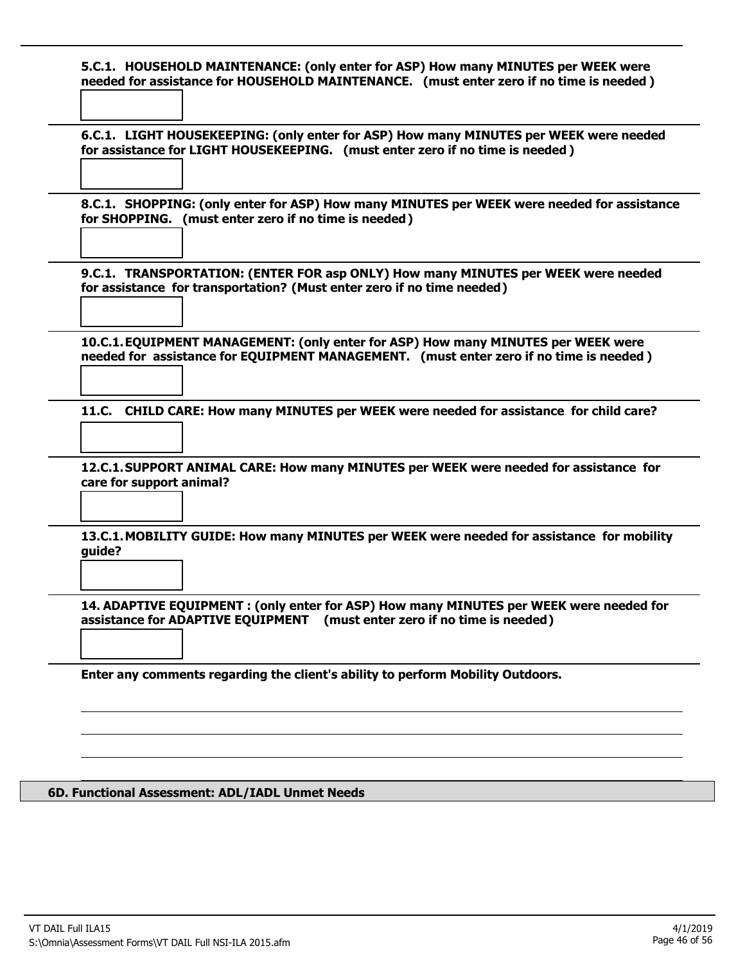**5.C.1. HOUSEHOLD MAINTENANCE: (only enter for ASP) How many MINUTES per WEEK were needed for assistance for HOUSEHOLD MAINTENANCE. (must enter zero if no time is needed )**

**6.C.1. LIGHT HOUSEKEEPING: (only enter for ASP) How many MINUTES per WEEK were needed for assistance for LIGHT HOUSEKEEPING. (must enter zero if no time is needed )**

**8.C.1. SHOPPING: (only enter for ASP) How many MINUTES per WEEK were needed for assistance for SHOPPING. (must enter zero if no time is needed)**

**9.C.1. TRANSPORTATION: (ENTER FOR asp ONLY) How many MINUTES per WEEK were needed for assistance for transportation? (Must enter zero if no time needed)**

**10.C.1.EQUIPMENT MANAGEMENT: (only enter for ASP) How many MINUTES per WEEK were needed for assistance for EQUIPMENT MANAGEMENT. (must enter zero if no time is needed )**

**11.C. CHILD CARE: How many MINUTES per WEEK were needed for assistance for child care?**

**12.C.1.SUPPORT ANIMAL CARE: How many MINUTES per WEEK were needed for assistance for care for support animal?**

**13.C.1.MOBILITY GUIDE: How many MINUTES per WEEK were needed for assistance for mobility guide?**

**14. ADAPTIVE EQUIPMENT : (only enter for ASP) How many MINUTES per WEEK were needed for assistance for ADAPTIVE EQUIPMENT (must enter zero if no time is needed)**

**Enter any comments regarding the client's ability to perform Mobility Outdoors.**

#### **6D. Functional Assessment: ADL/IADL Unmet Needs**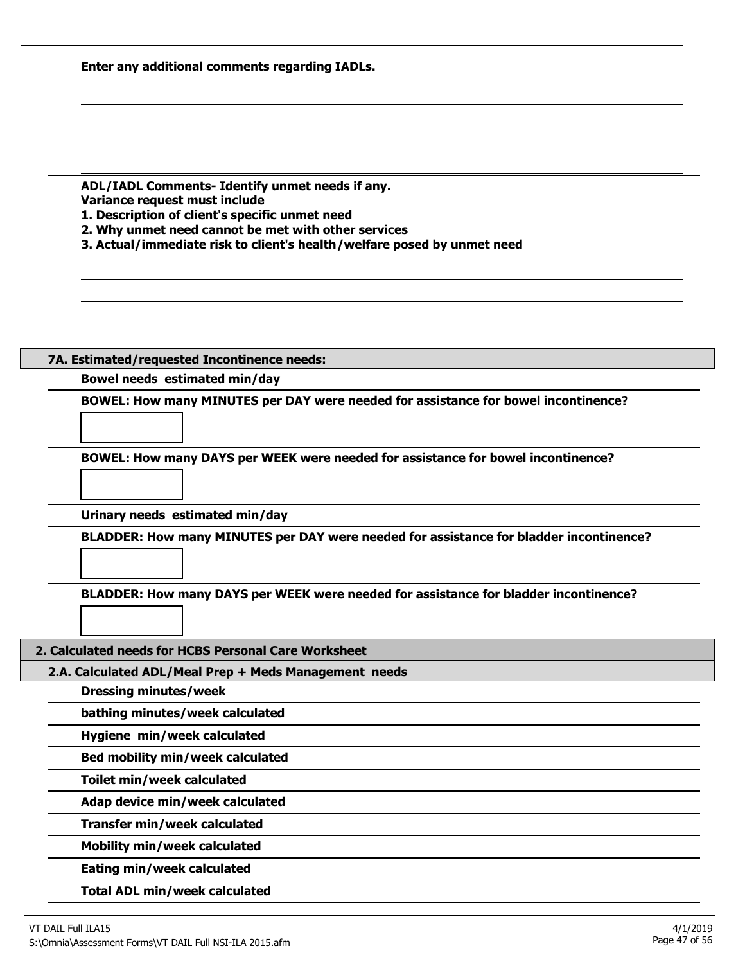| Enter any additional comments regarding IADLs.                                                                                                                                                                                                                       |
|----------------------------------------------------------------------------------------------------------------------------------------------------------------------------------------------------------------------------------------------------------------------|
|                                                                                                                                                                                                                                                                      |
|                                                                                                                                                                                                                                                                      |
| ADL/IADL Comments- Identify unmet needs if any.<br>Variance request must include<br>1. Description of client's specific unmet need<br>2. Why unmet need cannot be met with other services<br>3. Actual/immediate risk to client's health/welfare posed by unmet need |
|                                                                                                                                                                                                                                                                      |
|                                                                                                                                                                                                                                                                      |
| 7A. Estimated/requested Incontinence needs:                                                                                                                                                                                                                          |
| Bowel needs estimated min/day                                                                                                                                                                                                                                        |
| BOWEL: How many MINUTES per DAY were needed for assistance for bowel incontinence?                                                                                                                                                                                   |
| BOWEL: How many DAYS per WEEK were needed for assistance for bowel incontinence?                                                                                                                                                                                     |
| Urinary needs estimated min/day                                                                                                                                                                                                                                      |
| BLADDER: How many MINUTES per DAY were needed for assistance for bladder incontinence?                                                                                                                                                                               |
| BLADDER: How many DAYS per WEEK were needed for assistance for bladder incontinence?                                                                                                                                                                                 |
| 2. Calculated needs for HCBS Personal Care Worksheet                                                                                                                                                                                                                 |
| 2.A. Calculated ADL/Meal Prep + Meds Management needs                                                                                                                                                                                                                |
| <b>Dressing minutes/week</b>                                                                                                                                                                                                                                         |
| bathing minutes/week calculated                                                                                                                                                                                                                                      |
| Hygiene min/week calculated                                                                                                                                                                                                                                          |
| Bed mobility min/week calculated                                                                                                                                                                                                                                     |
| Toilet min/week calculated                                                                                                                                                                                                                                           |
| Adap device min/week calculated                                                                                                                                                                                                                                      |
| Transfer min/week calculated                                                                                                                                                                                                                                         |
| <b>Mobility min/week calculated</b>                                                                                                                                                                                                                                  |
|                                                                                                                                                                                                                                                                      |
| Eating min/week calculated                                                                                                                                                                                                                                           |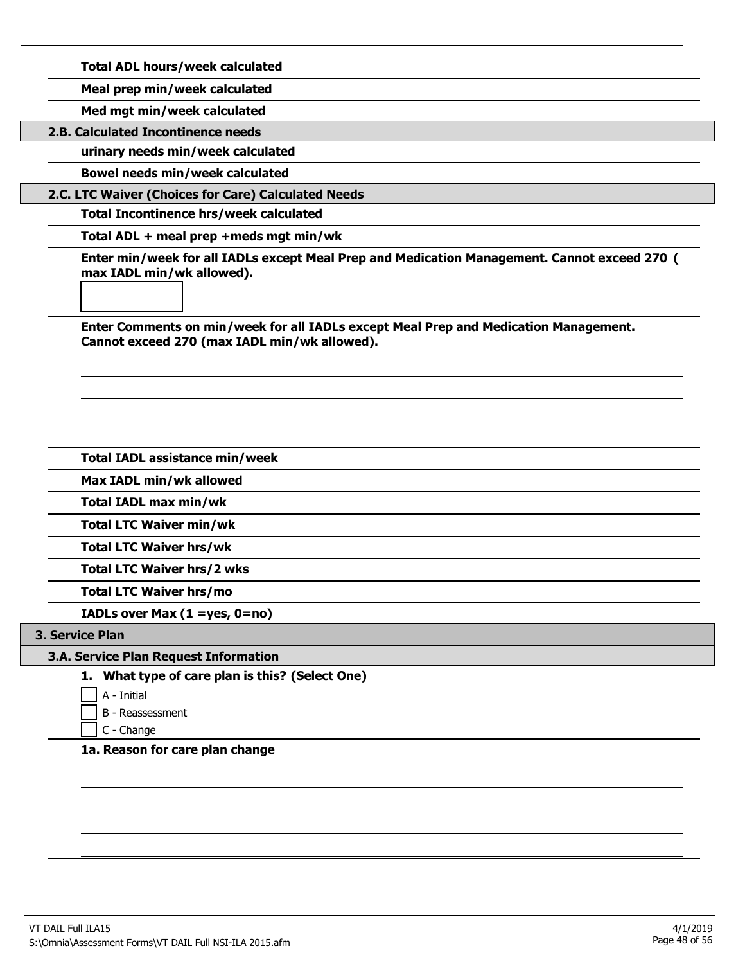**Total ADL hours/week calculated**

**Meal prep min/week calculated**

**Med mgt min/week calculated**

**2.B. Calculated Incontinence needs**

**urinary needs min/week calculated**

**Bowel needs min/week calculated**

**2.C. LTC Waiver (Choices for Care) Calculated Needs**

**Total Incontinence hrs/week calculated**

**Total ADL + meal prep +meds mgt min/wk**

**Enter min/week for all IADLs except Meal Prep and Medication Management. Cannot exceed 270 ( max IADL min/wk allowed).**

**Enter Comments on min/week for all IADLs except Meal Prep and Medication Management. Cannot exceed 270 (max IADL min/wk allowed).**

**Total IADL assistance min/week**

**Max IADL min/wk allowed**

**Total IADL max min/wk**

**Total LTC Waiver min/wk**

**Total LTC Waiver hrs/wk**

**Total LTC Waiver hrs/2 wks**

**Total LTC Waiver hrs/mo**

**IADLs over Max (1 =yes, 0=no)**

#### **3. Service Plan**

## **3.A. Service Plan Request Information**

**1. What type of care plan is this? (Select One)**

A - Initial

B - Reassessment

C - Change

**1a. Reason for care plan change**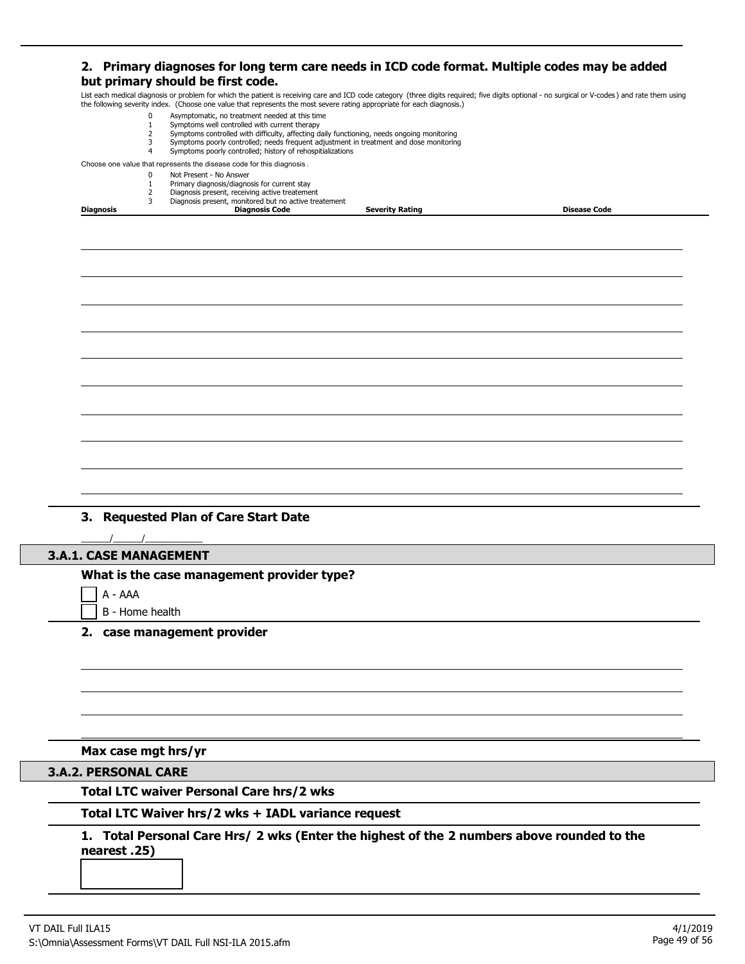### **2. Primary diagnoses for long term care needs in ICD code format. Multiple codes may be added but primary should be first code.**

List each medical diagnosis or problem for which the patient is receiving care and ICD code category (three digits required; five digits optional - no surgical or V-codes ) and rate them using the following severity index. (Choose one value that represents the most severe rating appropriate for each diagnosis.)

|                               | the following severity index. (Choose one value that represents the most severe rating appropriate for each diagnosis.)                              |                        |                     |
|-------------------------------|------------------------------------------------------------------------------------------------------------------------------------------------------|------------------------|---------------------|
| 0<br>$\mathbf{1}$             | Asymptomatic, no treatment needed at this time<br>Symptoms well controlled with current therapy                                                      |                        |                     |
| $\overline{2}$                | Symptoms controlled with difficulty, affecting daily functioning, needs ongoing monitoring                                                           |                        |                     |
| 3<br>4                        | Symptoms poorly controlled; needs frequent adjustment in treatment and dose monitoring<br>Symptoms poorly controlled; history of rehospitializations |                        |                     |
|                               | Choose one value that represents the disease code for this diagnosis.                                                                                |                        |                     |
| 0                             | Not Present - No Answer                                                                                                                              |                        |                     |
| $\mathbf{1}$<br>2             | Primary diagnosis/diagnosis for current stay<br>Diagnosis present, receiving active treatement                                                       |                        |                     |
| 3                             | Diagnosis present, monitored but no active treatement                                                                                                |                        |                     |
| Diagnosis                     | <b>Diagnosis Code</b>                                                                                                                                | <b>Severity Rating</b> | <b>Disease Code</b> |
|                               |                                                                                                                                                      |                        |                     |
|                               |                                                                                                                                                      |                        |                     |
|                               |                                                                                                                                                      |                        |                     |
|                               |                                                                                                                                                      |                        |                     |
|                               |                                                                                                                                                      |                        |                     |
|                               |                                                                                                                                                      |                        |                     |
|                               |                                                                                                                                                      |                        |                     |
|                               | 3. Requested Plan of Care Start Date                                                                                                                 |                        |                     |
| <b>3.A.1. CASE MANAGEMENT</b> |                                                                                                                                                      |                        |                     |
|                               | What is the case management provider type?                                                                                                           |                        |                     |
|                               |                                                                                                                                                      |                        |                     |
| A - AAA                       |                                                                                                                                                      |                        |                     |
| B - Home health               |                                                                                                                                                      |                        |                     |
|                               | 2. case management provider                                                                                                                          |                        |                     |
|                               |                                                                                                                                                      |                        |                     |
|                               |                                                                                                                                                      |                        |                     |
|                               |                                                                                                                                                      |                        |                     |
|                               |                                                                                                                                                      |                        |                     |
|                               |                                                                                                                                                      |                        |                     |
| Max case mgt hrs/yr           | <b>Total LTC waiver Personal Care hrs/2 wks</b>                                                                                                      |                        |                     |
| <b>3.A.2. PERSONAL CARE</b>   | Total LTC Waiver hrs/2 wks + IADL variance request<br>1. Total Personal Care Hrs/ 2 wks (Enter the highest of the 2 numbers above rounded to the     |                        |                     |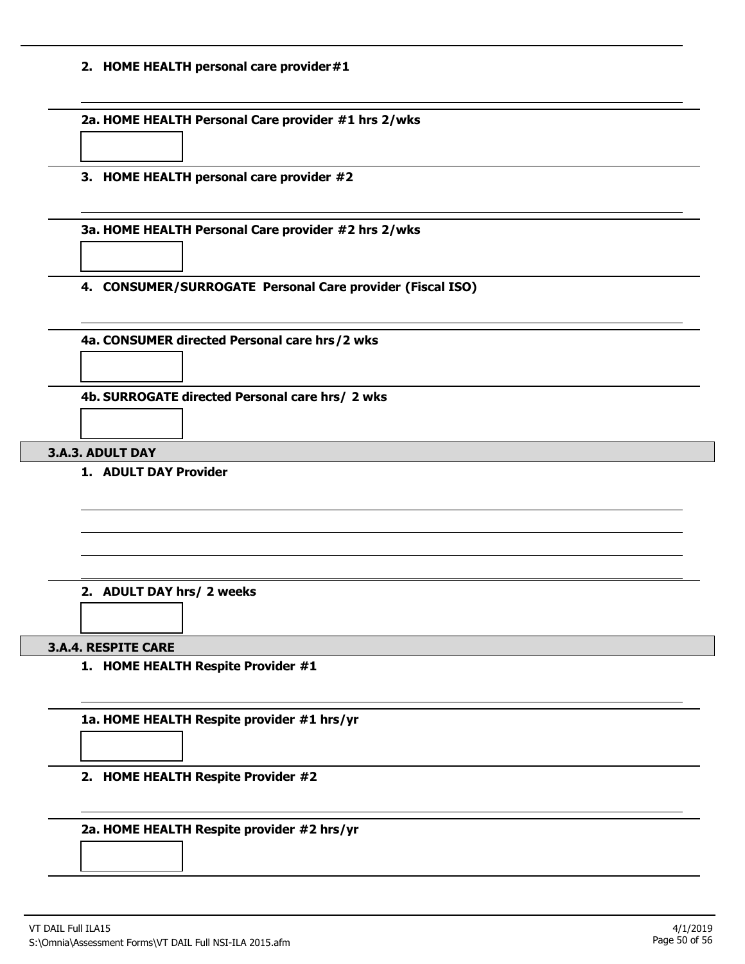#### **2. HOME HEALTH personal care provider#1**

**2a. HOME HEALTH Personal Care provider #1 hrs 2/wks**

**3. HOME HEALTH personal care provider #2**

**3a. HOME HEALTH Personal Care provider #2 hrs 2/wks**

**4. CONSUMER/SURROGATE Personal Care provider (Fiscal ISO)**

**4a. CONSUMER directed Personal care hrs/2 wks**

**4b. SURROGATE directed Personal care hrs/ 2 wks**

#### **3.A.3. ADULT DAY**

**1. ADULT DAY Provider**

#### **2. ADULT DAY hrs/ 2 weeks**

#### **3.A.4. RESPITE CARE**

**1. HOME HEALTH Respite Provider #1**

**1a. HOME HEALTH Respite provider #1 hrs/yr**

**2. HOME HEALTH Respite Provider #2**

**2a. HOME HEALTH Respite provider #2 hrs/yr**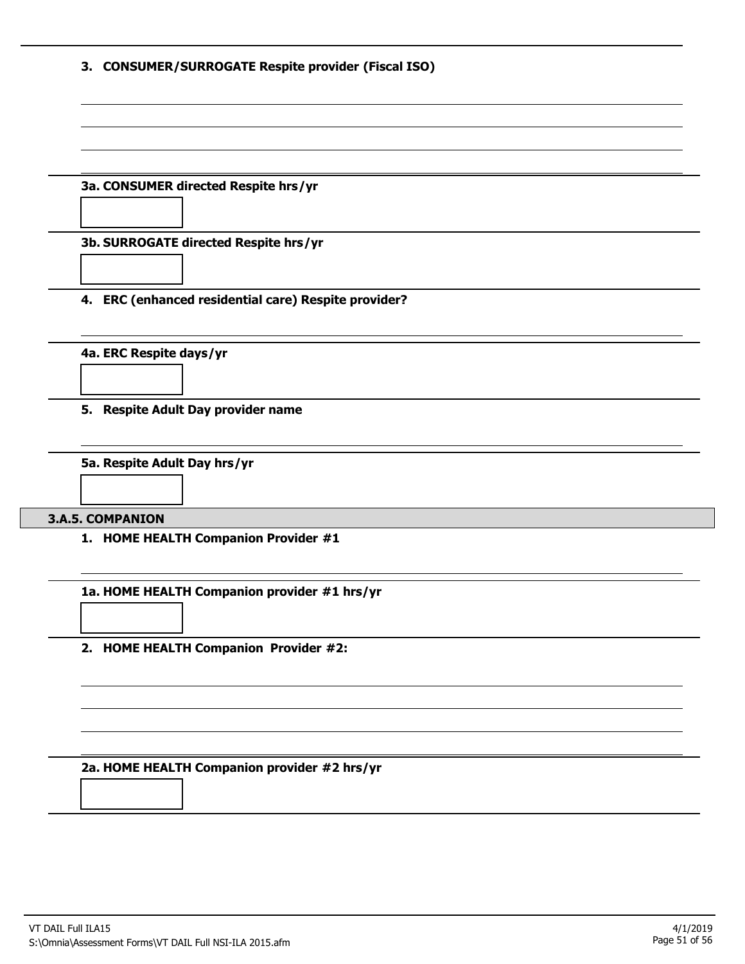|  |  | 3. CONSUMER/SURROGATE Respite provider (Fiscal ISO) |  |  |  |
|--|--|-----------------------------------------------------|--|--|--|
|--|--|-----------------------------------------------------|--|--|--|

#### **3a. CONSUMER directed Respite hrs/yr**

**3b. SURROGATE directed Respite hrs/yr**

**4. ERC (enhanced residential care) Respite provider?**

**4a. ERC Respite days/yr**

**5. Respite Adult Day provider name**

**5a. Respite Adult Day hrs/yr**

**3.A.5. COMPANION**

**1. HOME HEALTH Companion Provider #1**

**1a. HOME HEALTH Companion provider #1 hrs/yr**

**2. HOME HEALTH Companion Provider #2:**

**2a. HOME HEALTH Companion provider #2 hrs/yr**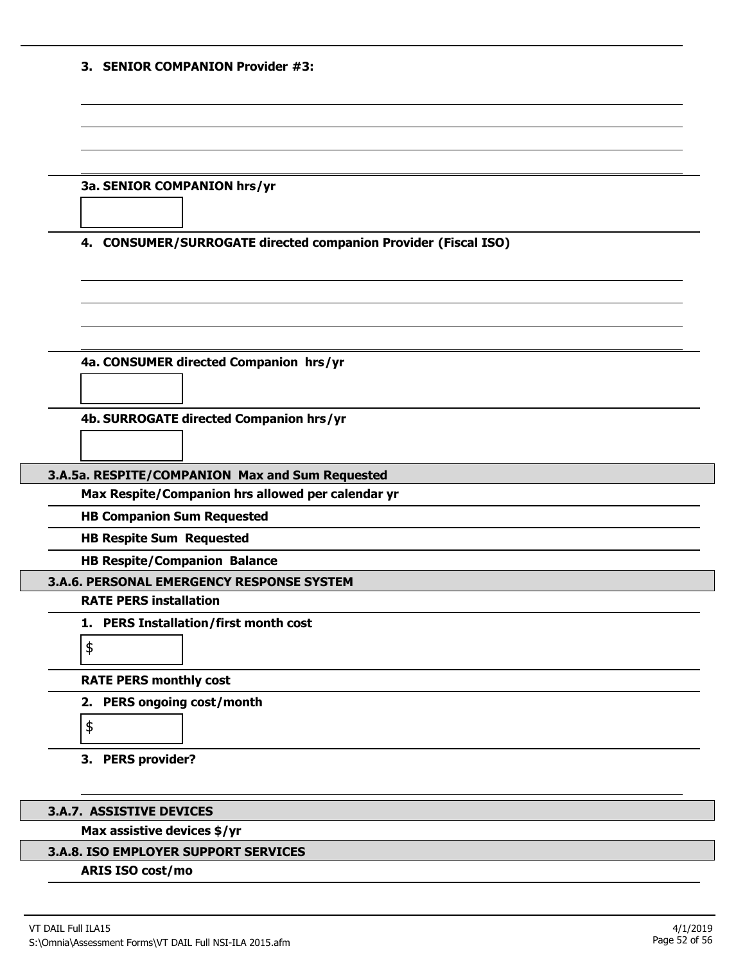|  |  | 3. SENIOR COMPANION Provider #3: |  |
|--|--|----------------------------------|--|
|--|--|----------------------------------|--|

|  | 3a. SENIOR COMPANION hrs/yr |  |
|--|-----------------------------|--|
|--|-----------------------------|--|

#### **4. CONSUMER/SURROGATE directed companion Provider (Fiscal ISO)**

**4a. CONSUMER directed Companion hrs/yr**

**4b. SURROGATE directed Companion hrs/yr**

#### **3.A.5a. RESPITE/COMPANION Max and Sum Requested**

**Max Respite/Companion hrs allowed per calendar yr**

**HB Companion Sum Requested**

**HB Respite Sum Requested**

**HB Respite/Companion Balance**

**3.A.6. PERSONAL EMERGENCY RESPONSE SYSTEM**

#### **RATE PERS installation**

\$

\$

**1. PERS Installation/first month cost**

# **RATE PERS monthly cost**

**2. PERS ongoing cost/month**



#### **3.A.7. ASSISTIVE DEVICES**

#### **Max assistive devices \$/yr**

#### **3.A.8. ISO EMPLOYER SUPPORT SERVICES**

#### **ARIS ISO cost/mo**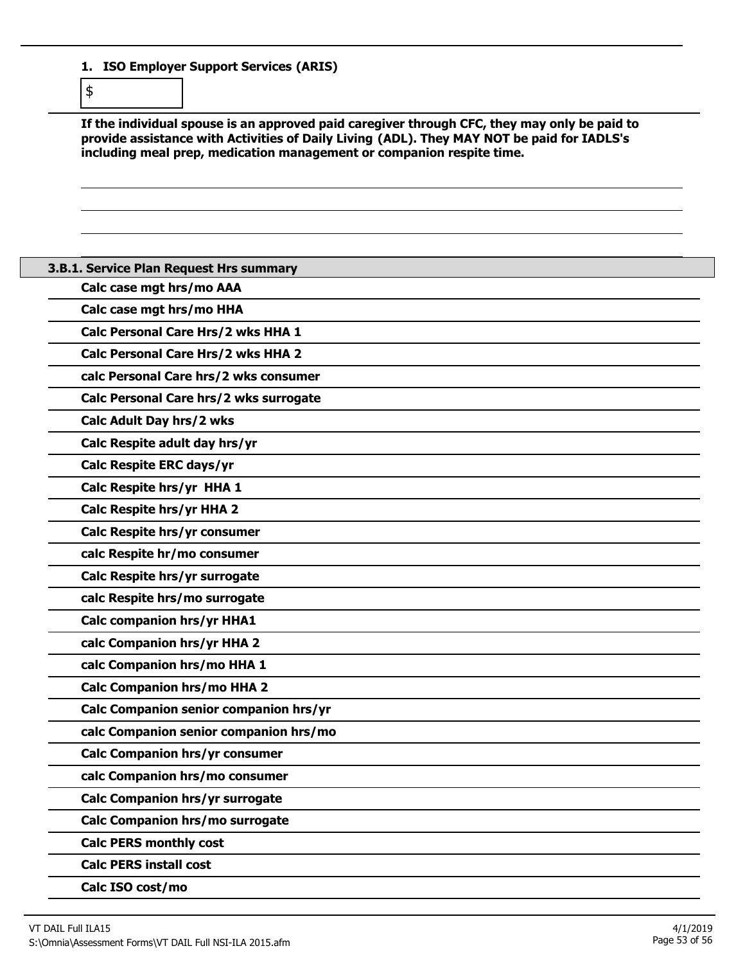**1. ISO Employer Support Services (ARIS)**

\$

**If the individual spouse is an approved paid caregiver through CFC, they may only be paid to provide assistance with Activities of Daily Living (ADL). They MAY NOT be paid for IADLS's including meal prep, medication management or companion respite time.**

| 3.B.1. Service Plan Request Hrs summary   |
|-------------------------------------------|
| Calc case mgt hrs/mo AAA                  |
| Calc case mgt hrs/mo HHA                  |
| Calc Personal Care Hrs/2 wks HHA 1        |
| <b>Calc Personal Care Hrs/2 wks HHA 2</b> |
| calc Personal Care hrs/2 wks consumer     |
| Calc Personal Care hrs/2 wks surrogate    |
| Calc Adult Day hrs/2 wks                  |
| Calc Respite adult day hrs/yr             |
| Calc Respite ERC days/yr                  |
| Calc Respite hrs/yr HHA 1                 |
| Calc Respite hrs/yr HHA 2                 |
| Calc Respite hrs/yr consumer              |
| calc Respite hr/mo consumer               |
| Calc Respite hrs/yr surrogate             |
| calc Respite hrs/mo surrogate             |
| <b>Calc companion hrs/yr HHA1</b>         |
| calc Companion hrs/yr HHA 2               |
| calc Companion hrs/mo HHA 1               |
| <b>Calc Companion hrs/mo HHA 2</b>        |
| Calc Companion senior companion hrs/yr    |
| calc Companion senior companion hrs/mo    |
| <b>Calc Companion hrs/yr consumer</b>     |
| calc Companion hrs/mo consumer            |
| Calc Companion hrs/yr surrogate           |
| Calc Companion hrs/mo surrogate           |
| <b>Calc PERS monthly cost</b>             |
| <b>Calc PERS install cost</b>             |
| Calc ISO cost/mo                          |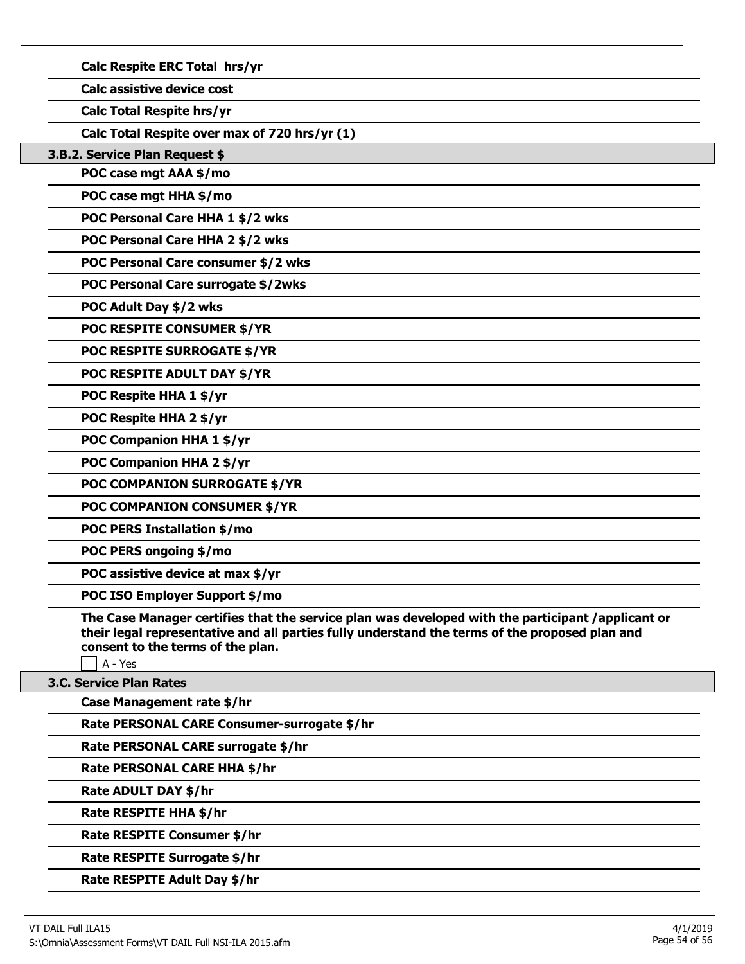|  |  | Calc Respite ERC Total hrs/yr |  |
|--|--|-------------------------------|--|
|--|--|-------------------------------|--|

**Calc assistive device cost**

**Calc Total Respite hrs/yr**

**Calc Total Respite over max of 720 hrs/yr (1)**

**3.B.2. Service Plan Request \$**

**POC case mgt AAA \$/mo**

**POC case mgt HHA \$/mo**

**POC Personal Care HHA 1 \$/2 wks**

**POC Personal Care HHA 2 \$/2 wks**

**POC Personal Care consumer \$/2 wks**

**POC Personal Care surrogate \$/2wks**

**POC Adult Day \$/2 wks**

**POC RESPITE CONSUMER \$/YR**

**POC RESPITE SURROGATE \$/YR**

**POC RESPITE ADULT DAY \$/YR**

**POC Respite HHA 1 \$/yr**

**POC Respite HHA 2 \$/yr**

**POC Companion HHA 1 \$/yr**

**POC Companion HHA 2 \$/yr**

**POC COMPANION SURROGATE \$/YR**

**POC COMPANION CONSUMER \$/YR**

**POC PERS Installation \$/mo**

**POC PERS ongoing \$/mo**

**POC assistive device at max \$/yr**

**POC ISO Employer Support \$/mo**

**The Case Manager certifies that the service plan was developed with the participant /applicant or their legal representative and all parties fully understand the terms of the proposed plan and consent to the terms of the plan.**

A - Yes

**3.C. Service Plan Rates**

**Case Management rate \$/hr**

**Rate PERSONAL CARE Consumer-surrogate \$/hr**

**Rate PERSONAL CARE surrogate \$/hr**

**Rate PERSONAL CARE HHA \$/hr**

**Rate ADULT DAY \$/hr**

**Rate RESPITE HHA \$/hr**

**Rate RESPITE Consumer \$/hr**

**Rate RESPITE Surrogate \$/hr**

**Rate RESPITE Adult Day \$/hr**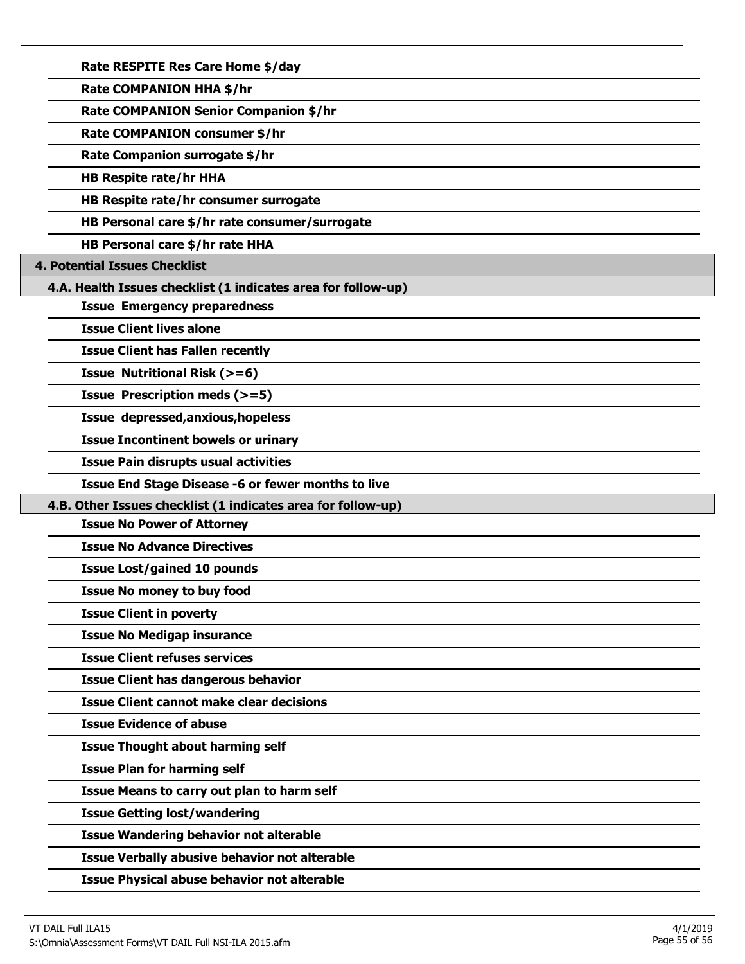**Rate RESPITE Res Care Home \$/day**

**Rate COMPANION HHA \$/hr**

**Rate COMPANION Senior Companion \$/hr**

**Rate COMPANION consumer \$/hr**

**Rate Companion surrogate \$/hr**

**HB Respite rate/hr HHA**

**HB Respite rate/hr consumer surrogate**

**HB Personal care \$/hr rate consumer/surrogate**

**HB Personal care \$/hr rate HHA**

**4. Potential Issues Checklist**

**4.A. Health Issues checklist (1 indicates area for follow-up)**

**Issue Emergency preparedness**

**Issue Client lives alone**

**Issue Client has Fallen recently**

**Issue Nutritional Risk (>=6)**

**Issue Prescription meds (>=5)**

**Issue depressed,anxious,hopeless**

**Issue Incontinent bowels or urinary**

**Issue Pain disrupts usual activities**

**Issue End Stage Disease -6 or fewer months to live**

**4.B. Other Issues checklist (1 indicates area for follow-up)**

**Issue No Power of Attorney**

**Issue No Advance Directives**

**Issue Lost/gained 10 pounds**

**Issue No money to buy food**

**Issue Client in poverty**

**Issue No Medigap insurance**

**Issue Client refuses services**

**Issue Client has dangerous behavior**

**Issue Client cannot make clear decisions**

**Issue Evidence of abuse**

**Issue Thought about harming self**

**Issue Plan for harming self**

**Issue Means to carry out plan to harm self**

**Issue Getting lost/wandering**

**Issue Wandering behavior not alterable**

**Issue Verbally abusive behavior not alterable**

**Issue Physical abuse behavior not alterable**